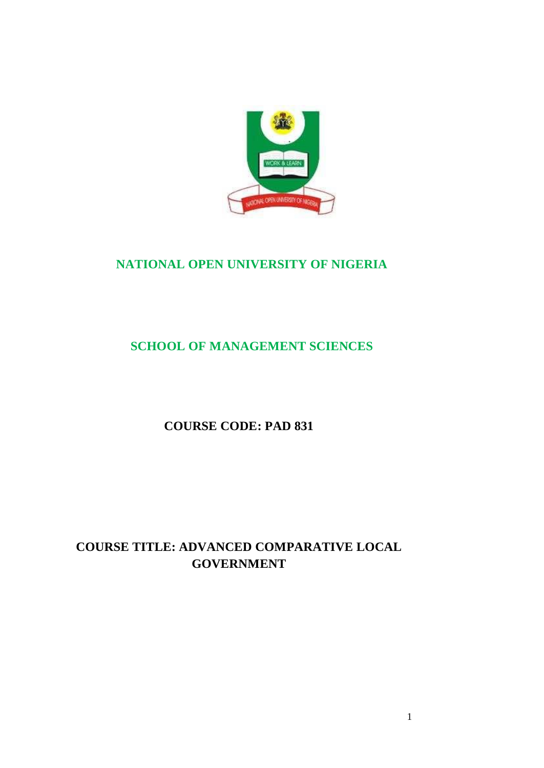

# **NATIONAL OPEN UNIVERSITY OF NIGERIA**

# **SCHOOL OF MANAGEMENT SCIENCES**

**COURSE CODE: PAD 831**

# **COURSE TITLE: ADVANCED COMPARATIVE LOCAL GOVERNMENT**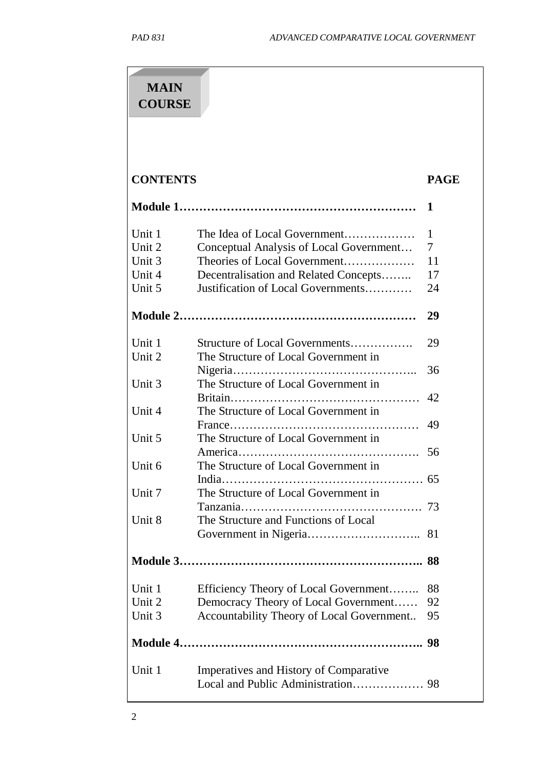| <b>MAIN</b><br><b>COURSE</b>                   |                                                                                                                                                                                        |                          |
|------------------------------------------------|----------------------------------------------------------------------------------------------------------------------------------------------------------------------------------------|--------------------------|
| <b>CONTENTS</b>                                |                                                                                                                                                                                        | <b>PAGE</b>              |
|                                                |                                                                                                                                                                                        | 1                        |
| Unit 1<br>Unit 2<br>Unit 3<br>Unit 4<br>Unit 5 | The Idea of Local Government<br>Conceptual Analysis of Local Government<br>Theories of Local Government<br>Decentralisation and Related Concepts<br>Justification of Local Governments | 1<br>7<br>11<br>17<br>24 |
|                                                |                                                                                                                                                                                        | 29                       |
| Unit 1<br>Unit 2                               | Structure of Local Governments<br>The Structure of Local Government in                                                                                                                 | 29                       |
| Unit 3                                         | The Structure of Local Government in                                                                                                                                                   | 36<br>42                 |
| Unit 4                                         | The Structure of Local Government in                                                                                                                                                   | 49                       |
| Unit 5                                         | The Structure of Local Government in                                                                                                                                                   | 56                       |
| Unit 6<br>Unit 7                               | The Structure of Local Government in<br>India<br>The Structure of Local Government in                                                                                                  | 65                       |
| Unit 8                                         | The Structure and Functions of Local                                                                                                                                                   |                          |
|                                                |                                                                                                                                                                                        | 81                       |
|                                                |                                                                                                                                                                                        |                          |
| Unit 1<br>Unit 2<br>Unit 3                     | Efficiency Theory of Local Government<br>Democracy Theory of Local Government<br>Accountability Theory of Local Government                                                             | 88<br>92<br>95           |
|                                                |                                                                                                                                                                                        |                          |
| Unit 1                                         | Imperatives and History of Comparative                                                                                                                                                 |                          |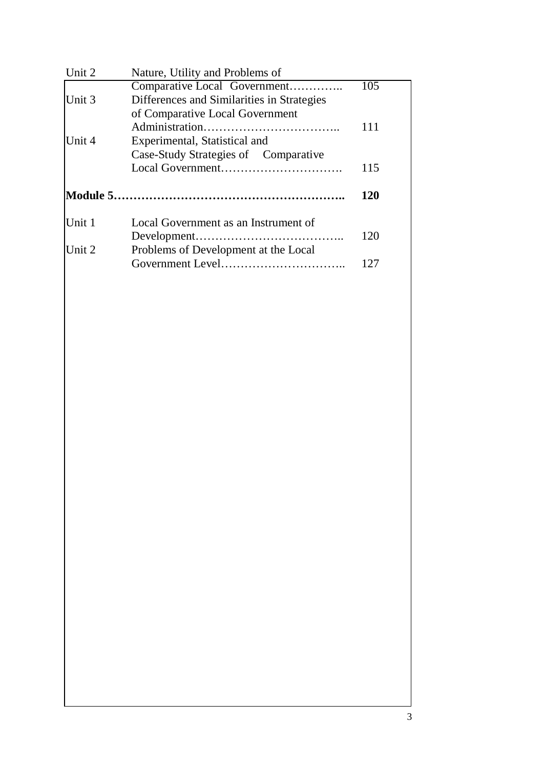| Unit 2 | Nature, Utility and Problems of            |     |
|--------|--------------------------------------------|-----|
|        | Comparative Local Government               | 105 |
| Unit 3 | Differences and Similarities in Strategies |     |
|        | of Comparative Local Government            |     |
|        |                                            | 111 |
| Unit 4 | Experimental, Statistical and              |     |
|        | Case-Study Strategies of Comparative       |     |
|        |                                            | 115 |
|        |                                            | 120 |
| Unit 1 | Local Government as an Instrument of       |     |
|        |                                            | 120 |
| Unit 2 | Problems of Development at the Local       |     |
|        |                                            | 127 |
|        |                                            |     |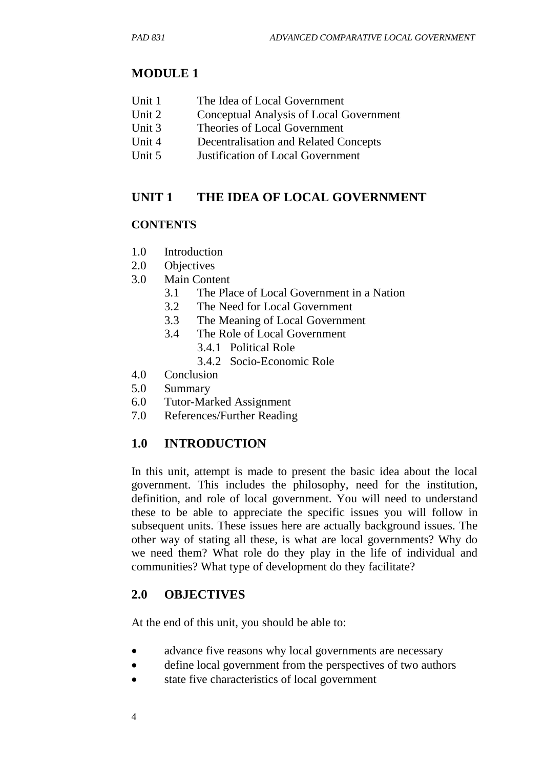### **MODULE 1**

- Unit 1 The Idea of Local Government
- Unit 2 Conceptual Analysis of Local Government
- Unit 3 Theories of Local Government
- Unit 4 Decentralisation and Related Concepts
- Unit 5 Justification of Local Government

### **UNIT 1 THE IDEA OF LOCAL GOVERNMENT**

#### **CONTENTS**

- 1.0 Introduction
- 2.0 Objectives
- 3.0 Main Content
	- 3.1 The Place of Local Government in a Nation
	- 3.2 The Need for Local Government
	- 3.3 The Meaning of Local Government
	- 3.4 The Role of Local Government
		- 3.4.1 Political Role
			- 3.4.2 Socio-Economic Role
- 4.0 Conclusion
- 5.0 Summary
- 6.0 Tutor-Marked Assignment
- 7.0 References/Further Reading

## **1.0 INTRODUCTION**

In this unit, attempt is made to present the basic idea about the local government. This includes the philosophy, need for the institution, definition, and role of local government. You will need to understand these to be able to appreciate the specific issues you will follow in subsequent units. These issues here are actually background issues. The other way of stating all these, is what are local governments? Why do we need them? What role do they play in the life of individual and communities? What type of development do they facilitate?

#### **2.0 OBJECTIVES**

At the end of this unit, you should be able to:

- advance five reasons why local governments are necessary
- define local government from the perspectives of two authors
- state five characteristics of local government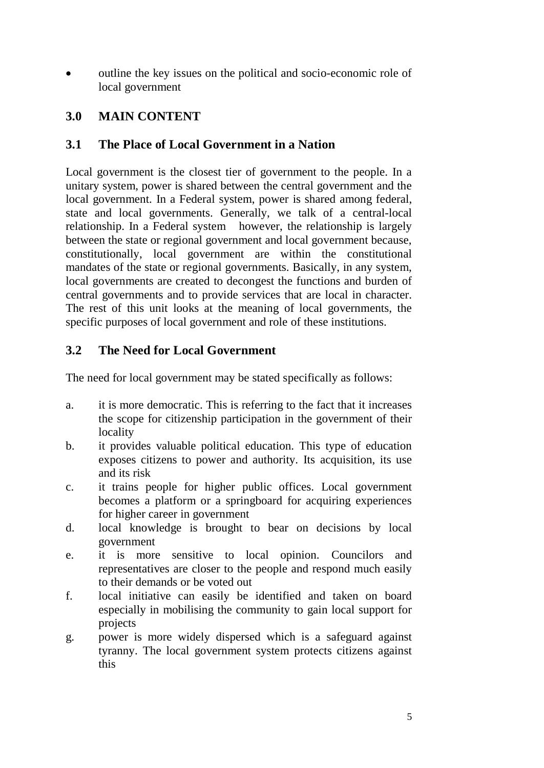• outline the key issues on the political and socio-economic role of local government

# **3.0 MAIN CONTENT**

## **3.1 The Place of Local Government in a Nation**

Local government is the closest tier of government to the people. In a unitary system, power is shared between the central government and the local government. In a Federal system, power is shared among federal, state and local governments. Generally, we talk of a central-local relationship. In a Federal system however, the relationship is largely between the state or regional government and local government because, constitutionally, local government are within the constitutional mandates of the state or regional governments. Basically, in any system, local governments are created to decongest the functions and burden of central governments and to provide services that are local in character. The rest of this unit looks at the meaning of local governments, the specific purposes of local government and role of these institutions.

## **3.2 The Need for Local Government**

The need for local government may be stated specifically as follows:

- a. it is more democratic. This is referring to the fact that it increases the scope for citizenship participation in the government of their locality
- b. it provides valuable political education. This type of education exposes citizens to power and authority. Its acquisition, its use and its risk
- c. it trains people for higher public offices. Local government becomes a platform or a springboard for acquiring experiences for higher career in government
- d. local knowledge is brought to bear on decisions by local government
- e. it is more sensitive to local opinion. Councilors and representatives are closer to the people and respond much easily to their demands or be voted out
- f. local initiative can easily be identified and taken on board especially in mobilising the community to gain local support for projects
- g. power is more widely dispersed which is a safeguard against tyranny. The local government system protects citizens against this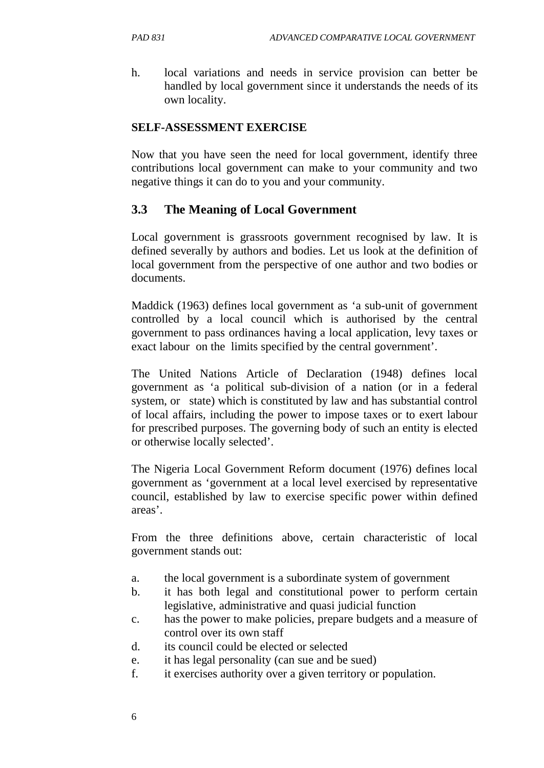h. local variations and needs in service provision can better be handled by local government since it understands the needs of its own locality.

#### **SELF-ASSESSMENT EXERCISE**

Now that you have seen the need for local government, identify three contributions local government can make to your community and two negative things it can do to you and your community.

## **3.3 The Meaning of Local Government**

Local government is grassroots government recognised by law. It is defined severally by authors and bodies. Let us look at the definition of local government from the perspective of one author and two bodies or documents.

Maddick (1963) defines local government as 'a sub-unit of government controlled by a local council which is authorised by the central government to pass ordinances having a local application, levy taxes or exact labour on the limits specified by the central government'.

The United Nations Article of Declaration (1948) defines local government as 'a political sub-division of a nation (or in a federal system, or state) which is constituted by law and has substantial control of local affairs, including the power to impose taxes or to exert labour for prescribed purposes. The governing body of such an entity is elected or otherwise locally selected'.

The Nigeria Local Government Reform document (1976) defines local government as 'government at a local level exercised by representative council, established by law to exercise specific power within defined areas'.

From the three definitions above, certain characteristic of local government stands out:

- a. the local government is a subordinate system of government
- b. it has both legal and constitutional power to perform certain legislative, administrative and quasi judicial function
- c. has the power to make policies, prepare budgets and a measure of control over its own staff
- d. its council could be elected or selected
- e. it has legal personality (can sue and be sued)
- f. it exercises authority over a given territory or population.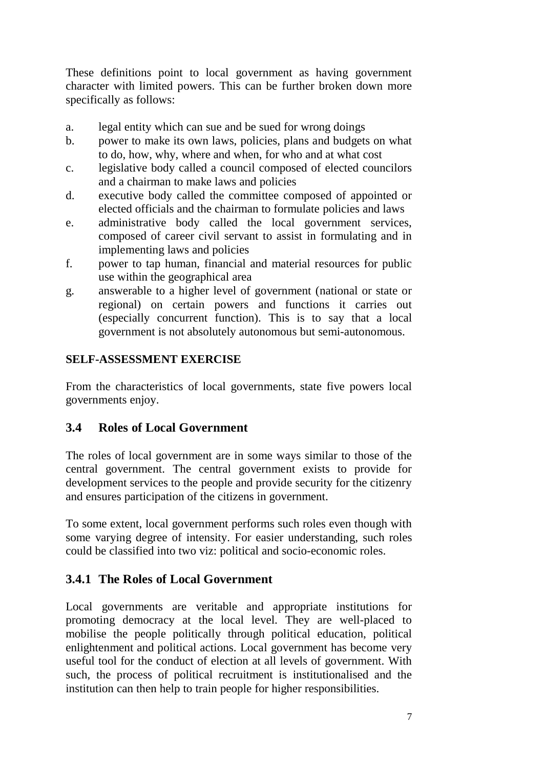These definitions point to local government as having government character with limited powers. This can be further broken down more specifically as follows:

- a. legal entity which can sue and be sued for wrong doings
- b. power to make its own laws, policies, plans and budgets on what to do, how, why, where and when, for who and at what cost
- c. legislative body called a council composed of elected councilors and a chairman to make laws and policies
- d. executive body called the committee composed of appointed or elected officials and the chairman to formulate policies and laws
- e. administrative body called the local government services, composed of career civil servant to assist in formulating and in implementing laws and policies
- f. power to tap human, financial and material resources for public use within the geographical area
- g. answerable to a higher level of government (national or state or regional) on certain powers and functions it carries out (especially concurrent function). This is to say that a local government is not absolutely autonomous but semi-autonomous.

## **SELF-ASSESSMENT EXERCISE**

From the characteristics of local governments, state five powers local governments enjoy.

# **3.4 Roles of Local Government**

The roles of local government are in some ways similar to those of the central government. The central government exists to provide for development services to the people and provide security for the citizenry and ensures participation of the citizens in government.

To some extent, local government performs such roles even though with some varying degree of intensity. For easier understanding, such roles could be classified into two viz: political and socio-economic roles.

# **3.4.1 The Roles of Local Government**

Local governments are veritable and appropriate institutions for promoting democracy at the local level. They are well-placed to mobilise the people politically through political education, political enlightenment and political actions. Local government has become very useful tool for the conduct of election at all levels of government. With such, the process of political recruitment is institutionalised and the institution can then help to train people for higher responsibilities.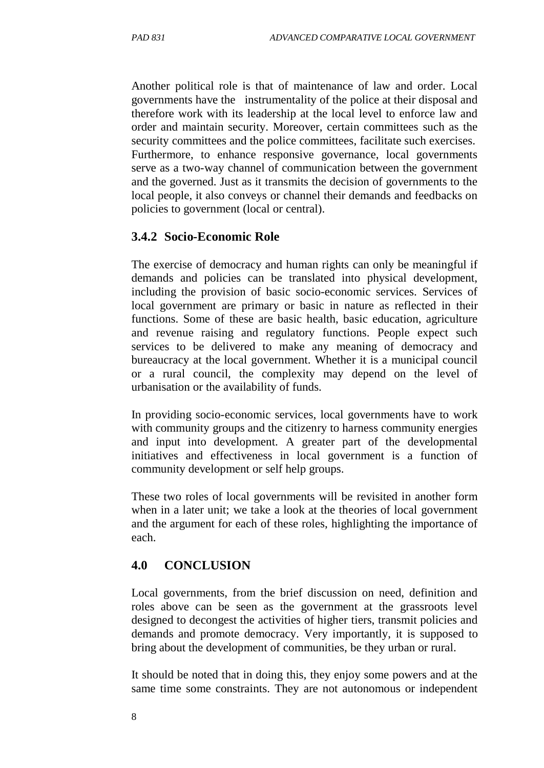Another political role is that of maintenance of law and order. Local governments have the instrumentality of the police at their disposal and therefore work with its leadership at the local level to enforce law and order and maintain security. Moreover, certain committees such as the security committees and the police committees, facilitate such exercises. Furthermore, to enhance responsive governance, local governments serve as a two-way channel of communication between the government and the governed. Just as it transmits the decision of governments to the local people, it also conveys or channel their demands and feedbacks on policies to government (local or central).

#### **3.4.2 Socio-Economic Role**

The exercise of democracy and human rights can only be meaningful if demands and policies can be translated into physical development, including the provision of basic socio-economic services. Services of local government are primary or basic in nature as reflected in their functions. Some of these are basic health, basic education, agriculture and revenue raising and regulatory functions. People expect such services to be delivered to make any meaning of democracy and bureaucracy at the local government. Whether it is a municipal council or a rural council, the complexity may depend on the level of urbanisation or the availability of funds.

In providing socio-economic services, local governments have to work with community groups and the citizenry to harness community energies and input into development. A greater part of the developmental initiatives and effectiveness in local government is a function of community development or self help groups.

These two roles of local governments will be revisited in another form when in a later unit; we take a look at the theories of local government and the argument for each of these roles, highlighting the importance of each.

#### **4.0 CONCLUSION**

Local governments, from the brief discussion on need, definition and roles above can be seen as the government at the grassroots level designed to decongest the activities of higher tiers, transmit policies and demands and promote democracy. Very importantly, it is supposed to bring about the development of communities, be they urban or rural.

It should be noted that in doing this, they enjoy some powers and at the same time some constraints. They are not autonomous or independent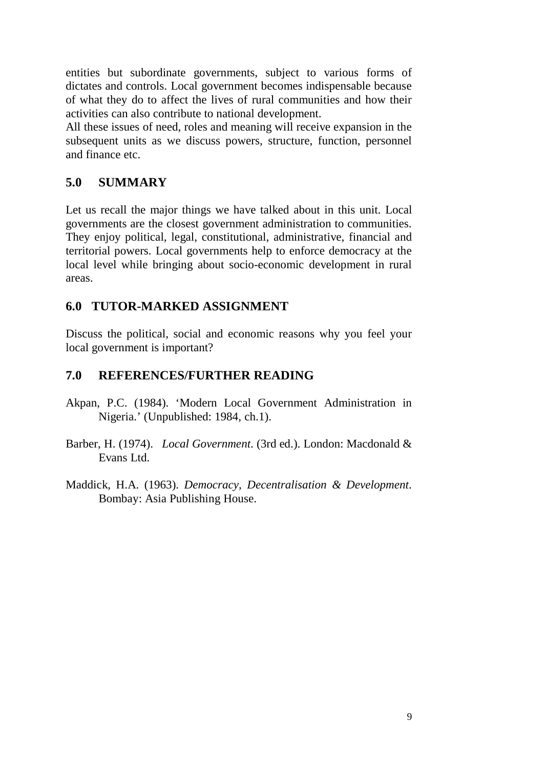entities but subordinate governments, subject to various forms of dictates and controls. Local government becomes indispensable because of what they do to affect the lives of rural communities and how their activities can also contribute to national development.

All these issues of need, roles and meaning will receive expansion in the subsequent units as we discuss powers, structure, function, personnel and finance etc.

## **5.0 SUMMARY**

Let us recall the major things we have talked about in this unit. Local governments are the closest government administration to communities. They enjoy political, legal, constitutional, administrative, financial and territorial powers. Local governments help to enforce democracy at the local level while bringing about socio-economic development in rural areas.

## **6.0 TUTOR-MARKED ASSIGNMENT**

Discuss the political, social and economic reasons why you feel your local government is important?

## **7.0 REFERENCES/FURTHER READING**

- Akpan, P.C. (1984). 'Modern Local Government Administration in Nigeria.' (Unpublished: 1984, ch.1).
- Barber, H. (1974). *Local Government*. (3rd ed.). London: Macdonald & Evans Ltd.
- Maddick, H.A. (1963). *Democracy, Decentralisation & Development*. Bombay: Asia Publishing House.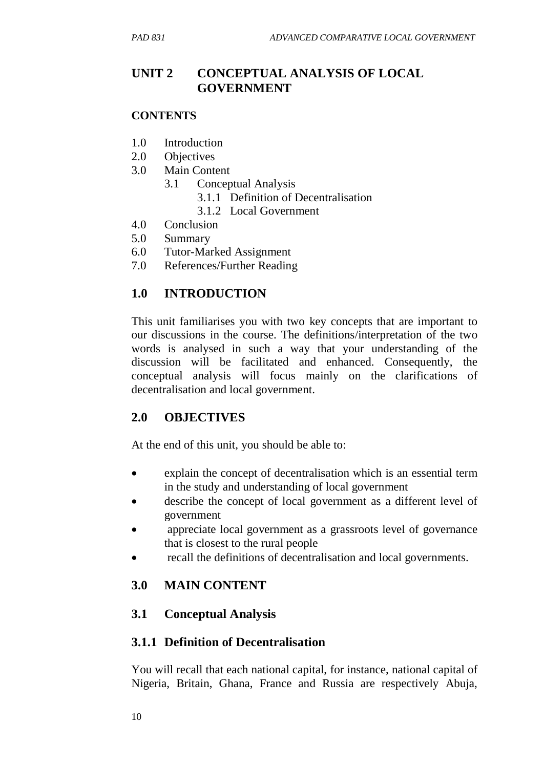# **UNIT 2 CONCEPTUAL ANALYSIS OF LOCAL GOVERNMENT**

#### **CONTENTS**

- 1.0 Introduction
- 2.0 Objectives
- 3.0 Main Content
	- 3.1 Conceptual Analysis
		- 3.1.1 Definition of Decentralisation
		- 3.1.2 Local Government
- 4.0 Conclusion
- 5.0 Summary
- 6.0 Tutor-Marked Assignment
- 7.0 References/Further Reading

# **1.0 INTRODUCTION**

This unit familiarises you with two key concepts that are important to our discussions in the course. The definitions/interpretation of the two words is analysed in such a way that your understanding of the discussion will be facilitated and enhanced. Consequently, the conceptual analysis will focus mainly on the clarifications of decentralisation and local government.

# **2.0 OBJECTIVES**

At the end of this unit, you should be able to:

- explain the concept of decentralisation which is an essential term in the study and understanding of local government
- describe the concept of local government as a different level of government
- appreciate local government as a grassroots level of governance that is closest to the rural people
- recall the definitions of decentralisation and local governments.

# **3.0 MAIN CONTENT**

# **3.1 Conceptual Analysis**

## **3.1.1 Definition of Decentralisation**

You will recall that each national capital, for instance, national capital of Nigeria, Britain, Ghana, France and Russia are respectively Abuja,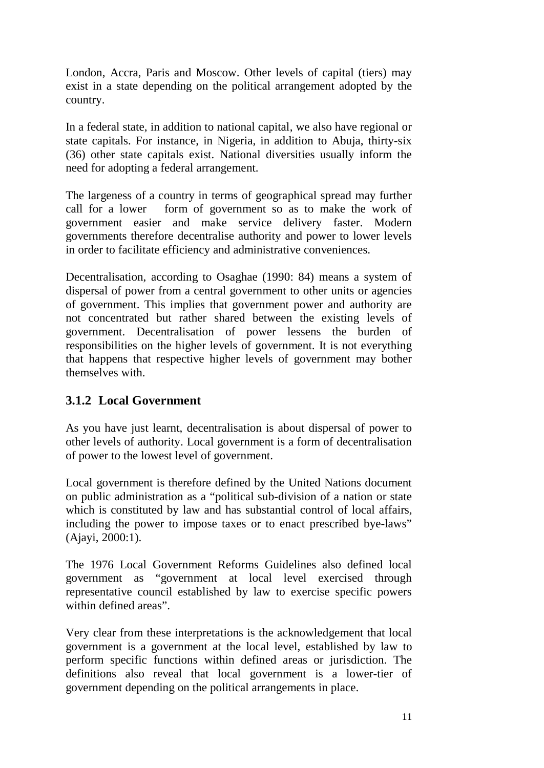London, Accra, Paris and Moscow. Other levels of capital (tiers) may exist in a state depending on the political arrangement adopted by the country.

In a federal state, in addition to national capital, we also have regional or state capitals. For instance, in Nigeria, in addition to Abuja, thirty-six (36) other state capitals exist. National diversities usually inform the need for adopting a federal arrangement.

The largeness of a country in terms of geographical spread may further call for a lower form of government so as to make the work of government easier and make service delivery faster. Modern governments therefore decentralise authority and power to lower levels in order to facilitate efficiency and administrative conveniences.

Decentralisation, according to Osaghae (1990: 84) means a system of dispersal of power from a central government to other units or agencies of government. This implies that government power and authority are not concentrated but rather shared between the existing levels of government. Decentralisation of power lessens the burden of responsibilities on the higher levels of government. It is not everything that happens that respective higher levels of government may bother themselves with.

## **3.1.2 Local Government**

As you have just learnt, decentralisation is about dispersal of power to other levels of authority. Local government is a form of decentralisation of power to the lowest level of government.

Local government is therefore defined by the United Nations document on public administration as a "political sub-division of a nation or state which is constituted by law and has substantial control of local affairs, including the power to impose taxes or to enact prescribed bye-laws" (Ajayi, 2000:1).

The 1976 Local Government Reforms Guidelines also defined local government as "government at local level exercised through representative council established by law to exercise specific powers within defined areas".

Very clear from these interpretations is the acknowledgement that local government is a government at the local level, established by law to perform specific functions within defined areas or jurisdiction. The definitions also reveal that local government is a lower-tier of government depending on the political arrangements in place.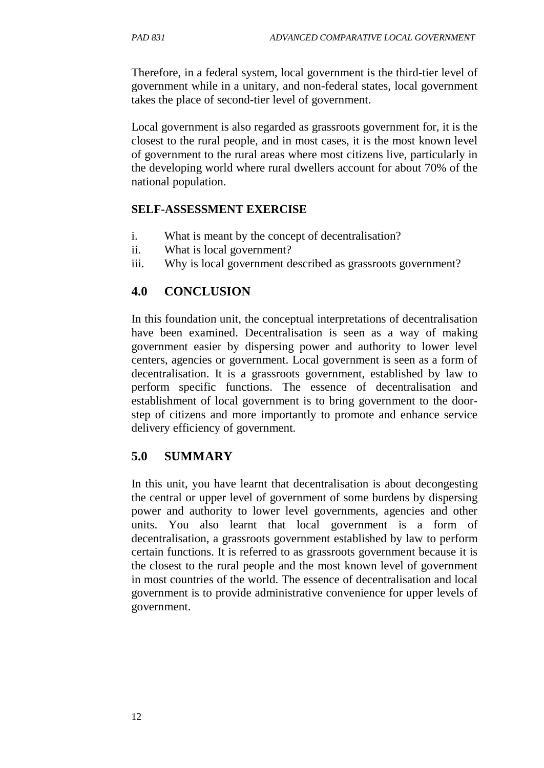Therefore, in a federal system, local government is the third-tier level of government while in a unitary, and non-federal states, local government takes the place of second-tier level of government.

Local government is also regarded as grassroots government for, it is the closest to the rural people, and in most cases, it is the most known level of government to the rural areas where most citizens live, particularly in the developing world where rural dwellers account for about 70% of the national population.

### **SELF-ASSESSMENT EXERCISE**

- i. What is meant by the concept of decentralisation?
- ii. What is local government?
- iii. Why is local government described as grassroots government?

## **4.0 CONCLUSION**

In this foundation unit, the conceptual interpretations of decentralisation have been examined. Decentralisation is seen as a way of making government easier by dispersing power and authority to lower level centers, agencies or government. Local government is seen as a form of decentralisation. It is a grassroots government, established by law to perform specific functions. The essence of decentralisation and establishment of local government is to bring government to the doorstep of citizens and more importantly to promote and enhance service delivery efficiency of government.

# **5.0 SUMMARY**

In this unit, you have learnt that decentralisation is about decongesting the central or upper level of government of some burdens by dispersing power and authority to lower level governments, agencies and other units. You also learnt that local government is a form of decentralisation, a grassroots government established by law to perform certain functions. It is referred to as grassroots government because it is the closest to the rural people and the most known level of government in most countries of the world. The essence of decentralisation and local government is to provide administrative convenience for upper levels of government.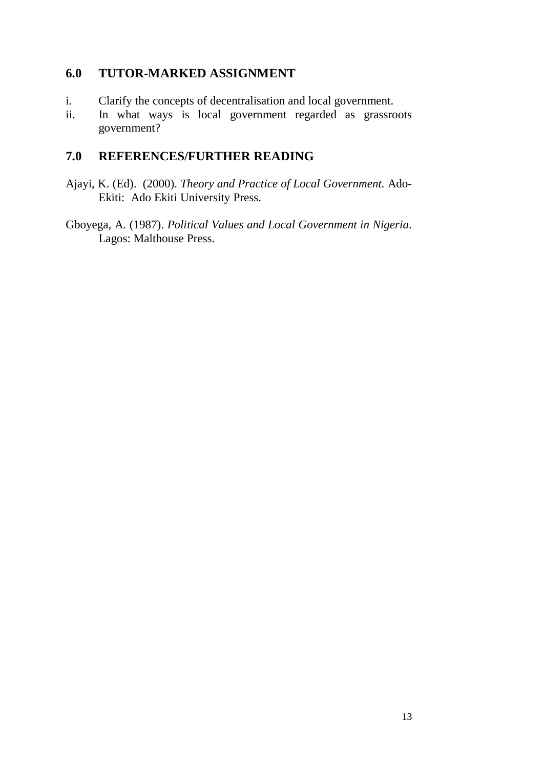## **6.0 TUTOR-MARKED ASSIGNMENT**

- i. Clarify the concepts of decentralisation and local government.
- ii. In what ways is local government regarded as grassroots government?

# **7.0 REFERENCES/FURTHER READING**

- Ajayi, K. (Ed). (2000). *Theory and Practice of Local Government.* Ado-Ekiti: Ado Ekiti University Press.
- Gboyega, A. (1987). *Political Values and Local Government in Nigeria*. Lagos: Malthouse Press.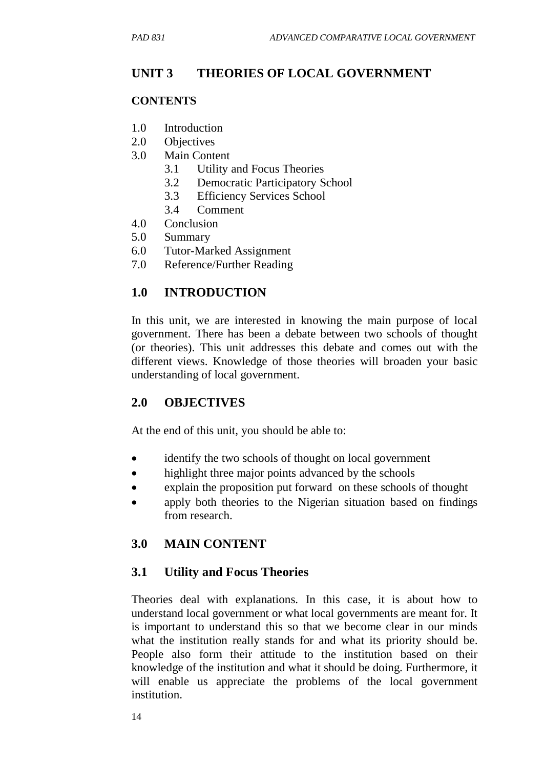# **UNIT 3 THEORIES OF LOCAL GOVERNMENT**

## **CONTENTS**

- 1.0 Introduction
- 2.0 Objectives
- 3.0 Main Content
	- 3.1 Utility and Focus Theories
	- 3.2 Democratic Participatory School
	- 3.3 Efficiency Services School
	- 3.4 Comment
- 4.0 Conclusion
- 5.0 Summary
- 6.0 Tutor-Marked Assignment
- 7.0 Reference/Further Reading

# **1.0 INTRODUCTION**

In this unit, we are interested in knowing the main purpose of local government. There has been a debate between two schools of thought (or theories). This unit addresses this debate and comes out with the different views. Knowledge of those theories will broaden your basic understanding of local government.

# **2.0 OBJECTIVES**

At the end of this unit, you should be able to:

- identify the two schools of thought on local government
- highlight three major points advanced by the schools
- explain the proposition put forward on these schools of thought
- apply both theories to the Nigerian situation based on findings from research.

# **3.0 MAIN CONTENT**

## **3.1 Utility and Focus Theories**

Theories deal with explanations. In this case, it is about how to understand local government or what local governments are meant for. It is important to understand this so that we become clear in our minds what the institution really stands for and what its priority should be. People also form their attitude to the institution based on their knowledge of the institution and what it should be doing. Furthermore, it will enable us appreciate the problems of the local government institution.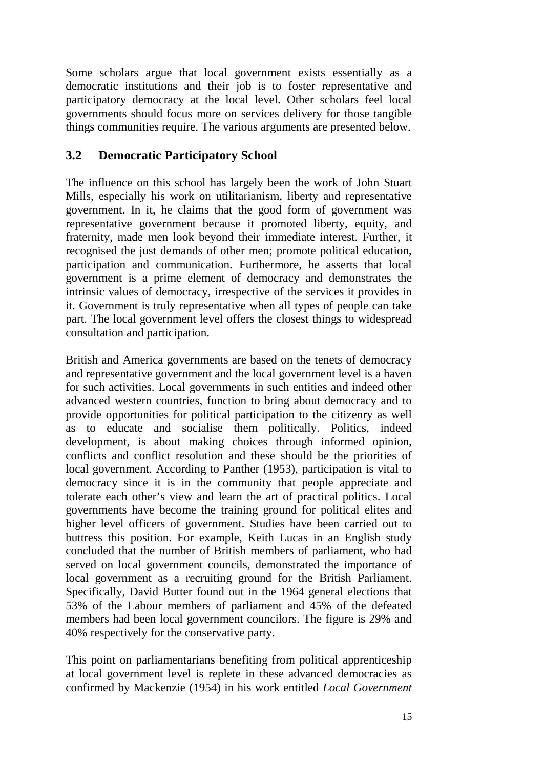Some scholars argue that local government exists essentially as a democratic institutions and their job is to foster representative and participatory democracy at the local level. Other scholars feel local governments should focus more on services delivery for those tangible things communities require. The various arguments are presented below.

## **3.2 Democratic Participatory School**

The influence on this school has largely been the work of John Stuart Mills, especially his work on utilitarianism, liberty and representative government. In it, he claims that the good form of government was representative government because it promoted liberty, equity, and fraternity, made men look beyond their immediate interest. Further, it recognised the just demands of other men; promote political education, participation and communication. Furthermore, he asserts that local government is a prime element of democracy and demonstrates the intrinsic values of democracy, irrespective of the services it provides in it. Government is truly representative when all types of people can take part. The local government level offers the closest things to widespread consultation and participation.

British and America governments are based on the tenets of democracy and representative government and the local government level is a haven for such activities. Local governments in such entities and indeed other advanced western countries, function to bring about democracy and to provide opportunities for political participation to the citizenry as well as to educate and socialise them politically. Politics, indeed development, is about making choices through informed opinion, conflicts and conflict resolution and these should be the priorities of local government. According to Panther (1953), participation is vital to democracy since it is in the community that people appreciate and tolerate each other's view and learn the art of practical politics. Local governments have become the training ground for political elites and higher level officers of government. Studies have been carried out to buttress this position. For example, Keith Lucas in an English study concluded that the number of British members of parliament, who had served on local government councils, demonstrated the importance of local government as a recruiting ground for the British Parliament. Specifically, David Butter found out in the 1964 general elections that 53% of the Labour members of parliament and 45% of the defeated members had been local government councilors. The figure is 29% and 40% respectively for the conservative party.

This point on parliamentarians benefiting from political apprenticeship at local government level is replete in these advanced democracies as confirmed by Mackenzie (1954) in his work entitled *Local Government*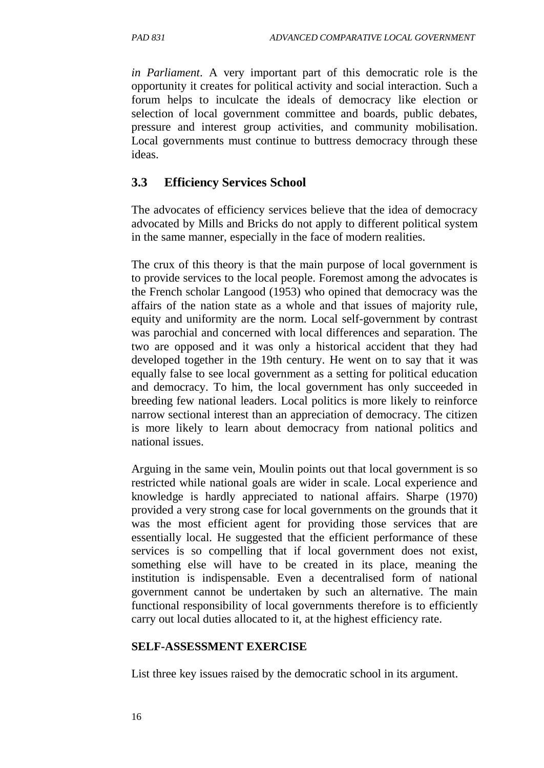*in Parliament*. A very important part of this democratic role is the opportunity it creates for political activity and social interaction. Such a forum helps to inculcate the ideals of democracy like election or selection of local government committee and boards, public debates, pressure and interest group activities, and community mobilisation. Local governments must continue to buttress democracy through these ideas.

## **3.3 Efficiency Services School**

The advocates of efficiency services believe that the idea of democracy advocated by Mills and Bricks do not apply to different political system in the same manner, especially in the face of modern realities.

The crux of this theory is that the main purpose of local government is to provide services to the local people. Foremost among the advocates is the French scholar Langood (1953) who opined that democracy was the affairs of the nation state as a whole and that issues of majority rule, equity and uniformity are the norm. Local self-government by contrast was parochial and concerned with local differences and separation. The two are opposed and it was only a historical accident that they had developed together in the 19th century. He went on to say that it was equally false to see local government as a setting for political education and democracy. To him, the local government has only succeeded in breeding few national leaders. Local politics is more likely to reinforce narrow sectional interest than an appreciation of democracy. The citizen is more likely to learn about democracy from national politics and national issues.

Arguing in the same vein, Moulin points out that local government is so restricted while national goals are wider in scale. Local experience and knowledge is hardly appreciated to national affairs. Sharpe (1970) provided a very strong case for local governments on the grounds that it was the most efficient agent for providing those services that are essentially local. He suggested that the efficient performance of these services is so compelling that if local government does not exist, something else will have to be created in its place, meaning the institution is indispensable. Even a decentralised form of national government cannot be undertaken by such an alternative. The main functional responsibility of local governments therefore is to efficiently carry out local duties allocated to it, at the highest efficiency rate.

#### **SELF-ASSESSMENT EXERCISE**

List three key issues raised by the democratic school in its argument.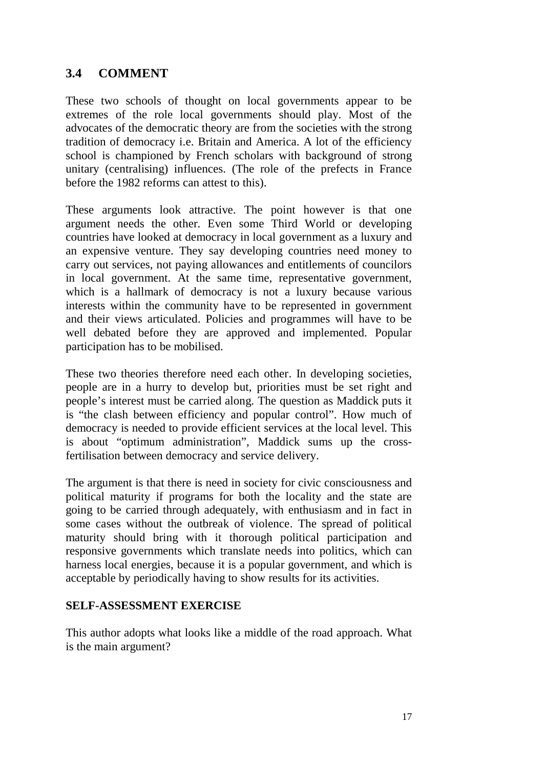## **3.4 COMMENT**

These two schools of thought on local governments appear to be extremes of the role local governments should play. Most of the advocates of the democratic theory are from the societies with the strong tradition of democracy i.e. Britain and America. A lot of the efficiency school is championed by French scholars with background of strong unitary (centralising) influences. (The role of the prefects in France before the 1982 reforms can attest to this).

These arguments look attractive. The point however is that one argument needs the other. Even some Third World or developing countries have looked at democracy in local government as a luxury and an expensive venture. They say developing countries need money to carry out services, not paying allowances and entitlements of councilors in local government. At the same time, representative government, which is a hallmark of democracy is not a luxury because various interests within the community have to be represented in government and their views articulated. Policies and programmes will have to be well debated before they are approved and implemented. Popular participation has to be mobilised.

These two theories therefore need each other. In developing societies, people are in a hurry to develop but, priorities must be set right and people's interest must be carried along. The question as Maddick puts it is "the clash between efficiency and popular control". How much of democracy is needed to provide efficient services at the local level. This is about "optimum administration", Maddick sums up the crossfertilisation between democracy and service delivery.

The argument is that there is need in society for civic consciousness and political maturity if programs for both the locality and the state are going to be carried through adequately, with enthusiasm and in fact in some cases without the outbreak of violence. The spread of political maturity should bring with it thorough political participation and responsive governments which translate needs into politics, which can harness local energies, because it is a popular government, and which is acceptable by periodically having to show results for its activities.

#### **SELF-ASSESSMENT EXERCISE**

This author adopts what looks like a middle of the road approach. What is the main argument?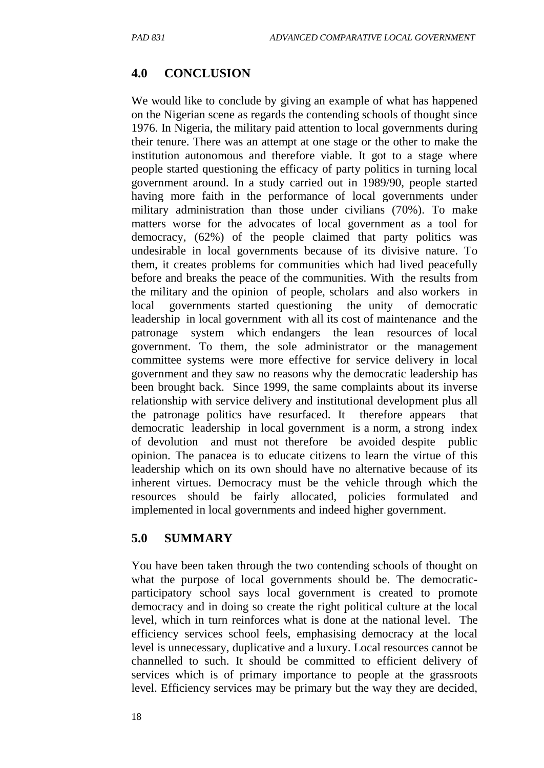## **4.0 CONCLUSION**

We would like to conclude by giving an example of what has happened on the Nigerian scene as regards the contending schools of thought since 1976. In Nigeria, the military paid attention to local governments during their tenure. There was an attempt at one stage or the other to make the institution autonomous and therefore viable. It got to a stage where people started questioning the efficacy of party politics in turning local government around. In a study carried out in 1989/90, people started having more faith in the performance of local governments under military administration than those under civilians (70%). To make matters worse for the advocates of local government as a tool for democracy, (62%) of the people claimed that party politics was undesirable in local governments because of its divisive nature. To them, it creates problems for communities which had lived peacefully before and breaks the peace of the communities. With the results from the military and the opinion of people, scholars and also workers in local governments started questioning the unity of democratic leadership in local government with all its cost of maintenance and the patronage system which endangers the lean resources of local government. To them, the sole administrator or the management committee systems were more effective for service delivery in local government and they saw no reasons why the democratic leadership has been brought back. Since 1999, the same complaints about its inverse relationship with service delivery and institutional development plus all the patronage politics have resurfaced. It therefore appears that democratic leadership in local government is a norm, a strong index of devolution and must not therefore be avoided despite public opinion. The panacea is to educate citizens to learn the virtue of this leadership which on its own should have no alternative because of its inherent virtues. Democracy must be the vehicle through which the resources should be fairly allocated, policies formulated and implemented in local governments and indeed higher government.

## **5.0 SUMMARY**

You have been taken through the two contending schools of thought on what the purpose of local governments should be. The democraticparticipatory school says local government is created to promote democracy and in doing so create the right political culture at the local level, which in turn reinforces what is done at the national level. The efficiency services school feels, emphasising democracy at the local level is unnecessary, duplicative and a luxury. Local resources cannot be channelled to such. It should be committed to efficient delivery of services which is of primary importance to people at the grassroots level. Efficiency services may be primary but the way they are decided,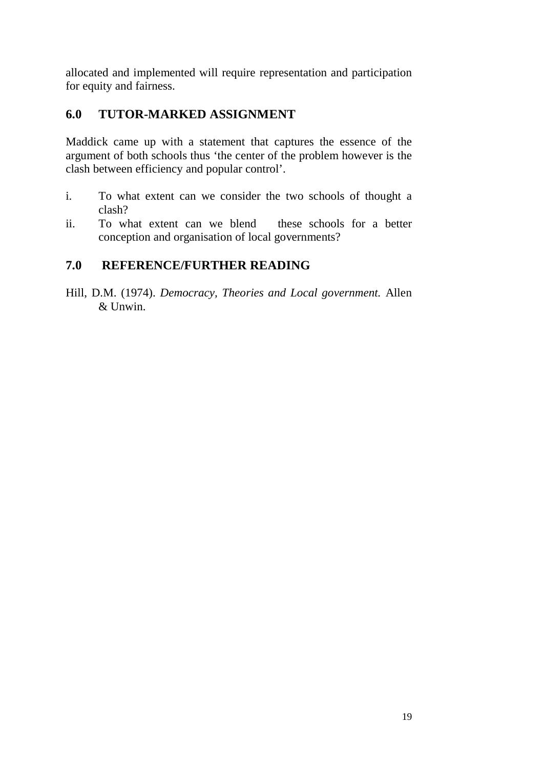allocated and implemented will require representation and participation for equity and fairness.

# **6.0 TUTOR-MARKED ASSIGNMENT**

Maddick came up with a statement that captures the essence of the argument of both schools thus 'the center of the problem however is the clash between efficiency and popular control'.

- i. To what extent can we consider the two schools of thought a clash?
- ii. To what extent can we blend these schools for a better conception and organisation of local governments?

# **7.0 REFERENCE/FURTHER READING**

Hill, D.M. (1974). *Democracy, Theories and Local government.* Allen & Unwin.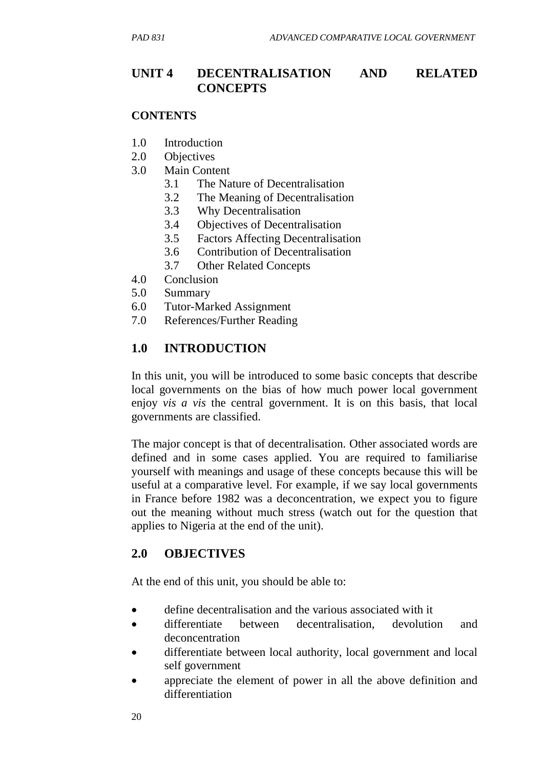## **UNIT 4 DECENTRALISATION AND RELATED CONCEPTS**

#### **CONTENTS**

- 1.0 Introduction
- 2.0 Objectives
- 3.0 Main Content
	- 3.1 The Nature of Decentralisation
	- 3.2 The Meaning of Decentralisation
	- 3.3 Why Decentralisation
	- 3.4 Objectives of Decentralisation
	- 3.5 Factors Affecting Decentralisation
	- 3.6 Contribution of Decentralisation
	- 3.7 Other Related Concepts
- 4.0 Conclusion
- 5.0 Summary
- 6.0 Tutor-Marked Assignment
- 7.0 References/Further Reading

### **1.0 INTRODUCTION**

In this unit, you will be introduced to some basic concepts that describe local governments on the bias of how much power local government enjoy *vis a vis* the central government. It is on this basis, that local governments are classified.

The major concept is that of decentralisation. Other associated words are defined and in some cases applied. You are required to familiarise yourself with meanings and usage of these concepts because this will be useful at a comparative level. For example, if we say local governments in France before 1982 was a deconcentration, we expect you to figure out the meaning without much stress (watch out for the question that applies to Nigeria at the end of the unit).

#### **2.0 OBJECTIVES**

At the end of this unit, you should be able to:

- define decentralisation and the various associated with it
- differentiate between decentralisation, devolution and deconcentration
- differentiate between local authority, local government and local self government
- appreciate the element of power in all the above definition and differentiation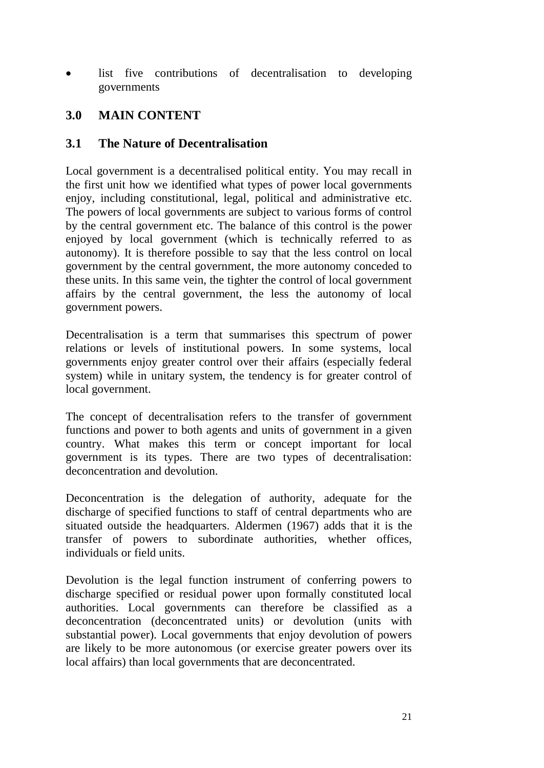list five contributions of decentralisation to developing governments

## **3.0 MAIN CONTENT**

### **3.1 The Nature of Decentralisation**

Local government is a decentralised political entity. You may recall in the first unit how we identified what types of power local governments enjoy, including constitutional, legal, political and administrative etc. The powers of local governments are subject to various forms of control by the central government etc. The balance of this control is the power enjoyed by local government (which is technically referred to as autonomy). It is therefore possible to say that the less control on local government by the central government, the more autonomy conceded to these units. In this same vein, the tighter the control of local government affairs by the central government, the less the autonomy of local government powers.

Decentralisation is a term that summarises this spectrum of power relations or levels of institutional powers. In some systems, local governments enjoy greater control over their affairs (especially federal system) while in unitary system, the tendency is for greater control of local government.

The concept of decentralisation refers to the transfer of government functions and power to both agents and units of government in a given country. What makes this term or concept important for local government is its types. There are two types of decentralisation: deconcentration and devolution.

Deconcentration is the delegation of authority, adequate for the discharge of specified functions to staff of central departments who are situated outside the headquarters. Aldermen (1967) adds that it is the transfer of powers to subordinate authorities, whether offices, individuals or field units.

Devolution is the legal function instrument of conferring powers to discharge specified or residual power upon formally constituted local authorities. Local governments can therefore be classified as a deconcentration (deconcentrated units) or devolution (units with substantial power). Local governments that enjoy devolution of powers are likely to be more autonomous (or exercise greater powers over its local affairs) than local governments that are deconcentrated.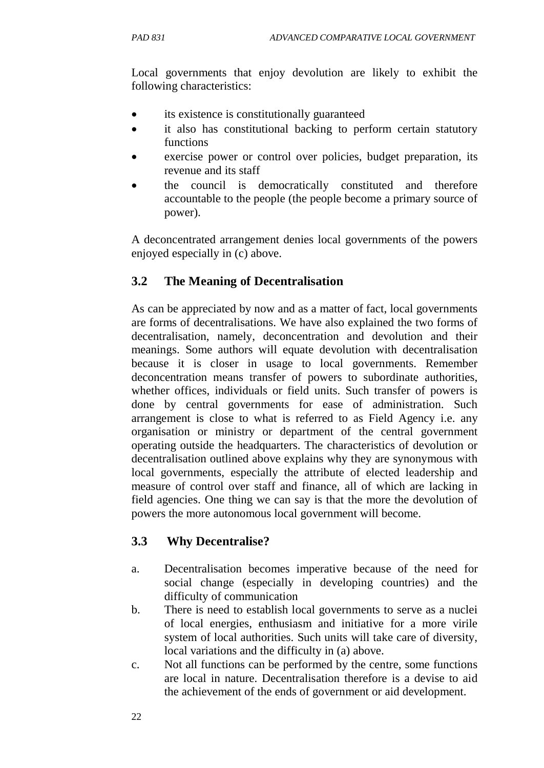Local governments that enjoy devolution are likely to exhibit the following characteristics:

- its existence is constitutionally guaranteed
- it also has constitutional backing to perform certain statutory functions
- exercise power or control over policies, budget preparation, its revenue and its staff
- the council is democratically constituted and therefore accountable to the people (the people become a primary source of power).

A deconcentrated arrangement denies local governments of the powers enjoyed especially in (c) above.

# **3.2 The Meaning of Decentralisation**

As can be appreciated by now and as a matter of fact, local governments are forms of decentralisations. We have also explained the two forms of decentralisation, namely, deconcentration and devolution and their meanings. Some authors will equate devolution with decentralisation because it is closer in usage to local governments. Remember deconcentration means transfer of powers to subordinate authorities, whether offices, individuals or field units. Such transfer of powers is done by central governments for ease of administration. Such arrangement is close to what is referred to as Field Agency i.e. any organisation or ministry or department of the central government operating outside the headquarters. The characteristics of devolution or decentralisation outlined above explains why they are synonymous with local governments, especially the attribute of elected leadership and measure of control over staff and finance, all of which are lacking in field agencies. One thing we can say is that the more the devolution of powers the more autonomous local government will become.

## **3.3 Why Decentralise?**

- a. Decentralisation becomes imperative because of the need for social change (especially in developing countries) and the difficulty of communication
- b. There is need to establish local governments to serve as a nuclei of local energies, enthusiasm and initiative for a more virile system of local authorities. Such units will take care of diversity, local variations and the difficulty in (a) above.
- c. Not all functions can be performed by the centre, some functions are local in nature. Decentralisation therefore is a devise to aid the achievement of the ends of government or aid development.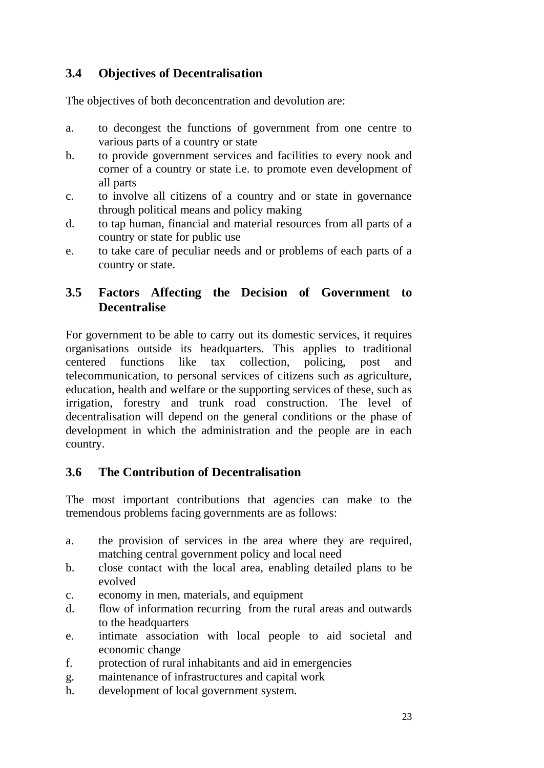# **3.4 Objectives of Decentralisation**

The objectives of both deconcentration and devolution are:

- a. to decongest the functions of government from one centre to various parts of a country or state
- b. to provide government services and facilities to every nook and corner of a country or state i.e. to promote even development of all parts
- c. to involve all citizens of a country and or state in governance through political means and policy making
- d. to tap human, financial and material resources from all parts of a country or state for public use
- e. to take care of peculiar needs and or problems of each parts of a country or state.

## **3.5 Factors Affecting the Decision of Government to Decentralise**

For government to be able to carry out its domestic services, it requires organisations outside its headquarters. This applies to traditional centered functions like tax collection, policing, post and telecommunication, to personal services of citizens such as agriculture, education, health and welfare or the supporting services of these, such as irrigation, forestry and trunk road construction. The level of decentralisation will depend on the general conditions or the phase of development in which the administration and the people are in each country.

# **3.6 The Contribution of Decentralisation**

The most important contributions that agencies can make to the tremendous problems facing governments are as follows:

- a. the provision of services in the area where they are required, matching central government policy and local need
- b. close contact with the local area, enabling detailed plans to be evolved
- c. economy in men, materials, and equipment
- d. flow of information recurring from the rural areas and outwards to the headquarters
- e. intimate association with local people to aid societal and economic change
- f. protection of rural inhabitants and aid in emergencies
- g. maintenance of infrastructures and capital work
- h. development of local government system.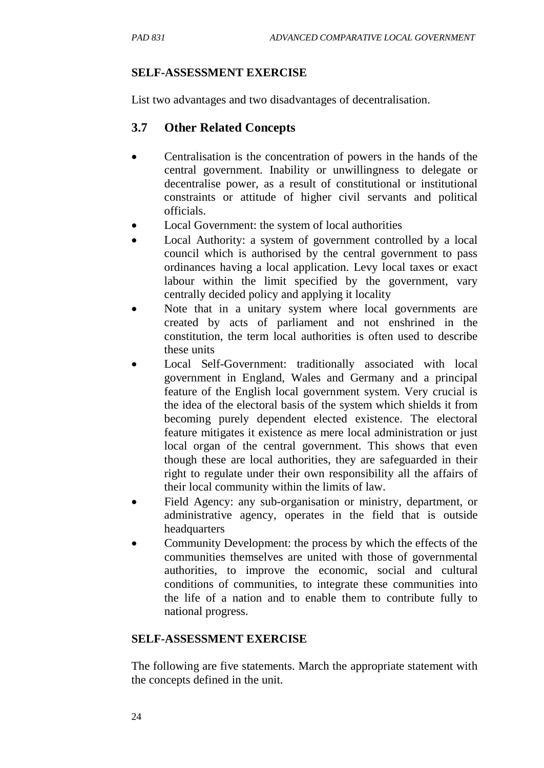### **SELF-ASSESSMENT EXERCISE**

List two advantages and two disadvantages of decentralisation.

# **3.7 Other Related Concepts**

- Centralisation is the concentration of powers in the hands of the central government. Inability or unwillingness to delegate or decentralise power, as a result of constitutional or institutional constraints or attitude of higher civil servants and political officials.
- Local Government: the system of local authorities
- Local Authority: a system of government controlled by a local council which is authorised by the central government to pass ordinances having a local application. Levy local taxes or exact labour within the limit specified by the government, vary centrally decided policy and applying it locality
- Note that in a unitary system where local governments are created by acts of parliament and not enshrined in the constitution, the term local authorities is often used to describe these units
- Local Self-Government: traditionally associated with local government in England, Wales and Germany and a principal feature of the English local government system. Very crucial is the idea of the electoral basis of the system which shields it from becoming purely dependent elected existence. The electoral feature mitigates it existence as mere local administration or just local organ of the central government. This shows that even though these are local authorities, they are safeguarded in their right to regulate under their own responsibility all the affairs of their local community within the limits of law.
- Field Agency: any sub-organisation or ministry, department, or administrative agency, operates in the field that is outside headquarters
- Community Development: the process by which the effects of the communities themselves are united with those of governmental authorities, to improve the economic, social and cultural conditions of communities, to integrate these communities into the life of a nation and to enable them to contribute fully to national progress.

# **SELF-ASSESSMENT EXERCISE**

The following are five statements. March the appropriate statement with the concepts defined in the unit.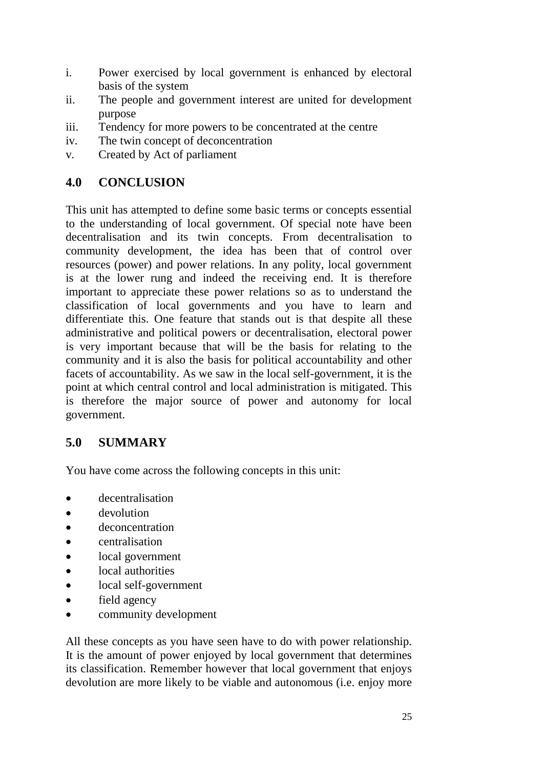- i. Power exercised by local government is enhanced by electoral basis of the system
- ii. The people and government interest are united for development purpose
- iii. Tendency for more powers to be concentrated at the centre
- iv. The twin concept of deconcentration
- v. Created by Act of parliament

## **4.0 CONCLUSION**

This unit has attempted to define some basic terms or concepts essential to the understanding of local government. Of special note have been decentralisation and its twin concepts. From decentralisation to community development, the idea has been that of control over resources (power) and power relations. In any polity, local government is at the lower rung and indeed the receiving end. It is therefore important to appreciate these power relations so as to understand the classification of local governments and you have to learn and differentiate this. One feature that stands out is that despite all these administrative and political powers or decentralisation, electoral power is very important because that will be the basis for relating to the community and it is also the basis for political accountability and other facets of accountability. As we saw in the local self-government, it is the point at which central control and local administration is mitigated. This is therefore the major source of power and autonomy for local government.

## **5.0 SUMMARY**

You have come across the following concepts in this unit:

- decentralisation
- devolution
- deconcentration
- centralisation
- local government
- local authorities
- local self-government
- field agency
- community development

All these concepts as you have seen have to do with power relationship. It is the amount of power enjoyed by local government that determines its classification. Remember however that local government that enjoys devolution are more likely to be viable and autonomous (i.e. enjoy more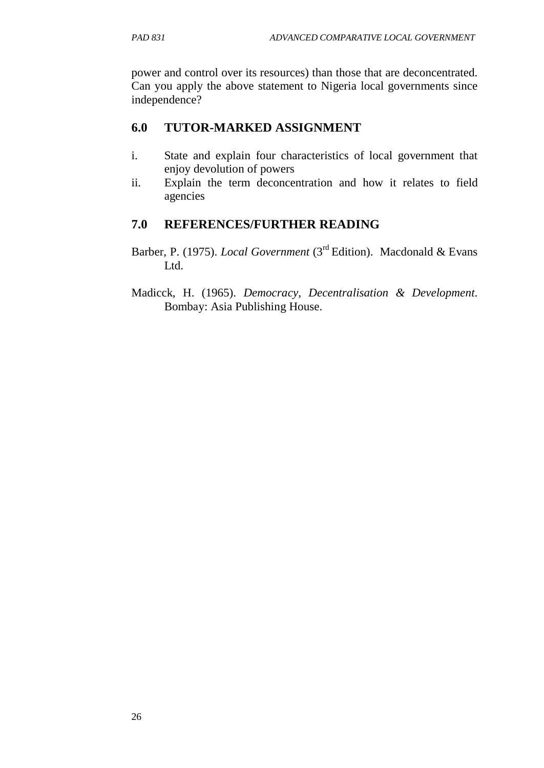power and control over its resources) than those that are deconcentrated. Can you apply the above statement to Nigeria local governments since independence?

## **6.0 TUTOR-MARKED ASSIGNMENT**

- i. State and explain four characteristics of local government that enjoy devolution of powers
- ii. Explain the term deconcentration and how it relates to field agencies

# **7.0 REFERENCES/FURTHER READING**

- Barber, P. (1975). *Local Government* (3rd Edition). Macdonald & Evans Ltd.
- Madicck, H. (1965). *Democracy, Decentralisation & Development*. Bombay: Asia Publishing House.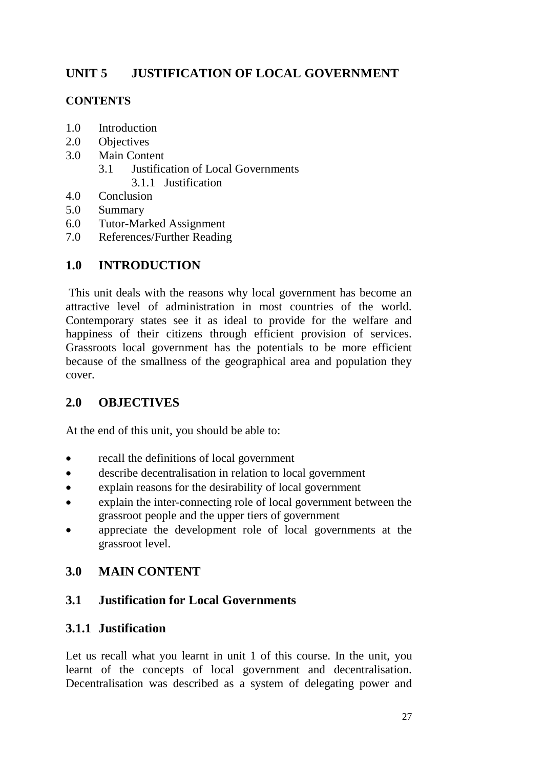# **UNIT 5 JUSTIFICATION OF LOCAL GOVERNMENT**

## **CONTENTS**

- 1.0 Introduction
- 2.0 Objectives
- 3.0 Main Content
	- 3.1 Justification of Local Governments
		- 3.1.1 Justification
- 4.0 Conclusion
- 5.0 Summary
- 6.0 Tutor-Marked Assignment
- 7.0 References/Further Reading

# **1.0 INTRODUCTION**

This unit deals with the reasons why local government has become an attractive level of administration in most countries of the world. Contemporary states see it as ideal to provide for the welfare and happiness of their citizens through efficient provision of services. Grassroots local government has the potentials to be more efficient because of the smallness of the geographical area and population they cover.

# **2.0 OBJECTIVES**

At the end of this unit, you should be able to:

- recall the definitions of local government
- describe decentralisation in relation to local government
- explain reasons for the desirability of local government
- explain the inter-connecting role of local government between the grassroot people and the upper tiers of government
- appreciate the development role of local governments at the grassroot level.

# **3.0 MAIN CONTENT**

# **3.1 Justification for Local Governments**

# **3.1.1 Justification**

Let us recall what you learnt in unit 1 of this course. In the unit, you learnt of the concepts of local government and decentralisation. Decentralisation was described as a system of delegating power and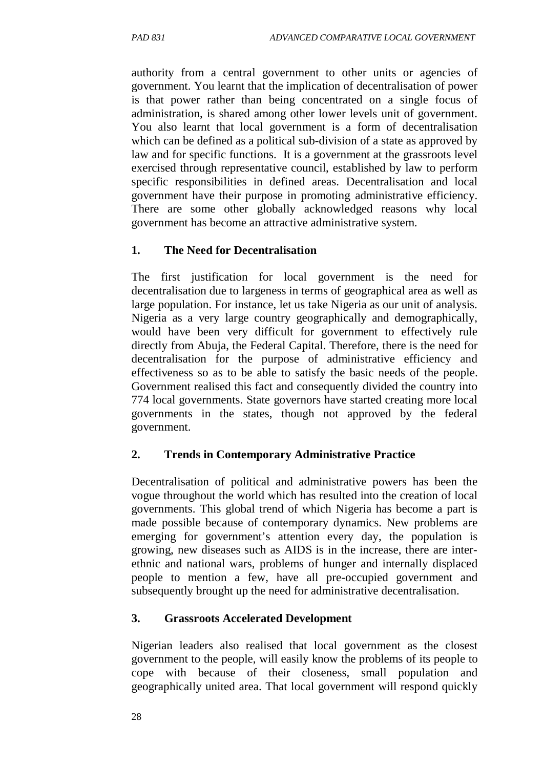authority from a central government to other units or agencies of government. You learnt that the implication of decentralisation of power is that power rather than being concentrated on a single focus of administration, is shared among other lower levels unit of government. You also learnt that local government is a form of decentralisation which can be defined as a political sub-division of a state as approved by law and for specific functions. It is a government at the grassroots level exercised through representative council, established by law to perform specific responsibilities in defined areas. Decentralisation and local government have their purpose in promoting administrative efficiency. There are some other globally acknowledged reasons why local government has become an attractive administrative system.

#### **1. The Need for Decentralisation**

The first justification for local government is the need for decentralisation due to largeness in terms of geographical area as well as large population. For instance, let us take Nigeria as our unit of analysis. Nigeria as a very large country geographically and demographically, would have been very difficult for government to effectively rule directly from Abuja, the Federal Capital. Therefore, there is the need for decentralisation for the purpose of administrative efficiency and effectiveness so as to be able to satisfy the basic needs of the people. Government realised this fact and consequently divided the country into 774 local governments. State governors have started creating more local governments in the states, though not approved by the federal government.

#### **2. Trends in Contemporary Administrative Practice**

Decentralisation of political and administrative powers has been the vogue throughout the world which has resulted into the creation of local governments. This global trend of which Nigeria has become a part is made possible because of contemporary dynamics. New problems are emerging for government's attention every day, the population is growing, new diseases such as AIDS is in the increase, there are interethnic and national wars, problems of hunger and internally displaced people to mention a few, have all pre-occupied government and subsequently brought up the need for administrative decentralisation.

#### **3. Grassroots Accelerated Development**

Nigerian leaders also realised that local government as the closest government to the people, will easily know the problems of its people to cope with because of their closeness, small population and geographically united area. That local government will respond quickly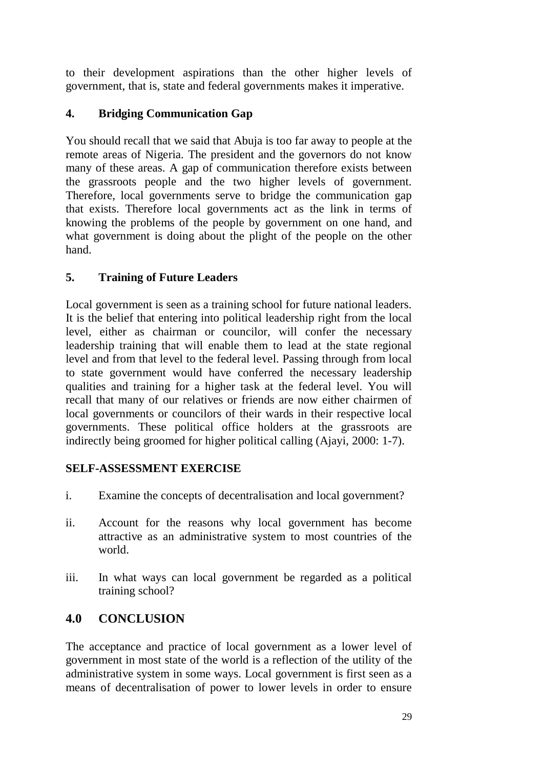to their development aspirations than the other higher levels of government, that is, state and federal governments makes it imperative.

# **4. Bridging Communication Gap**

You should recall that we said that Abuja is too far away to people at the remote areas of Nigeria. The president and the governors do not know many of these areas. A gap of communication therefore exists between the grassroots people and the two higher levels of government. Therefore, local governments serve to bridge the communication gap that exists. Therefore local governments act as the link in terms of knowing the problems of the people by government on one hand, and what government is doing about the plight of the people on the other hand.

## **5. Training of Future Leaders**

Local government is seen as a training school for future national leaders. It is the belief that entering into political leadership right from the local level, either as chairman or councilor, will confer the necessary leadership training that will enable them to lead at the state regional level and from that level to the federal level. Passing through from local to state government would have conferred the necessary leadership qualities and training for a higher task at the federal level. You will recall that many of our relatives or friends are now either chairmen of local governments or councilors of their wards in their respective local governments. These political office holders at the grassroots are indirectly being groomed for higher political calling (Ajayi, 2000: 1-7).

## **SELF-ASSESSMENT EXERCISE**

- i. Examine the concepts of decentralisation and local government?
- ii. Account for the reasons why local government has become attractive as an administrative system to most countries of the world.
- iii. In what ways can local government be regarded as a political training school?

# **4.0 CONCLUSION**

The acceptance and practice of local government as a lower level of government in most state of the world is a reflection of the utility of the administrative system in some ways. Local government is first seen as a means of decentralisation of power to lower levels in order to ensure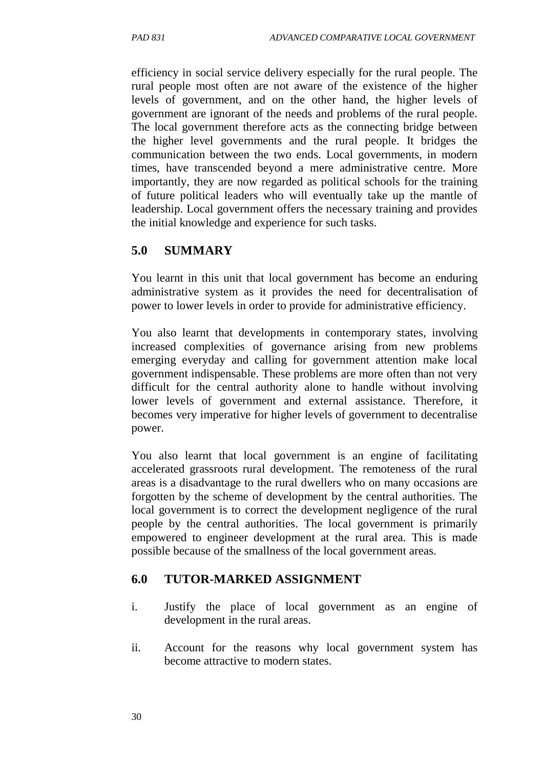efficiency in social service delivery especially for the rural people. The rural people most often are not aware of the existence of the higher levels of government, and on the other hand, the higher levels of government are ignorant of the needs and problems of the rural people. The local government therefore acts as the connecting bridge between the higher level governments and the rural people. It bridges the communication between the two ends. Local governments, in modern times, have transcended beyond a mere administrative centre. More importantly, they are now regarded as political schools for the training of future political leaders who will eventually take up the mantle of leadership. Local government offers the necessary training and provides the initial knowledge and experience for such tasks.

## **5.0 SUMMARY**

You learnt in this unit that local government has become an enduring administrative system as it provides the need for decentralisation of power to lower levels in order to provide for administrative efficiency.

You also learnt that developments in contemporary states, involving increased complexities of governance arising from new problems emerging everyday and calling for government attention make local government indispensable. These problems are more often than not very difficult for the central authority alone to handle without involving lower levels of government and external assistance. Therefore, it becomes very imperative for higher levels of government to decentralise power.

You also learnt that local government is an engine of facilitating accelerated grassroots rural development. The remoteness of the rural areas is a disadvantage to the rural dwellers who on many occasions are forgotten by the scheme of development by the central authorities. The local government is to correct the development negligence of the rural people by the central authorities. The local government is primarily empowered to engineer development at the rural area. This is made possible because of the smallness of the local government areas.

## **6.0 TUTOR-MARKED ASSIGNMENT**

- i. Justify the place of local government as an engine of development in the rural areas.
- ii. Account for the reasons why local government system has become attractive to modern states.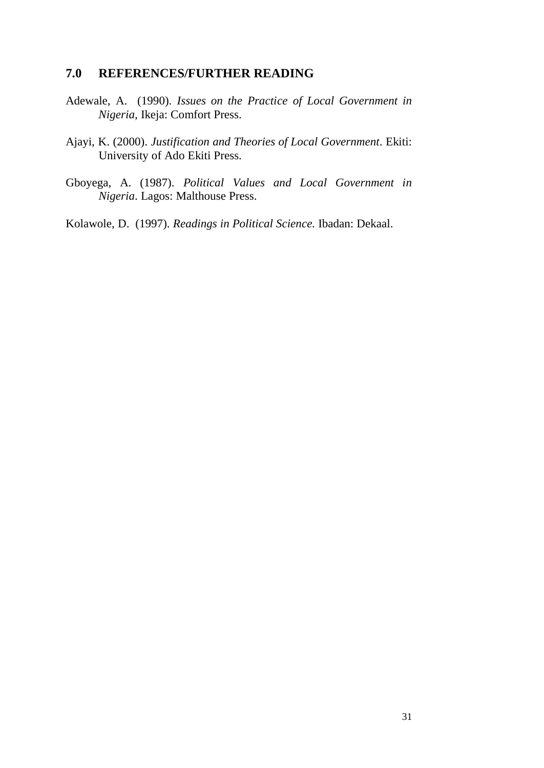#### **7.0 REFERENCES/FURTHER READING**

- Adewale, A. (1990). *Issues on the Practice of Local Government in Nigeria,* Ikeja: Comfort Press.
- Ajayi, K. (2000). *Justification and Theories of Local Government*. Ekiti: University of Ado Ekiti Press.
- Gboyega, A. (1987). *Political Values and Local Government in Nigeria*. Lagos: Malthouse Press.

Kolawole, D. (1997). *Readings in Political Science.* Ibadan: Dekaal.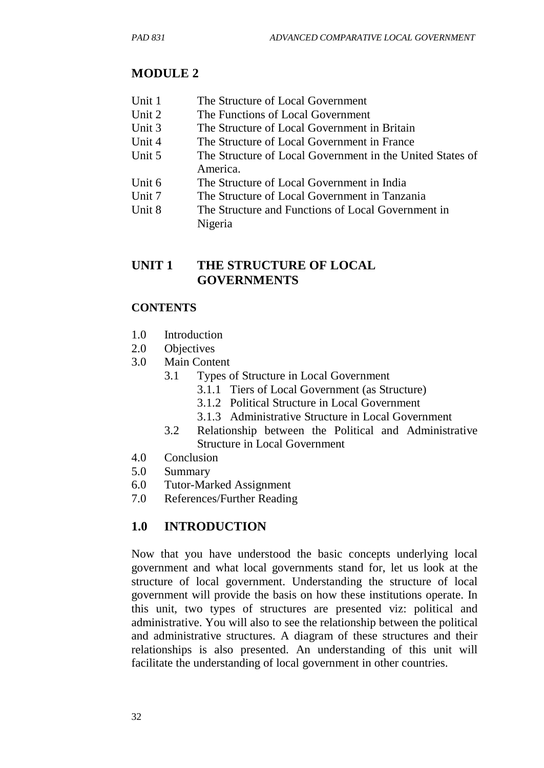# **MODULE 2**

- Unit 1 The Structure of Local Government
- Unit 2 The Functions of Local Government
- Unit 3 The Structure of Local Government in Britain
- Unit 4 The Structure of Local Government in France
- Unit 5 The Structure of Local Government in the United States of America.
- Unit 6 The Structure of Local Government in India
- Unit 7 The Structure of Local Government in Tanzania
- Unit 8 The Structure and Functions of Local Government in Nigeria

# **UNIT 1 THE STRUCTURE OF LOCAL GOVERNMENTS**

## **CONTENTS**

- 1.0 Introduction
- 2.0 Objectives
- 3.0 Main Content
	- 3.1 Types of Structure in Local Government
		- 3.1.1 Tiers of Local Government (as Structure)
		- 3.1.2 Political Structure in Local Government
		- 3.1.3 Administrative Structure in Local Government
	- 3.2 Relationship between the Political and Administrative Structure in Local Government
- 4.0 Conclusion
- 5.0 Summary
- 6.0 Tutor-Marked Assignment
- 7.0 References/Further Reading

# **1.0 INTRODUCTION**

Now that you have understood the basic concepts underlying local government and what local governments stand for, let us look at the structure of local government. Understanding the structure of local government will provide the basis on how these institutions operate. In this unit, two types of structures are presented viz: political and administrative. You will also to see the relationship between the political and administrative structures. A diagram of these structures and their relationships is also presented. An understanding of this unit will facilitate the understanding of local government in other countries.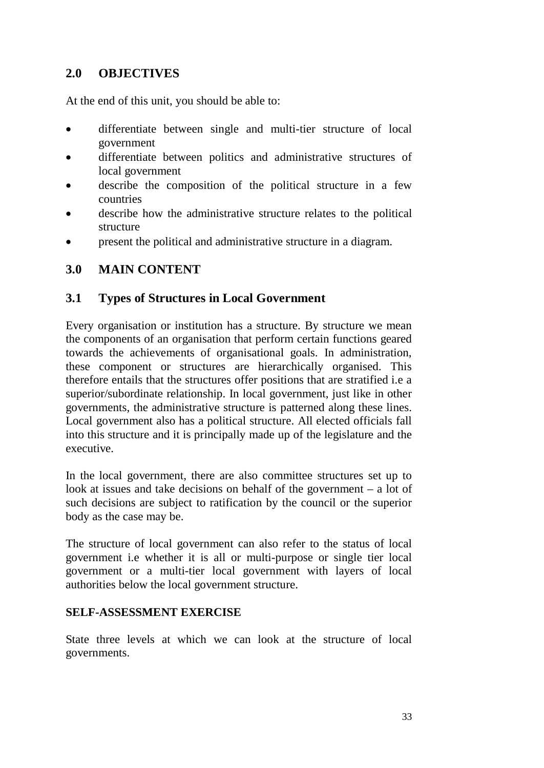## **2.0 OBJECTIVES**

At the end of this unit, you should be able to:

- differentiate between single and multi-tier structure of local government
- differentiate between politics and administrative structures of local government
- describe the composition of the political structure in a few countries
- describe how the administrative structure relates to the political structure
- present the political and administrative structure in a diagram.

## **3.0 MAIN CONTENT**

### **3.1 Types of Structures in Local Government**

Every organisation or institution has a structure. By structure we mean the components of an organisation that perform certain functions geared towards the achievements of organisational goals. In administration, these component or structures are hierarchically organised. This therefore entails that the structures offer positions that are stratified i.e a superior/subordinate relationship. In local government, just like in other governments, the administrative structure is patterned along these lines. Local government also has a political structure. All elected officials fall into this structure and it is principally made up of the legislature and the executive.

In the local government, there are also committee structures set up to look at issues and take decisions on behalf of the government – a lot of such decisions are subject to ratification by the council or the superior body as the case may be.

The structure of local government can also refer to the status of local government i.e whether it is all or multi-purpose or single tier local government or a multi-tier local government with layers of local authorities below the local government structure.

#### **SELF-ASSESSMENT EXERCISE**

State three levels at which we can look at the structure of local governments.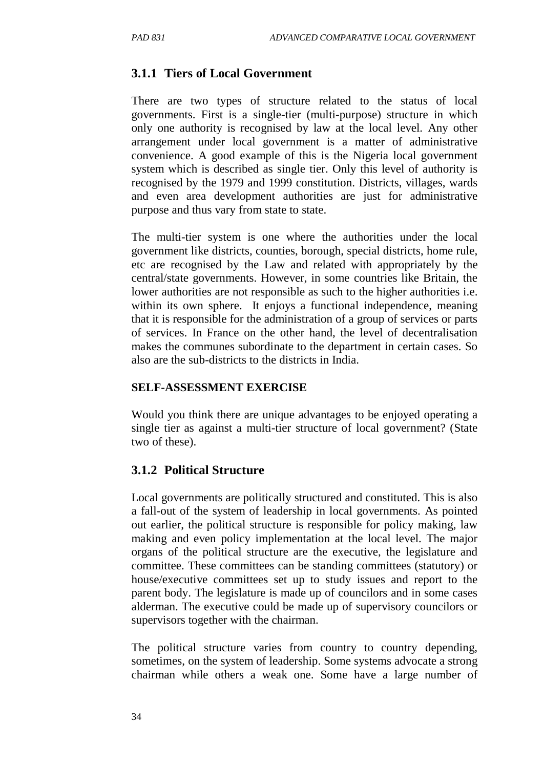### **3.1.1 Tiers of Local Government**

There are two types of structure related to the status of local governments. First is a single-tier (multi-purpose) structure in which only one authority is recognised by law at the local level. Any other arrangement under local government is a matter of administrative convenience. A good example of this is the Nigeria local government system which is described as single tier. Only this level of authority is recognised by the 1979 and 1999 constitution. Districts, villages, wards and even area development authorities are just for administrative purpose and thus vary from state to state.

The multi-tier system is one where the authorities under the local government like districts, counties, borough, special districts, home rule, etc are recognised by the Law and related with appropriately by the central/state governments. However, in some countries like Britain, the lower authorities are not responsible as such to the higher authorities i.e. within its own sphere. It enjoys a functional independence, meaning that it is responsible for the administration of a group of services or parts of services. In France on the other hand, the level of decentralisation makes the communes subordinate to the department in certain cases. So also are the sub-districts to the districts in India.

#### **SELF-ASSESSMENT EXERCISE**

Would you think there are unique advantages to be enjoyed operating a single tier as against a multi-tier structure of local government? (State two of these).

#### **3.1.2 Political Structure**

Local governments are politically structured and constituted. This is also a fall-out of the system of leadership in local governments. As pointed out earlier, the political structure is responsible for policy making, law making and even policy implementation at the local level. The major organs of the political structure are the executive, the legislature and committee. These committees can be standing committees (statutory) or house/executive committees set up to study issues and report to the parent body. The legislature is made up of councilors and in some cases alderman. The executive could be made up of supervisory councilors or supervisors together with the chairman.

The political structure varies from country to country depending, sometimes, on the system of leadership. Some systems advocate a strong chairman while others a weak one. Some have a large number of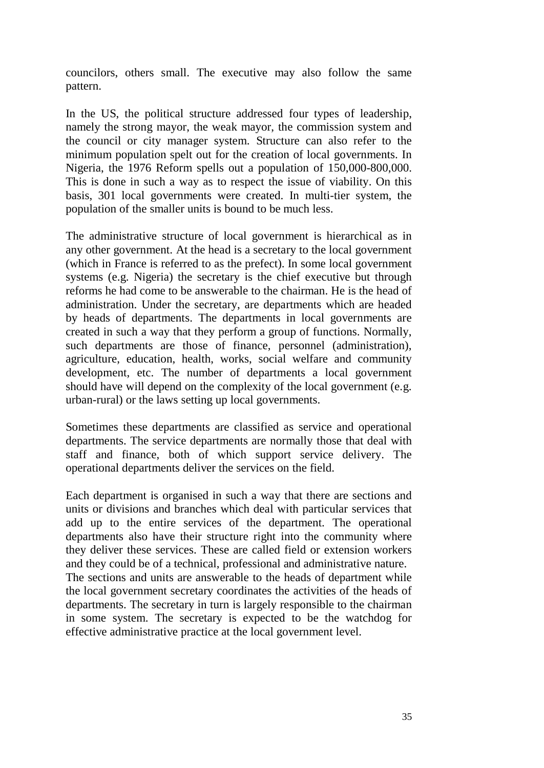councilors, others small. The executive may also follow the same pattern.

In the US, the political structure addressed four types of leadership, namely the strong mayor, the weak mayor, the commission system and the council or city manager system. Structure can also refer to the minimum population spelt out for the creation of local governments. In Nigeria, the 1976 Reform spells out a population of 150,000-800,000. This is done in such a way as to respect the issue of viability. On this basis, 301 local governments were created. In multi-tier system, the population of the smaller units is bound to be much less.

The administrative structure of local government is hierarchical as in any other government. At the head is a secretary to the local government (which in France is referred to as the prefect). In some local government systems (e.g. Nigeria) the secretary is the chief executive but through reforms he had come to be answerable to the chairman. He is the head of administration. Under the secretary, are departments which are headed by heads of departments. The departments in local governments are created in such a way that they perform a group of functions. Normally, such departments are those of finance, personnel (administration), agriculture, education, health, works, social welfare and community development, etc. The number of departments a local government should have will depend on the complexity of the local government (e.g. urban-rural) or the laws setting up local governments.

Sometimes these departments are classified as service and operational departments. The service departments are normally those that deal with staff and finance, both of which support service delivery. The operational departments deliver the services on the field.

Each department is organised in such a way that there are sections and units or divisions and branches which deal with particular services that add up to the entire services of the department. The operational departments also have their structure right into the community where they deliver these services. These are called field or extension workers and they could be of a technical, professional and administrative nature.

The sections and units are answerable to the heads of department while the local government secretary coordinates the activities of the heads of departments. The secretary in turn is largely responsible to the chairman in some system. The secretary is expected to be the watchdog for effective administrative practice at the local government level.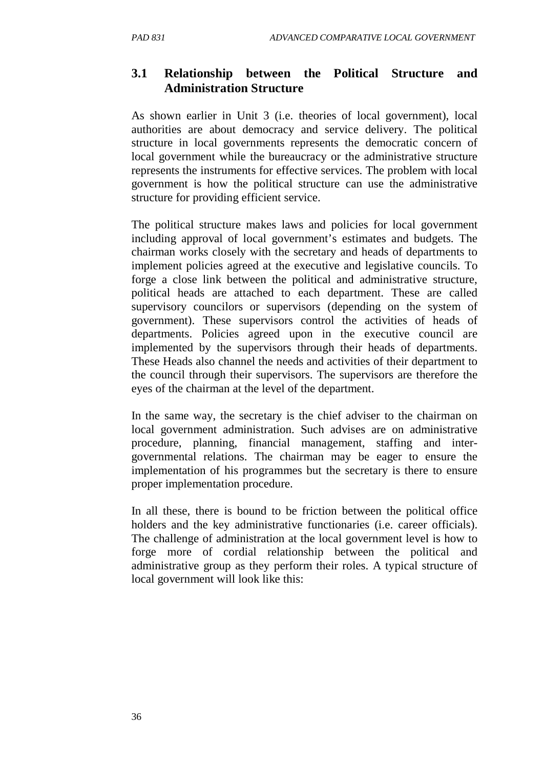# **3.1 Relationship between the Political Structure and Administration Structure**

As shown earlier in Unit 3 (i.e. theories of local government), local authorities are about democracy and service delivery. The political structure in local governments represents the democratic concern of local government while the bureaucracy or the administrative structure represents the instruments for effective services. The problem with local government is how the political structure can use the administrative structure for providing efficient service.

The political structure makes laws and policies for local government including approval of local government's estimates and budgets. The chairman works closely with the secretary and heads of departments to implement policies agreed at the executive and legislative councils. To forge a close link between the political and administrative structure, political heads are attached to each department. These are called supervisory councilors or supervisors (depending on the system of government). These supervisors control the activities of heads of departments. Policies agreed upon in the executive council are implemented by the supervisors through their heads of departments. These Heads also channel the needs and activities of their department to the council through their supervisors. The supervisors are therefore the eyes of the chairman at the level of the department.

In the same way, the secretary is the chief adviser to the chairman on local government administration. Such advises are on administrative procedure, planning, financial management, staffing and intergovernmental relations. The chairman may be eager to ensure the implementation of his programmes but the secretary is there to ensure proper implementation procedure.

In all these, there is bound to be friction between the political office holders and the key administrative functionaries (i.e. career officials). The challenge of administration at the local government level is how to forge more of cordial relationship between the political and administrative group as they perform their roles. A typical structure of local government will look like this: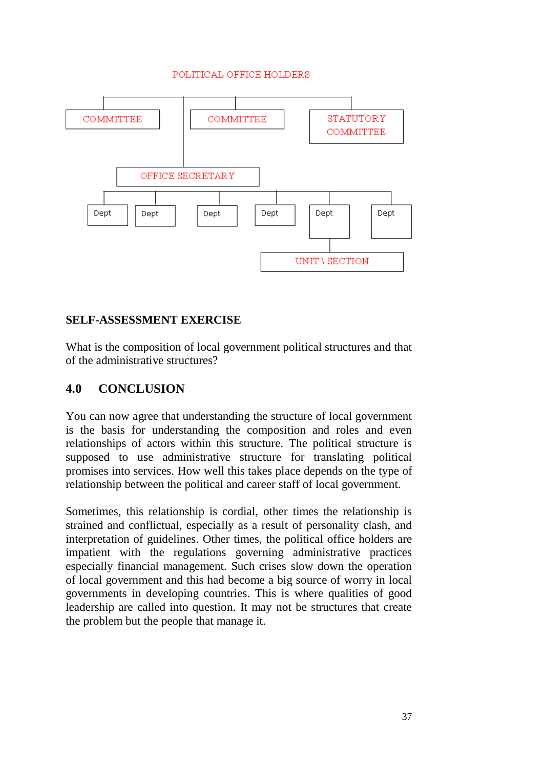#### POLITICAL OFFICE HOLDERS



#### **SELF-ASSESSMENT EXERCISE**

What is the composition of local government political structures and that of the administrative structures?

### **4.0 CONCLUSION**

You can now agree that understanding the structure of local government is the basis for understanding the composition and roles and even relationships of actors within this structure. The political structure is supposed to use administrative structure for translating political promises into services. How well this takes place depends on the type of relationship between the political and career staff of local government.

Sometimes, this relationship is cordial, other times the relationship is strained and conflictual, especially as a result of personality clash, and interpretation of guidelines. Other times, the political office holders are impatient with the regulations governing administrative practices especially financial management. Such crises slow down the operation of local government and this had become a big source of worry in local governments in developing countries. This is where qualities of good leadership are called into question. It may not be structures that create the problem but the people that manage it.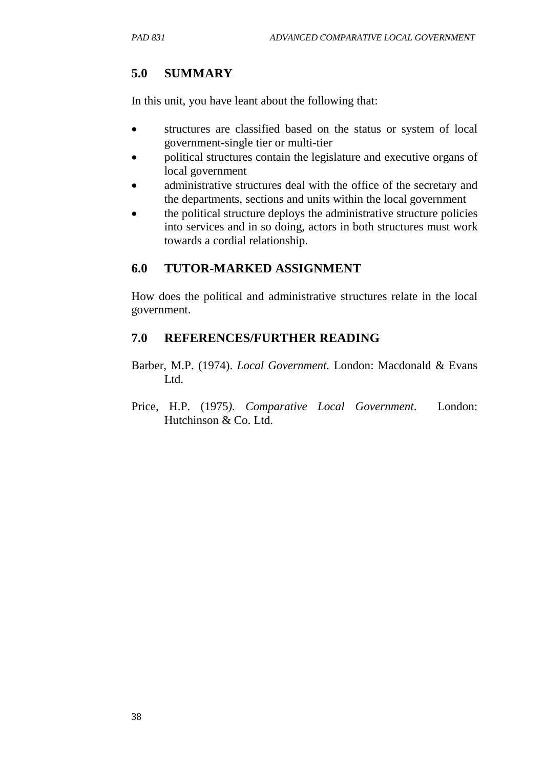## **5.0 SUMMARY**

In this unit, you have leant about the following that:

- structures are classified based on the status or system of local government-single tier or multi-tier
- political structures contain the legislature and executive organs of local government
- administrative structures deal with the office of the secretary and the departments, sections and units within the local government
- the political structure deploys the administrative structure policies into services and in so doing, actors in both structures must work towards a cordial relationship.

#### **6.0 TUTOR-MARKED ASSIGNMENT**

How does the political and administrative structures relate in the local government.

#### **7.0 REFERENCES/FURTHER READING**

- Barber, M.P. (1974). *Local Government.* London: Macdonald & Evans Ltd.
- Price, H.P. (1975*). Comparative Local Government*. London: Hutchinson & Co. Ltd.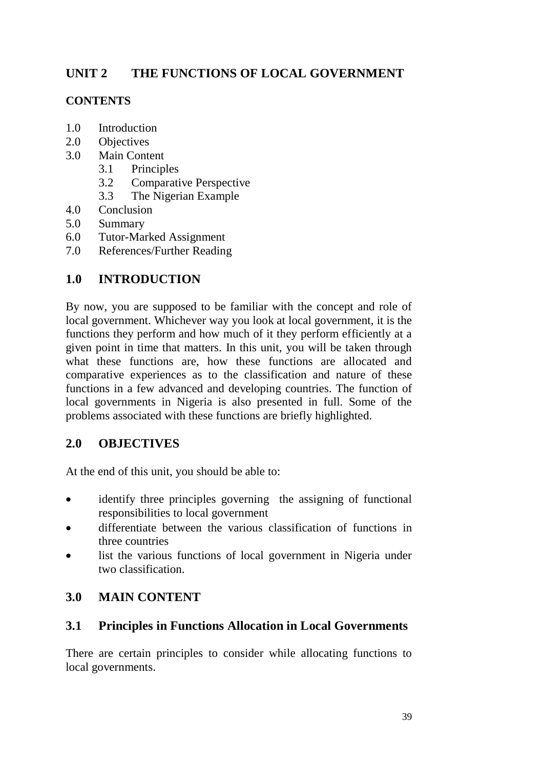# **UNIT 2 THE FUNCTIONS OF LOCAL GOVERNMENT**

## **CONTENTS**

- 1.0 Introduction
- 2.0 Objectives
- 3.0 Main Content
	- 3.1 Principles
	- 3.2 Comparative Perspective
	- 3.3 The Nigerian Example
- 4.0 Conclusion
- 5.0 Summary
- 6.0 Tutor-Marked Assignment
- 7.0 References/Further Reading

# **1.0 INTRODUCTION**

By now, you are supposed to be familiar with the concept and role of local government. Whichever way you look at local government, it is the functions they perform and how much of it they perform efficiently at a given point in time that matters. In this unit, you will be taken through what these functions are, how these functions are allocated and comparative experiences as to the classification and nature of these functions in a few advanced and developing countries. The function of local governments in Nigeria is also presented in full. Some of the problems associated with these functions are briefly highlighted.

# **2.0 OBJECTIVES**

At the end of this unit, you should be able to:

- identify three principles governing the assigning of functional responsibilities to local government
- differentiate between the various classification of functions in three countries
- list the various functions of local government in Nigeria under two classification.

# **3.0 MAIN CONTENT**

# **3.1 Principles in Functions Allocation in Local Governments**

There are certain principles to consider while allocating functions to local governments.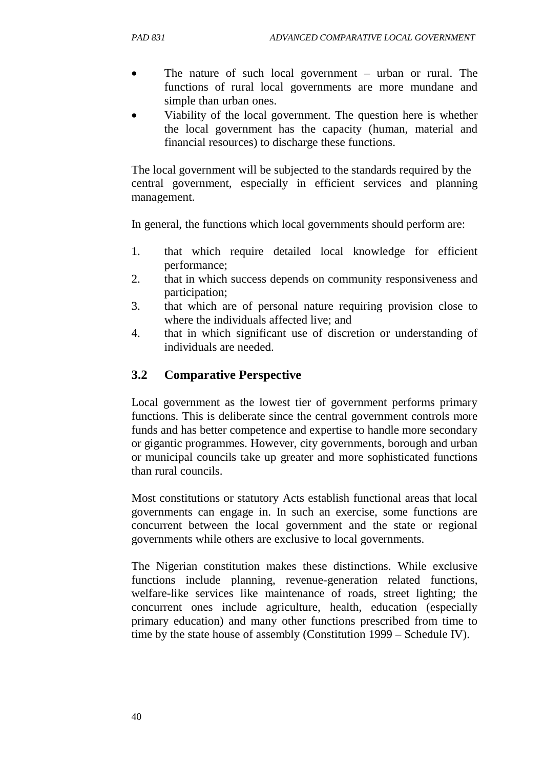- The nature of such local government urban or rural. The functions of rural local governments are more mundane and simple than urban ones.
- Viability of the local government. The question here is whether the local government has the capacity (human, material and financial resources) to discharge these functions.

The local government will be subjected to the standards required by the central government, especially in efficient services and planning management.

In general, the functions which local governments should perform are:

- 1. that which require detailed local knowledge for efficient performance;
- 2. that in which success depends on community responsiveness and participation;
- 3. that which are of personal nature requiring provision close to where the individuals affected live; and
- 4. that in which significant use of discretion or understanding of individuals are needed.

# **3.2 Comparative Perspective**

Local government as the lowest tier of government performs primary functions. This is deliberate since the central government controls more funds and has better competence and expertise to handle more secondary or gigantic programmes. However, city governments, borough and urban or municipal councils take up greater and more sophisticated functions than rural councils.

Most constitutions or statutory Acts establish functional areas that local governments can engage in. In such an exercise, some functions are concurrent between the local government and the state or regional governments while others are exclusive to local governments.

The Nigerian constitution makes these distinctions. While exclusive functions include planning, revenue-generation related functions, welfare-like services like maintenance of roads, street lighting; the concurrent ones include agriculture, health, education (especially primary education) and many other functions prescribed from time to time by the state house of assembly (Constitution 1999 – Schedule IV).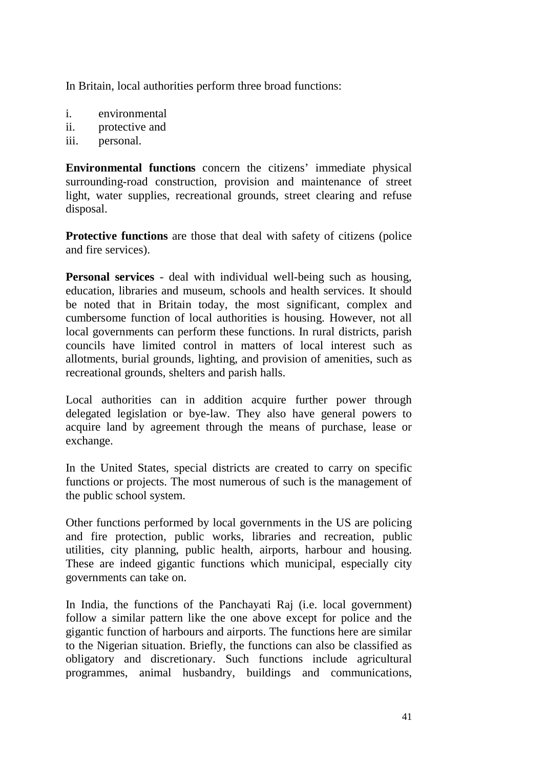In Britain, local authorities perform three broad functions:

- i. environmental
- ii. protective and
- iii. personal.

**Environmental functions** concern the citizens' immediate physical surrounding-road construction, provision and maintenance of street light, water supplies, recreational grounds, street clearing and refuse disposal.

**Protective functions** are those that deal with safety of citizens (police and fire services).

**Personal services** - deal with individual well-being such as housing, education, libraries and museum, schools and health services. It should be noted that in Britain today, the most significant, complex and cumbersome function of local authorities is housing. However, not all local governments can perform these functions. In rural districts, parish councils have limited control in matters of local interest such as allotments, burial grounds, lighting, and provision of amenities, such as recreational grounds, shelters and parish halls.

Local authorities can in addition acquire further power through delegated legislation or bye-law. They also have general powers to acquire land by agreement through the means of purchase, lease or exchange.

In the United States, special districts are created to carry on specific functions or projects. The most numerous of such is the management of the public school system.

Other functions performed by local governments in the US are policing and fire protection, public works, libraries and recreation, public utilities, city planning, public health, airports, harbour and housing. These are indeed gigantic functions which municipal, especially city governments can take on.

In India, the functions of the Panchayati Raj (i.e. local government) follow a similar pattern like the one above except for police and the gigantic function of harbours and airports. The functions here are similar to the Nigerian situation. Briefly, the functions can also be classified as obligatory and discretionary. Such functions include agricultural programmes, animal husbandry, buildings and communications,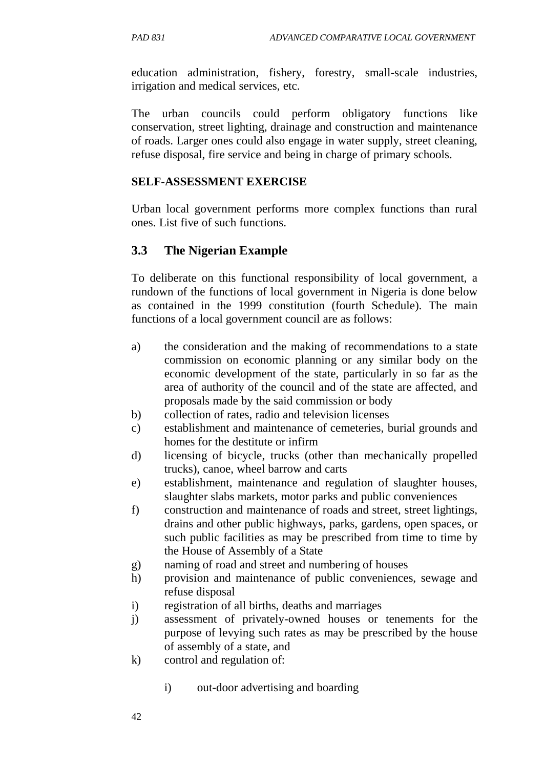education administration, fishery, forestry, small-scale industries, irrigation and medical services, etc.

The urban councils could perform obligatory functions like conservation, street lighting, drainage and construction and maintenance of roads. Larger ones could also engage in water supply, street cleaning, refuse disposal, fire service and being in charge of primary schools.

#### **SELF-ASSESSMENT EXERCISE**

Urban local government performs more complex functions than rural ones. List five of such functions.

### **3.3 The Nigerian Example**

To deliberate on this functional responsibility of local government, a rundown of the functions of local government in Nigeria is done below as contained in the 1999 constitution (fourth Schedule). The main functions of a local government council are as follows:

- a) the consideration and the making of recommendations to a state commission on economic planning or any similar body on the economic development of the state, particularly in so far as the area of authority of the council and of the state are affected, and proposals made by the said commission or body
- b) collection of rates, radio and television licenses
- c) establishment and maintenance of cemeteries, burial grounds and homes for the destitute or infirm
- d) licensing of bicycle, trucks (other than mechanically propelled trucks), canoe, wheel barrow and carts
- e) establishment, maintenance and regulation of slaughter houses, slaughter slabs markets, motor parks and public conveniences
- f) construction and maintenance of roads and street, street lightings, drains and other public highways, parks, gardens, open spaces, or such public facilities as may be prescribed from time to time by the House of Assembly of a State
- g) naming of road and street and numbering of houses
- h) provision and maintenance of public conveniences, sewage and refuse disposal
- i) registration of all births, deaths and marriages
- j) assessment of privately-owned houses or tenements for the purpose of levying such rates as may be prescribed by the house of assembly of a state, and
- k) control and regulation of:
	- i) out-door advertising and boarding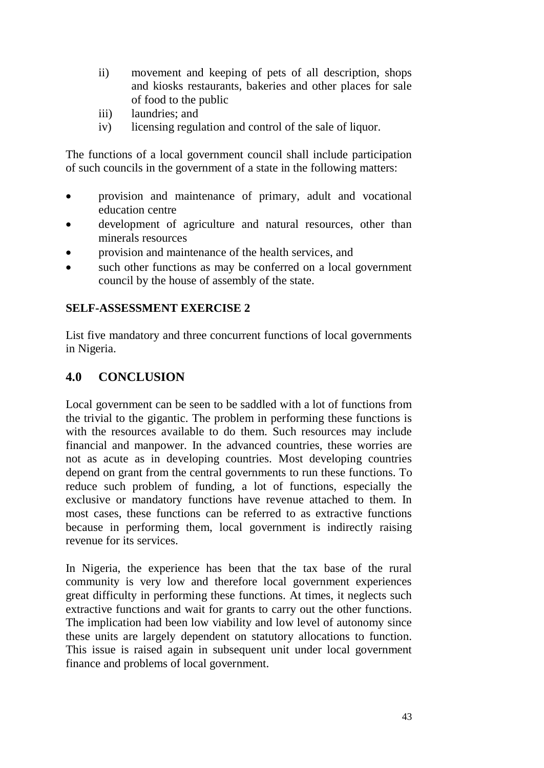- ii) movement and keeping of pets of all description, shops and kiosks restaurants, bakeries and other places for sale of food to the public
- iii) laundries; and
- iv) licensing regulation and control of the sale of liquor.

The functions of a local government council shall include participation of such councils in the government of a state in the following matters:

- provision and maintenance of primary, adult and vocational education centre
- development of agriculture and natural resources, other than minerals resources
- provision and maintenance of the health services, and
- such other functions as may be conferred on a local government council by the house of assembly of the state.

#### **SELF-ASSESSMENT EXERCISE 2**

List five mandatory and three concurrent functions of local governments in Nigeria.

#### **4.0 CONCLUSION**

Local government can be seen to be saddled with a lot of functions from the trivial to the gigantic. The problem in performing these functions is with the resources available to do them. Such resources may include financial and manpower. In the advanced countries, these worries are not as acute as in developing countries. Most developing countries depend on grant from the central governments to run these functions. To reduce such problem of funding, a lot of functions, especially the exclusive or mandatory functions have revenue attached to them. In most cases, these functions can be referred to as extractive functions because in performing them, local government is indirectly raising revenue for its services.

In Nigeria, the experience has been that the tax base of the rural community is very low and therefore local government experiences great difficulty in performing these functions. At times, it neglects such extractive functions and wait for grants to carry out the other functions. The implication had been low viability and low level of autonomy since these units are largely dependent on statutory allocations to function. This issue is raised again in subsequent unit under local government finance and problems of local government.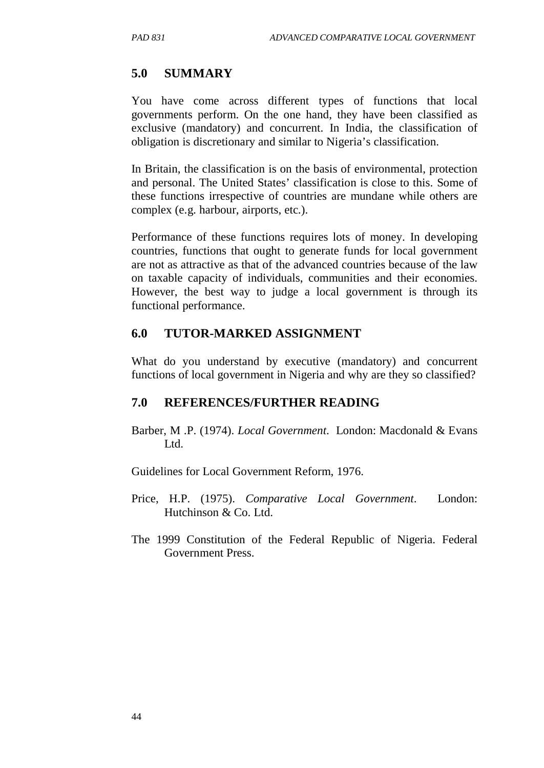### **5.0 SUMMARY**

You have come across different types of functions that local governments perform. On the one hand, they have been classified as exclusive (mandatory) and concurrent. In India, the classification of obligation is discretionary and similar to Nigeria's classification.

In Britain, the classification is on the basis of environmental, protection and personal. The United States' classification is close to this. Some of these functions irrespective of countries are mundane while others are complex (e.g. harbour, airports, etc.).

Performance of these functions requires lots of money. In developing countries, functions that ought to generate funds for local government are not as attractive as that of the advanced countries because of the law on taxable capacity of individuals, communities and their economies. However, the best way to judge a local government is through its functional performance.

#### **6.0 TUTOR-MARKED ASSIGNMENT**

What do you understand by executive (mandatory) and concurrent functions of local government in Nigeria and why are they so classified?

#### **7.0 REFERENCES/FURTHER READING**

Barber, M .P. (1974). *Local Government*. London: Macdonald & Evans Ltd.

Guidelines for Local Government Reform, 1976.

- Price, H.P. (1975). *Comparative Local Government*. London: Hutchinson & Co. Ltd.
- The 1999 Constitution of the Federal Republic of Nigeria. Federal Government Press.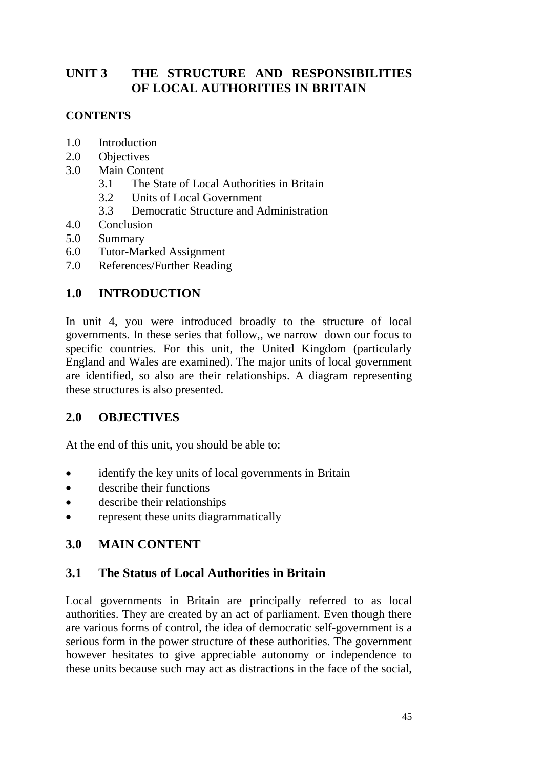# **UNIT 3 THE STRUCTURE AND RESPONSIBILITIES OF LOCAL AUTHORITIES IN BRITAIN**

### **CONTENTS**

- 1.0 Introduction
- 2.0 Objectives
- 3.0 Main Content
	- 3.1 The State of Local Authorities in Britain
	- 3.2 Units of Local Government
	- 3.3 Democratic Structure and Administration
- 4.0 Conclusion
- 5.0 Summary
- 6.0 Tutor-Marked Assignment
- 7.0 References/Further Reading

## **1.0 INTRODUCTION**

In unit 4, you were introduced broadly to the structure of local governments. In these series that follow,, we narrow down our focus to specific countries. For this unit, the United Kingdom (particularly England and Wales are examined). The major units of local government are identified, so also are their relationships. A diagram representing these structures is also presented.

### **2.0 OBJECTIVES**

At the end of this unit, you should be able to:

- identify the key units of local governments in Britain
- describe their functions
- describe their relationships
- represent these units diagrammatically

### **3.0 MAIN CONTENT**

### **3.1 The Status of Local Authorities in Britain**

Local governments in Britain are principally referred to as local authorities. They are created by an act of parliament. Even though there are various forms of control, the idea of democratic self-government is a serious form in the power structure of these authorities. The government however hesitates to give appreciable autonomy or independence to these units because such may act as distractions in the face of the social,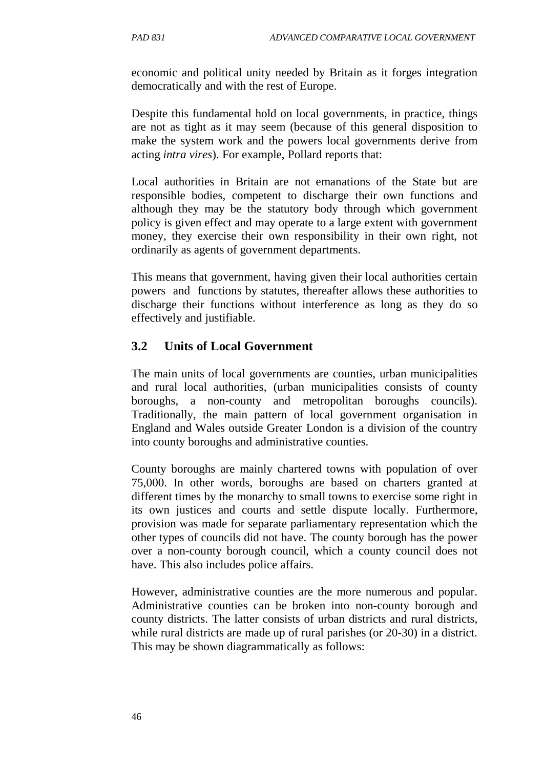economic and political unity needed by Britain as it forges integration democratically and with the rest of Europe.

Despite this fundamental hold on local governments, in practice, things are not as tight as it may seem (because of this general disposition to make the system work and the powers local governments derive from acting *intra vires*). For example, Pollard reports that:

Local authorities in Britain are not emanations of the State but are responsible bodies, competent to discharge their own functions and although they may be the statutory body through which government policy is given effect and may operate to a large extent with government money, they exercise their own responsibility in their own right, not ordinarily as agents of government departments.

This means that government, having given their local authorities certain powers and functions by statutes, thereafter allows these authorities to discharge their functions without interference as long as they do so effectively and justifiable.

## **3.2 Units of Local Government**

The main units of local governments are counties, urban municipalities and rural local authorities, (urban municipalities consists of county boroughs, a non-county and metropolitan boroughs councils). Traditionally, the main pattern of local government organisation in England and Wales outside Greater London is a division of the country into county boroughs and administrative counties.

County boroughs are mainly chartered towns with population of over 75,000. In other words, boroughs are based on charters granted at different times by the monarchy to small towns to exercise some right in its own justices and courts and settle dispute locally. Furthermore, provision was made for separate parliamentary representation which the other types of councils did not have. The county borough has the power over a non-county borough council, which a county council does not have. This also includes police affairs.

However, administrative counties are the more numerous and popular. Administrative counties can be broken into non-county borough and county districts. The latter consists of urban districts and rural districts, while rural districts are made up of rural parishes (or 20-30) in a district. This may be shown diagrammatically as follows: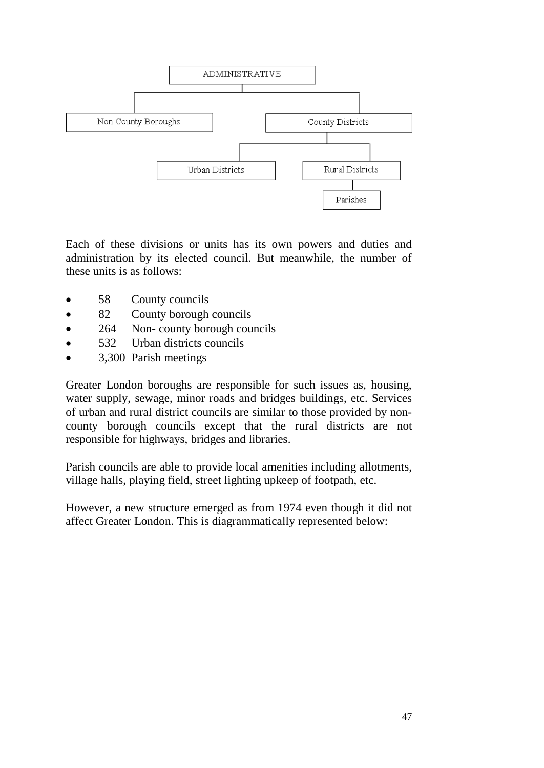

Each of these divisions or units has its own powers and duties and administration by its elected council. But meanwhile, the number of these units is as follows:

- 58 County councils
- 82 County borough councils
- 264 Non- county borough councils
- 532 Urban districts councils
- 3,300 Parish meetings

Greater London boroughs are responsible for such issues as, housing, water supply, sewage, minor roads and bridges buildings, etc. Services of urban and rural district councils are similar to those provided by noncounty borough councils except that the rural districts are not responsible for highways, bridges and libraries.

Parish councils are able to provide local amenities including allotments, village halls, playing field, street lighting upkeep of footpath, etc.

However, a new structure emerged as from 1974 even though it did not affect Greater London. This is diagrammatically represented below: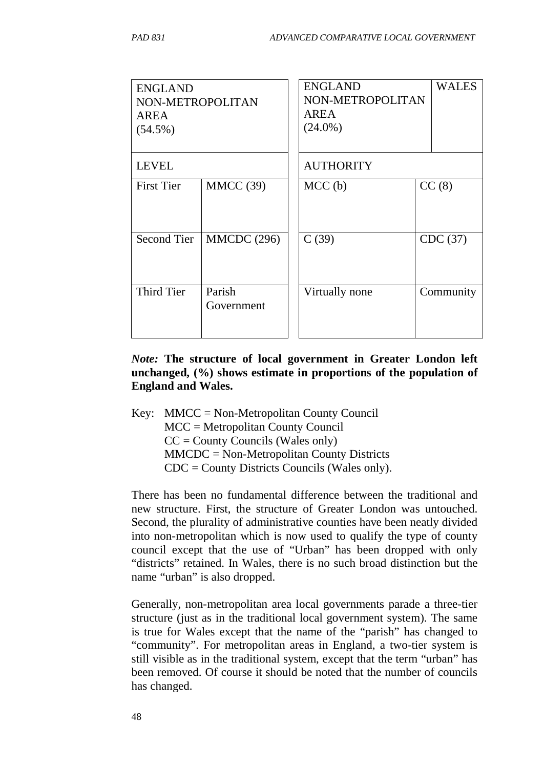| <b>ENGLAND</b><br>NON-METROPOLITAN<br><b>AREA</b><br>$(54.5\%)$ |                      | <b>ENGLAND</b><br>NON-METROPOLITAN<br><b>AREA</b><br>$(24.0\%)$ |  | WALES     |  |
|-----------------------------------------------------------------|----------------------|-----------------------------------------------------------------|--|-----------|--|
| <b>LEVEL</b>                                                    |                      | <b>AUTHORITY</b>                                                |  |           |  |
| <b>First Tier</b>                                               | MMCC (39)            | MCC <sub>(b)</sub>                                              |  | CC(8)     |  |
| Second Tier                                                     | <b>MMCDC</b> (296)   | C(39)                                                           |  | CDC (37)  |  |
| <b>Third Tier</b>                                               | Parish<br>Government | Virtually none                                                  |  | Community |  |

#### *Note:* **The structure of local government in Greater London left unchanged, (%) shows estimate in proportions of the population of England and Wales.**

Key: MMCC = Non-Metropolitan County Council MCC = Metropolitan County Council  $CC =$  County Councils (Wales only) MMCDC = Non-Metropolitan County Districts CDC = County Districts Councils (Wales only).

There has been no fundamental difference between the traditional and new structure. First, the structure of Greater London was untouched. Second, the plurality of administrative counties have been neatly divided into non-metropolitan which is now used to qualify the type of county council except that the use of "Urban" has been dropped with only "districts" retained. In Wales, there is no such broad distinction but the name "urban" is also dropped.

Generally, non-metropolitan area local governments parade a three-tier structure (just as in the traditional local government system). The same is true for Wales except that the name of the "parish" has changed to "community". For metropolitan areas in England, a two-tier system is still visible as in the traditional system, except that the term "urban" has been removed. Of course it should be noted that the number of councils has changed.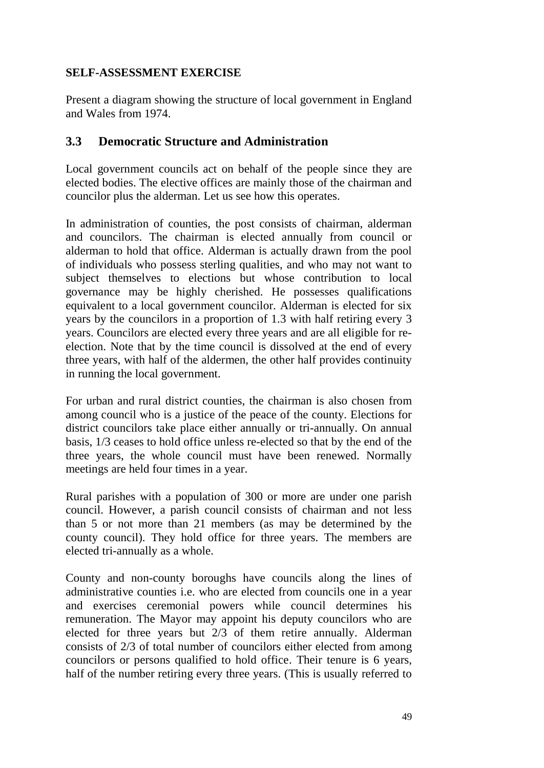#### **SELF-ASSESSMENT EXERCISE**

Present a diagram showing the structure of local government in England and Wales from 1974.

### **3.3 Democratic Structure and Administration**

Local government councils act on behalf of the people since they are elected bodies. The elective offices are mainly those of the chairman and councilor plus the alderman. Let us see how this operates.

In administration of counties, the post consists of chairman, alderman and councilors. The chairman is elected annually from council or alderman to hold that office. Alderman is actually drawn from the pool of individuals who possess sterling qualities, and who may not want to subject themselves to elections but whose contribution to local governance may be highly cherished. He possesses qualifications equivalent to a local government councilor. Alderman is elected for six years by the councilors in a proportion of 1.3 with half retiring every 3 years. Councilors are elected every three years and are all eligible for reelection. Note that by the time council is dissolved at the end of every three years, with half of the aldermen, the other half provides continuity in running the local government.

For urban and rural district counties, the chairman is also chosen from among council who is a justice of the peace of the county. Elections for district councilors take place either annually or tri-annually. On annual basis, 1/3 ceases to hold office unless re-elected so that by the end of the three years, the whole council must have been renewed. Normally meetings are held four times in a year.

Rural parishes with a population of 300 or more are under one parish council. However, a parish council consists of chairman and not less than 5 or not more than 21 members (as may be determined by the county council). They hold office for three years. The members are elected tri-annually as a whole.

County and non-county boroughs have councils along the lines of administrative counties i.e. who are elected from councils one in a year and exercises ceremonial powers while council determines his remuneration. The Mayor may appoint his deputy councilors who are elected for three years but 2/3 of them retire annually. Alderman consists of 2/3 of total number of councilors either elected from among councilors or persons qualified to hold office. Their tenure is 6 years, half of the number retiring every three years. (This is usually referred to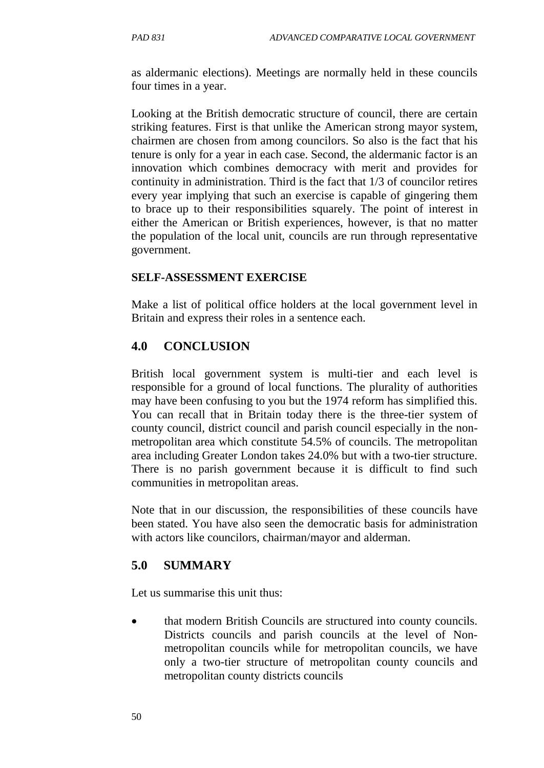as aldermanic elections). Meetings are normally held in these councils four times in a year.

Looking at the British democratic structure of council, there are certain striking features. First is that unlike the American strong mayor system, chairmen are chosen from among councilors. So also is the fact that his tenure is only for a year in each case. Second, the aldermanic factor is an innovation which combines democracy with merit and provides for continuity in administration. Third is the fact that 1/3 of councilor retires every year implying that such an exercise is capable of gingering them to brace up to their responsibilities squarely. The point of interest in either the American or British experiences, however, is that no matter the population of the local unit, councils are run through representative government.

#### **SELF-ASSESSMENT EXERCISE**

Make a list of political office holders at the local government level in Britain and express their roles in a sentence each.

### **4.0 CONCLUSION**

British local government system is multi-tier and each level is responsible for a ground of local functions. The plurality of authorities may have been confusing to you but the 1974 reform has simplified this. You can recall that in Britain today there is the three-tier system of county council, district council and parish council especially in the nonmetropolitan area which constitute 54.5% of councils. The metropolitan area including Greater London takes 24.0% but with a two-tier structure. There is no parish government because it is difficult to find such communities in metropolitan areas.

Note that in our discussion, the responsibilities of these councils have been stated. You have also seen the democratic basis for administration with actors like councilors, chairman/mayor and alderman.

### **5.0 SUMMARY**

Let us summarise this unit thus:

• that modern British Councils are structured into county councils. Districts councils and parish councils at the level of Nonmetropolitan councils while for metropolitan councils, we have only a two-tier structure of metropolitan county councils and metropolitan county districts councils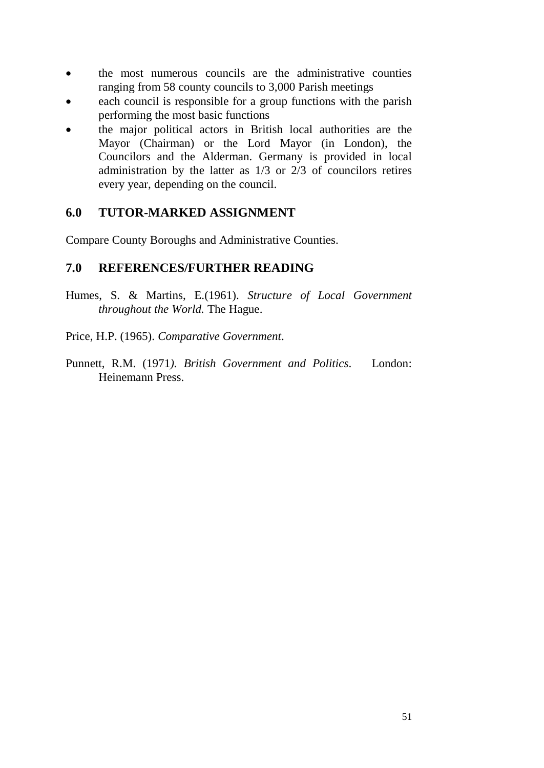- the most numerous councils are the administrative counties ranging from 58 county councils to 3,000 Parish meetings
- each council is responsible for a group functions with the parish performing the most basic functions
- the major political actors in British local authorities are the Mayor (Chairman) or the Lord Mayor (in London), the Councilors and the Alderman. Germany is provided in local administration by the latter as 1/3 or 2/3 of councilors retires every year, depending on the council.

#### **6.0 TUTOR-MARKED ASSIGNMENT**

Compare County Boroughs and Administrative Counties.

#### **7.0 REFERENCES/FURTHER READING**

- Humes, S. & Martins, E.(1961). *Structure of Local Government throughout the World.* The Hague.
- Price, H.P. (1965). *Comparative Government*.
- Punnett, R.M. (1971*). British Government and Politics*. London: Heinemann Press.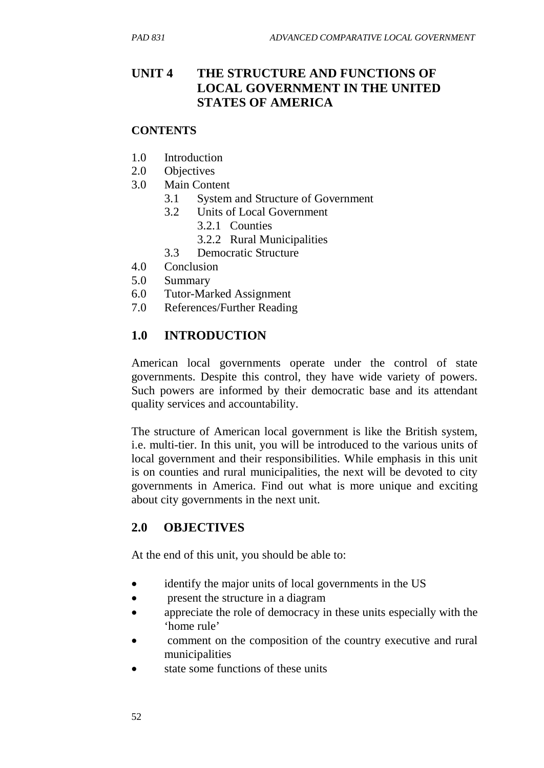# **UNIT 4 THE STRUCTURE AND FUNCTIONS OF LOCAL GOVERNMENT IN THE UNITED STATES OF AMERICA**

#### **CONTENTS**

- 1.0 Introduction
- 2.0 Objectives
- 3.0 Main Content
	- 3.1 System and Structure of Government
	- 3.2 Units of Local Government
		- 3.2.1 Counties
		- 3.2.2 Rural Municipalities
	- 3.3 Democratic Structure
- 4.0 Conclusion
- 5.0 Summary
- 6.0 Tutor-Marked Assignment
- 7.0 References/Further Reading

## **1.0 INTRODUCTION**

American local governments operate under the control of state governments. Despite this control, they have wide variety of powers. Such powers are informed by their democratic base and its attendant quality services and accountability.

The structure of American local government is like the British system, i.e. multi-tier. In this unit, you will be introduced to the various units of local government and their responsibilities. While emphasis in this unit is on counties and rural municipalities, the next will be devoted to city governments in America. Find out what is more unique and exciting about city governments in the next unit.

### **2.0 OBJECTIVES**

At the end of this unit, you should be able to:

- identify the major units of local governments in the US
- present the structure in a diagram
- appreciate the role of democracy in these units especially with the 'home rule'
- comment on the composition of the country executive and rural municipalities
- state some functions of these units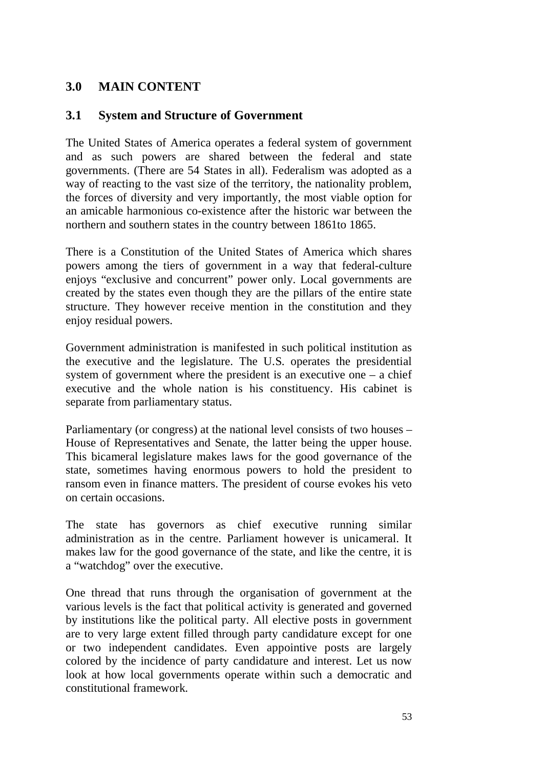## **3.0 MAIN CONTENT**

#### **3.1 System and Structure of Government**

The United States of America operates a federal system of government and as such powers are shared between the federal and state governments. (There are 54 States in all). Federalism was adopted as a way of reacting to the vast size of the territory, the nationality problem, the forces of diversity and very importantly, the most viable option for an amicable harmonious co-existence after the historic war between the northern and southern states in the country between 1861to 1865.

There is a Constitution of the United States of America which shares powers among the tiers of government in a way that federal-culture enjoys "exclusive and concurrent" power only. Local governments are created by the states even though they are the pillars of the entire state structure. They however receive mention in the constitution and they enjoy residual powers.

Government administration is manifested in such political institution as the executive and the legislature. The U.S. operates the presidential system of government where the president is an executive one  $-$  a chief executive and the whole nation is his constituency. His cabinet is separate from parliamentary status.

Parliamentary (or congress) at the national level consists of two houses – House of Representatives and Senate, the latter being the upper house. This bicameral legislature makes laws for the good governance of the state, sometimes having enormous powers to hold the president to ransom even in finance matters. The president of course evokes his veto on certain occasions.

The state has governors as chief executive running similar administration as in the centre. Parliament however is unicameral. It makes law for the good governance of the state, and like the centre, it is a "watchdog" over the executive.

One thread that runs through the organisation of government at the various levels is the fact that political activity is generated and governed by institutions like the political party. All elective posts in government are to very large extent filled through party candidature except for one or two independent candidates. Even appointive posts are largely colored by the incidence of party candidature and interest. Let us now look at how local governments operate within such a democratic and constitutional framework.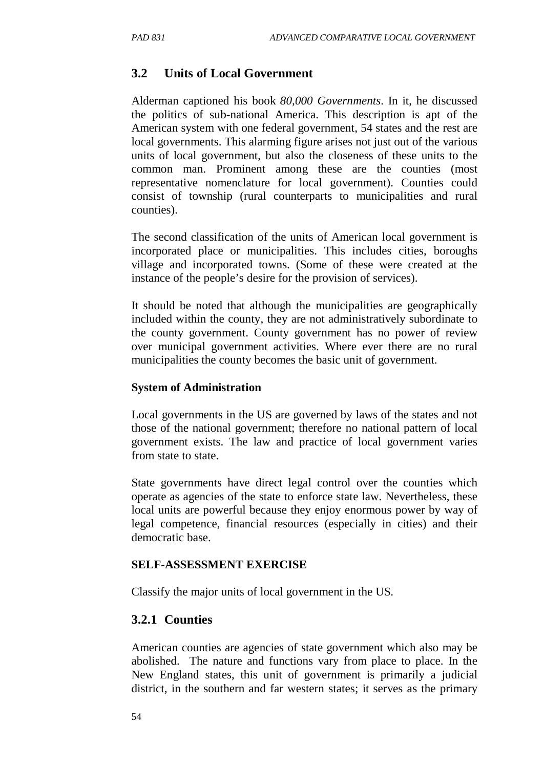#### **3.2 Units of Local Government**

Alderman captioned his book *80,000 Governments*. In it, he discussed the politics of sub-national America. This description is apt of the American system with one federal government, 54 states and the rest are local governments. This alarming figure arises not just out of the various units of local government, but also the closeness of these units to the common man. Prominent among these are the counties (most representative nomenclature for local government). Counties could consist of township (rural counterparts to municipalities and rural counties).

The second classification of the units of American local government is incorporated place or municipalities. This includes cities, boroughs village and incorporated towns. (Some of these were created at the instance of the people's desire for the provision of services).

It should be noted that although the municipalities are geographically included within the county, they are not administratively subordinate to the county government. County government has no power of review over municipal government activities. Where ever there are no rural municipalities the county becomes the basic unit of government.

#### **System of Administration**

Local governments in the US are governed by laws of the states and not those of the national government; therefore no national pattern of local government exists. The law and practice of local government varies from state to state.

State governments have direct legal control over the counties which operate as agencies of the state to enforce state law. Nevertheless, these local units are powerful because they enjoy enormous power by way of legal competence, financial resources (especially in cities) and their democratic base.

#### **SELF-ASSESSMENT EXERCISE**

Classify the major units of local government in the US.

#### **3.2.1 Counties**

American counties are agencies of state government which also may be abolished. The nature and functions vary from place to place. In the New England states, this unit of government is primarily a judicial district, in the southern and far western states; it serves as the primary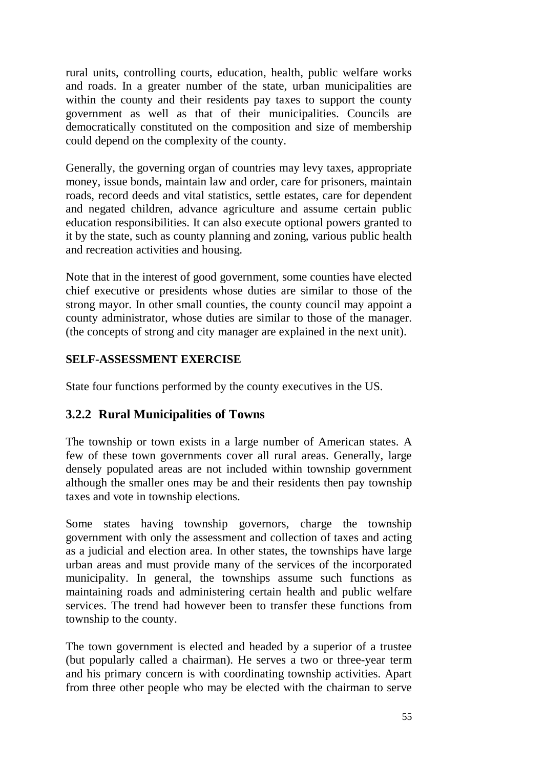rural units, controlling courts, education, health, public welfare works and roads. In a greater number of the state, urban municipalities are within the county and their residents pay taxes to support the county government as well as that of their municipalities. Councils are democratically constituted on the composition and size of membership could depend on the complexity of the county.

Generally, the governing organ of countries may levy taxes, appropriate money, issue bonds, maintain law and order, care for prisoners, maintain roads, record deeds and vital statistics, settle estates, care for dependent and negated children, advance agriculture and assume certain public education responsibilities. It can also execute optional powers granted to it by the state, such as county planning and zoning, various public health and recreation activities and housing.

Note that in the interest of good government, some counties have elected chief executive or presidents whose duties are similar to those of the strong mayor. In other small counties, the county council may appoint a county administrator, whose duties are similar to those of the manager. (the concepts of strong and city manager are explained in the next unit).

#### **SELF-ASSESSMENT EXERCISE**

State four functions performed by the county executives in the US.

### **3.2.2 Rural Municipalities of Towns**

The township or town exists in a large number of American states. A few of these town governments cover all rural areas. Generally, large densely populated areas are not included within township government although the smaller ones may be and their residents then pay township taxes and vote in township elections.

Some states having township governors, charge the township government with only the assessment and collection of taxes and acting as a judicial and election area. In other states, the townships have large urban areas and must provide many of the services of the incorporated municipality. In general, the townships assume such functions as maintaining roads and administering certain health and public welfare services. The trend had however been to transfer these functions from township to the county.

The town government is elected and headed by a superior of a trustee (but popularly called a chairman). He serves a two or three-year term and his primary concern is with coordinating township activities. Apart from three other people who may be elected with the chairman to serve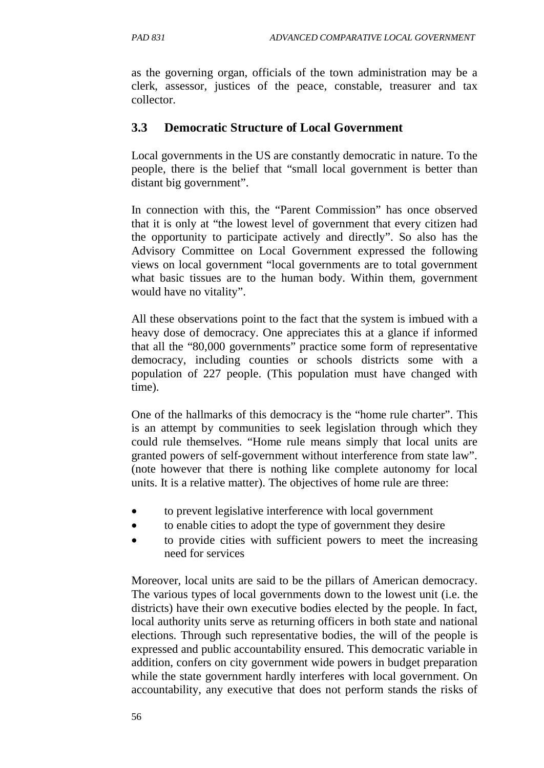as the governing organ, officials of the town administration may be a clerk, assessor, justices of the peace, constable, treasurer and tax collector.

#### **3.3 Democratic Structure of Local Government**

Local governments in the US are constantly democratic in nature. To the people, there is the belief that "small local government is better than distant big government".

In connection with this, the "Parent Commission" has once observed that it is only at "the lowest level of government that every citizen had the opportunity to participate actively and directly". So also has the Advisory Committee on Local Government expressed the following views on local government "local governments are to total government what basic tissues are to the human body. Within them, government would have no vitality".

All these observations point to the fact that the system is imbued with a heavy dose of democracy. One appreciates this at a glance if informed that all the "80,000 governments" practice some form of representative democracy, including counties or schools districts some with a population of 227 people. (This population must have changed with time).

One of the hallmarks of this democracy is the "home rule charter". This is an attempt by communities to seek legislation through which they could rule themselves. "Home rule means simply that local units are granted powers of self-government without interference from state law". (note however that there is nothing like complete autonomy for local units. It is a relative matter). The objectives of home rule are three:

- to prevent legislative interference with local government
- to enable cities to adopt the type of government they desire
- to provide cities with sufficient powers to meet the increasing need for services

Moreover, local units are said to be the pillars of American democracy. The various types of local governments down to the lowest unit (i.e. the districts) have their own executive bodies elected by the people. In fact, local authority units serve as returning officers in both state and national elections. Through such representative bodies, the will of the people is expressed and public accountability ensured. This democratic variable in addition, confers on city government wide powers in budget preparation while the state government hardly interferes with local government. On accountability, any executive that does not perform stands the risks of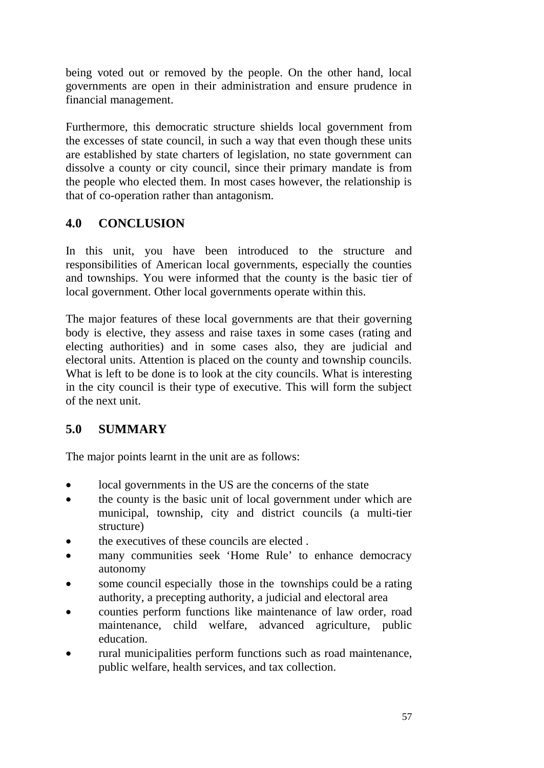being voted out or removed by the people. On the other hand, local governments are open in their administration and ensure prudence in financial management.

Furthermore, this democratic structure shields local government from the excesses of state council, in such a way that even though these units are established by state charters of legislation, no state government can dissolve a county or city council, since their primary mandate is from the people who elected them. In most cases however, the relationship is that of co-operation rather than antagonism.

# **4.0 CONCLUSION**

In this unit, you have been introduced to the structure and responsibilities of American local governments, especially the counties and townships. You were informed that the county is the basic tier of local government. Other local governments operate within this.

The major features of these local governments are that their governing body is elective, they assess and raise taxes in some cases (rating and electing authorities) and in some cases also, they are judicial and electoral units. Attention is placed on the county and township councils. What is left to be done is to look at the city councils. What is interesting in the city council is their type of executive. This will form the subject of the next unit.

# **5.0 SUMMARY**

The major points learnt in the unit are as follows:

- local governments in the US are the concerns of the state
- the county is the basic unit of local government under which are municipal, township, city and district councils (a multi-tier structure)
- the executives of these councils are elected.
- many communities seek 'Home Rule' to enhance democracy autonomy
- some council especially those in the townships could be a rating authority, a precepting authority, a judicial and electoral area
- counties perform functions like maintenance of law order, road maintenance, child welfare, advanced agriculture, public education.
- rural municipalities perform functions such as road maintenance, public welfare, health services, and tax collection.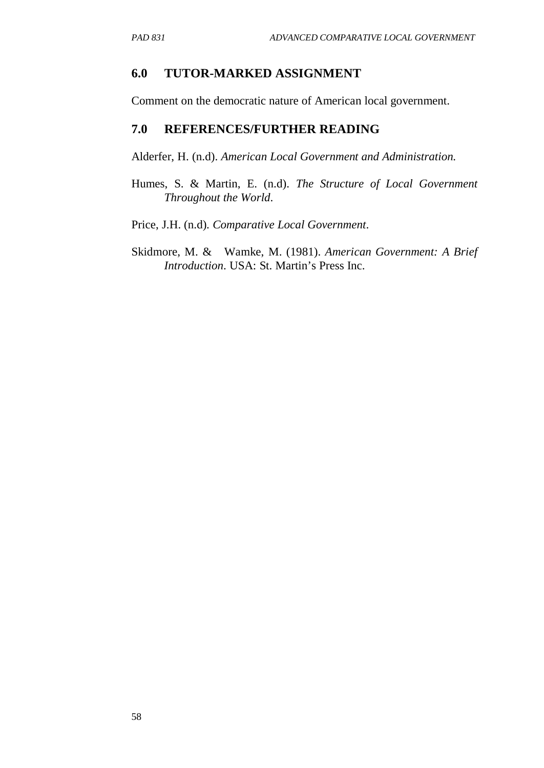#### **6.0 TUTOR-MARKED ASSIGNMENT**

Comment on the democratic nature of American local government.

#### **7.0 REFERENCES/FURTHER READING**

Alderfer, H. (n.d). *American Local Government and Administration.* 

- Humes, S. & Martin, E. (n.d). *The Structure of Local Government Throughout the World*.
- Price, J.H. (n.d). *Comparative Local Government*.
- Skidmore, M. & Wamke, M. (1981). *American Government: A Brief Introduction*. USA: St. Martin's Press Inc.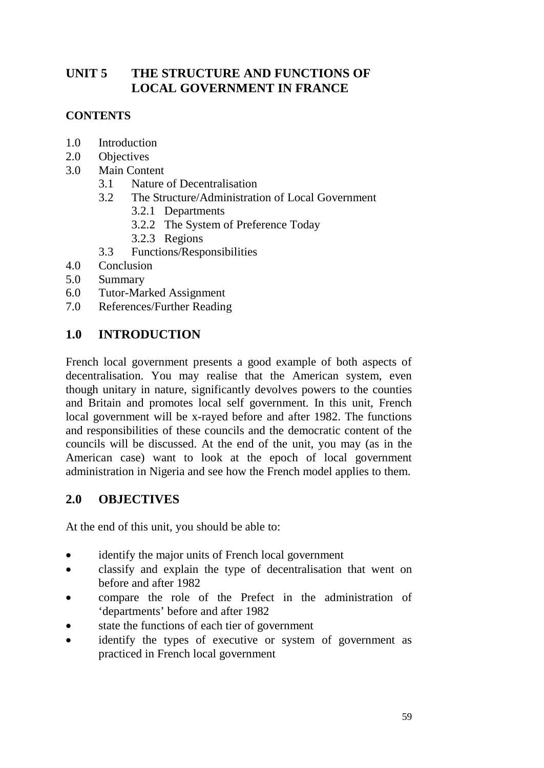# **UNIT 5 THE STRUCTURE AND FUNCTIONS OF LOCAL GOVERNMENT IN FRANCE**

## **CONTENTS**

- 1.0 Introduction
- 2.0 Objectives
- 3.0 Main Content
	- 3.1 Nature of Decentralisation
	- 3.2 The Structure/Administration of Local Government
		- 3.2.1 Departments
		- 3.2.2 The System of Preference Today
		- 3.2.3 Regions
	- 3.3 Functions/Responsibilities
- 4.0 Conclusion
- 5.0 Summary
- 6.0 Tutor-Marked Assignment
- 7.0 References/Further Reading

## **1.0 INTRODUCTION**

French local government presents a good example of both aspects of decentralisation. You may realise that the American system, even though unitary in nature, significantly devolves powers to the counties and Britain and promotes local self government. In this unit, French local government will be x-rayed before and after 1982. The functions and responsibilities of these councils and the democratic content of the councils will be discussed. At the end of the unit, you may (as in the American case) want to look at the epoch of local government administration in Nigeria and see how the French model applies to them.

### **2.0 OBJECTIVES**

At the end of this unit, you should be able to:

- identify the major units of French local government
- classify and explain the type of decentralisation that went on before and after 1982
- compare the role of the Prefect in the administration of 'departments' before and after 1982
- state the functions of each tier of government
- identify the types of executive or system of government as practiced in French local government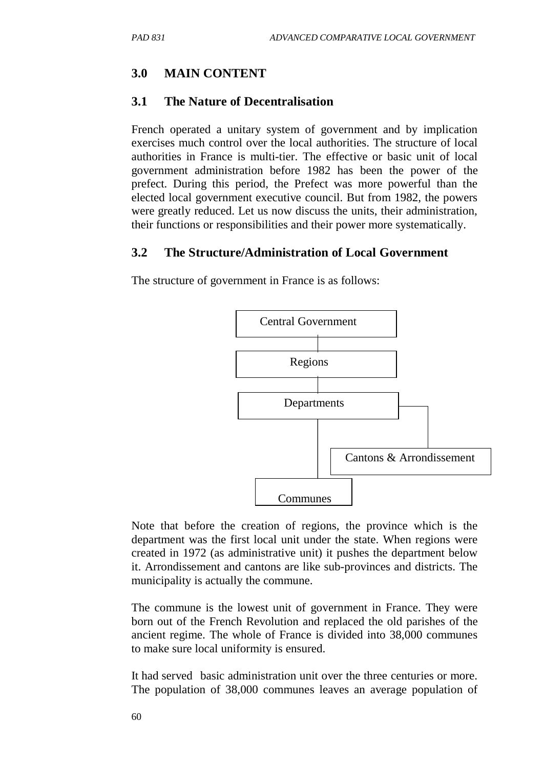# **3.0 MAIN CONTENT**

#### **3.1 The Nature of Decentralisation**

French operated a unitary system of government and by implication exercises much control over the local authorities. The structure of local authorities in France is multi-tier. The effective or basic unit of local government administration before 1982 has been the power of the prefect. During this period, the Prefect was more powerful than the elected local government executive council. But from 1982, the powers were greatly reduced. Let us now discuss the units, their administration, their functions or responsibilities and their power more systematically.

#### **3.2 The Structure/Administration of Local Government**

The structure of government in France is as follows:



Note that before the creation of regions, the province which is the department was the first local unit under the state. When regions were created in 1972 (as administrative unit) it pushes the department below it. Arrondissement and cantons are like sub-provinces and districts. The municipality is actually the commune.

The commune is the lowest unit of government in France. They were born out of the French Revolution and replaced the old parishes of the ancient regime. The whole of France is divided into 38,000 communes to make sure local uniformity is ensured.

It had served basic administration unit over the three centuries or more. The population of 38,000 communes leaves an average population of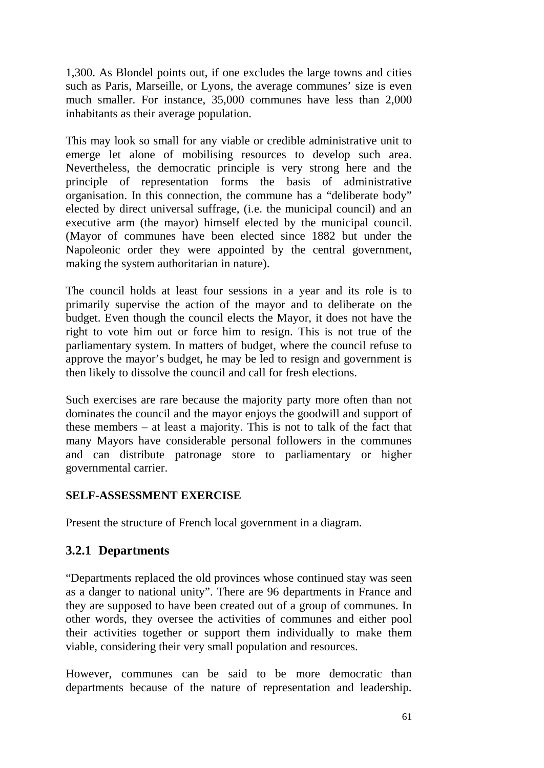1,300. As Blondel points out, if one excludes the large towns and cities such as Paris, Marseille, or Lyons, the average communes' size is even much smaller. For instance, 35,000 communes have less than 2,000 inhabitants as their average population.

This may look so small for any viable or credible administrative unit to emerge let alone of mobilising resources to develop such area. Nevertheless, the democratic principle is very strong here and the principle of representation forms the basis of administrative organisation. In this connection, the commune has a "deliberate body" elected by direct universal suffrage, (i.e. the municipal council) and an executive arm (the mayor) himself elected by the municipal council. (Mayor of communes have been elected since 1882 but under the Napoleonic order they were appointed by the central government, making the system authoritarian in nature).

The council holds at least four sessions in a year and its role is to primarily supervise the action of the mayor and to deliberate on the budget. Even though the council elects the Mayor, it does not have the right to vote him out or force him to resign. This is not true of the parliamentary system. In matters of budget, where the council refuse to approve the mayor's budget, he may be led to resign and government is then likely to dissolve the council and call for fresh elections.

Such exercises are rare because the majority party more often than not dominates the council and the mayor enjoys the goodwill and support of these members – at least a majority. This is not to talk of the fact that many Mayors have considerable personal followers in the communes and can distribute patronage store to parliamentary or higher governmental carrier.

#### **SELF-ASSESSMENT EXERCISE**

Present the structure of French local government in a diagram.

### **3.2.1 Departments**

"Departments replaced the old provinces whose continued stay was seen as a danger to national unity". There are 96 departments in France and they are supposed to have been created out of a group of communes. In other words, they oversee the activities of communes and either pool their activities together or support them individually to make them viable, considering their very small population and resources.

However, communes can be said to be more democratic than departments because of the nature of representation and leadership.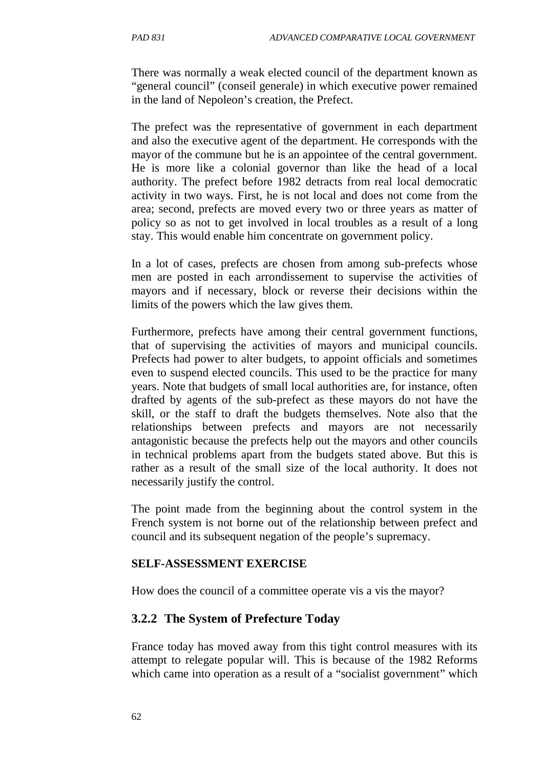There was normally a weak elected council of the department known as "general council" (conseil generale) in which executive power remained in the land of Nepoleon's creation, the Prefect.

The prefect was the representative of government in each department and also the executive agent of the department. He corresponds with the mayor of the commune but he is an appointee of the central government. He is more like a colonial governor than like the head of a local authority. The prefect before 1982 detracts from real local democratic activity in two ways. First, he is not local and does not come from the area; second, prefects are moved every two or three years as matter of policy so as not to get involved in local troubles as a result of a long stay. This would enable him concentrate on government policy.

In a lot of cases, prefects are chosen from among sub-prefects whose men are posted in each arrondissement to supervise the activities of mayors and if necessary, block or reverse their decisions within the limits of the powers which the law gives them.

Furthermore, prefects have among their central government functions, that of supervising the activities of mayors and municipal councils. Prefects had power to alter budgets, to appoint officials and sometimes even to suspend elected councils. This used to be the practice for many years. Note that budgets of small local authorities are, for instance, often drafted by agents of the sub-prefect as these mayors do not have the skill, or the staff to draft the budgets themselves. Note also that the relationships between prefects and mayors are not necessarily antagonistic because the prefects help out the mayors and other councils in technical problems apart from the budgets stated above. But this is rather as a result of the small size of the local authority. It does not necessarily justify the control.

The point made from the beginning about the control system in the French system is not borne out of the relationship between prefect and council and its subsequent negation of the people's supremacy.

#### **SELF-ASSESSMENT EXERCISE**

How does the council of a committee operate vis a vis the mayor?

#### **3.2.2 The System of Prefecture Today**

France today has moved away from this tight control measures with its attempt to relegate popular will. This is because of the 1982 Reforms which came into operation as a result of a "socialist government" which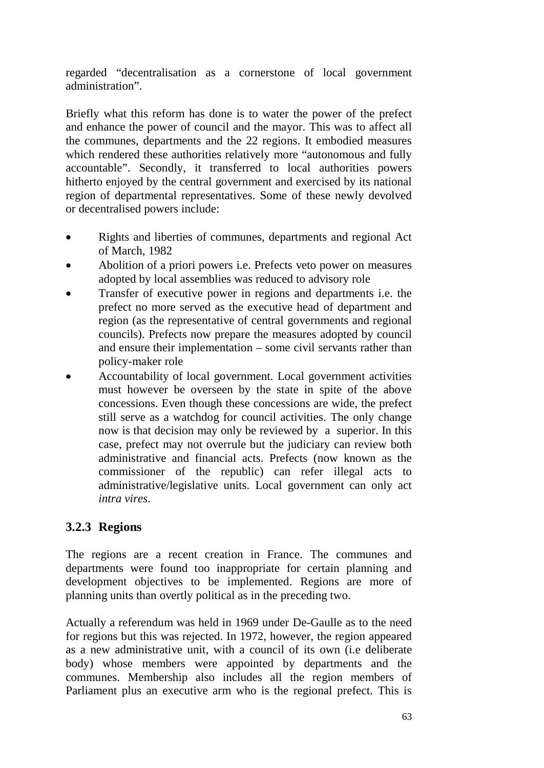regarded "decentralisation as a cornerstone of local government administration".

Briefly what this reform has done is to water the power of the prefect and enhance the power of council and the mayor. This was to affect all the communes, departments and the 22 regions. It embodied measures which rendered these authorities relatively more "autonomous and fully accountable". Secondly, it transferred to local authorities powers hitherto enjoyed by the central government and exercised by its national region of departmental representatives. Some of these newly devolved or decentralised powers include:

- Rights and liberties of communes, departments and regional Act of March, 1982
- Abolition of a priori powers i.e. Prefects veto power on measures adopted by local assemblies was reduced to advisory role
- Transfer of executive power in regions and departments i.e. the prefect no more served as the executive head of department and region (as the representative of central governments and regional councils). Prefects now prepare the measures adopted by council and ensure their implementation – some civil servants rather than policy-maker role
- Accountability of local government. Local government activities must however be overseen by the state in spite of the above concessions. Even though these concessions are wide, the prefect still serve as a watchdog for council activities. The only change now is that decision may only be reviewed by a superior. In this case, prefect may not overrule but the judiciary can review both administrative and financial acts. Prefects (now known as the commissioner of the republic) can refer illegal acts to administrative/legislative units. Local government can only act *intra vires*.

# **3.2.3 Regions**

The regions are a recent creation in France. The communes and departments were found too inappropriate for certain planning and development objectives to be implemented. Regions are more of planning units than overtly political as in the preceding two.

Actually a referendum was held in 1969 under De-Gaulle as to the need for regions but this was rejected. In 1972, however, the region appeared as a new administrative unit, with a council of its own (i.e deliberate body) whose members were appointed by departments and the communes. Membership also includes all the region members of Parliament plus an executive arm who is the regional prefect. This is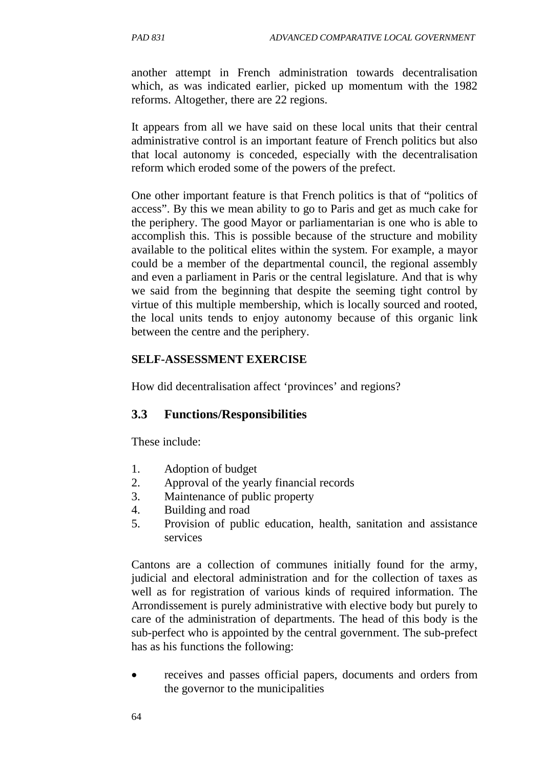another attempt in French administration towards decentralisation which, as was indicated earlier, picked up momentum with the 1982 reforms. Altogether, there are 22 regions.

It appears from all we have said on these local units that their central administrative control is an important feature of French politics but also that local autonomy is conceded, especially with the decentralisation reform which eroded some of the powers of the prefect.

One other important feature is that French politics is that of "politics of access". By this we mean ability to go to Paris and get as much cake for the periphery. The good Mayor or parliamentarian is one who is able to accomplish this. This is possible because of the structure and mobility available to the political elites within the system. For example, a mayor could be a member of the departmental council, the regional assembly and even a parliament in Paris or the central legislature. And that is why we said from the beginning that despite the seeming tight control by virtue of this multiple membership, which is locally sourced and rooted, the local units tends to enjoy autonomy because of this organic link between the centre and the periphery.

#### **SELF-ASSESSMENT EXERCISE**

How did decentralisation affect 'provinces' and regions?

### **3.3 Functions/Responsibilities**

These include:

- 1. Adoption of budget
- 2. Approval of the yearly financial records
- 3. Maintenance of public property
- 4. Building and road
- 5. Provision of public education, health, sanitation and assistance services

Cantons are a collection of communes initially found for the army, judicial and electoral administration and for the collection of taxes as well as for registration of various kinds of required information. The Arrondissement is purely administrative with elective body but purely to care of the administration of departments. The head of this body is the sub-perfect who is appointed by the central government. The sub-prefect has as his functions the following:

• receives and passes official papers, documents and orders from the governor to the municipalities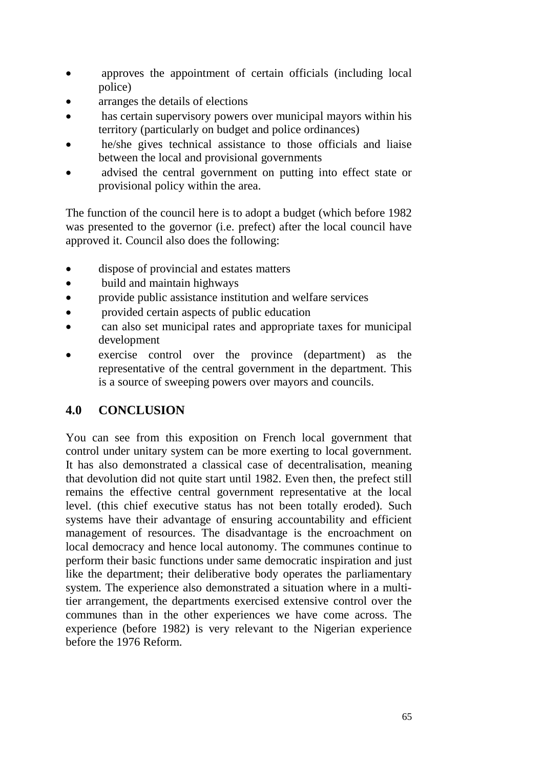- approves the appointment of certain officials (including local police)
- arranges the details of elections
- has certain supervisory powers over municipal mayors within his territory (particularly on budget and police ordinances)
- he/she gives technical assistance to those officials and liaise between the local and provisional governments
- advised the central government on putting into effect state or provisional policy within the area.

The function of the council here is to adopt a budget (which before 1982 was presented to the governor (i.e. prefect) after the local council have approved it. Council also does the following:

- dispose of provincial and estates matters
- build and maintain highways
- provide public assistance institution and welfare services
- provided certain aspects of public education
- can also set municipal rates and appropriate taxes for municipal development
- exercise control over the province (department) as the representative of the central government in the department. This is a source of sweeping powers over mayors and councils.

# **4.0 CONCLUSION**

You can see from this exposition on French local government that control under unitary system can be more exerting to local government. It has also demonstrated a classical case of decentralisation, meaning that devolution did not quite start until 1982. Even then, the prefect still remains the effective central government representative at the local level. (this chief executive status has not been totally eroded). Such systems have their advantage of ensuring accountability and efficient management of resources. The disadvantage is the encroachment on local democracy and hence local autonomy. The communes continue to perform their basic functions under same democratic inspiration and just like the department; their deliberative body operates the parliamentary system. The experience also demonstrated a situation where in a multitier arrangement, the departments exercised extensive control over the communes than in the other experiences we have come across. The experience (before 1982) is very relevant to the Nigerian experience before the 1976 Reform.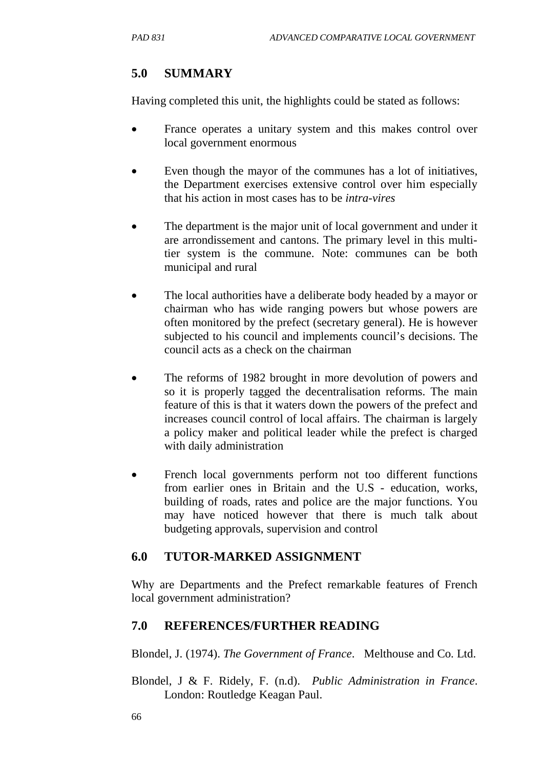# **5.0 SUMMARY**

Having completed this unit, the highlights could be stated as follows:

- France operates a unitary system and this makes control over local government enormous
- Even though the mayor of the communes has a lot of initiatives, the Department exercises extensive control over him especially that his action in most cases has to be *intra-vires*
- The department is the major unit of local government and under it are arrondissement and cantons. The primary level in this multitier system is the commune. Note: communes can be both municipal and rural
- The local authorities have a deliberate body headed by a mayor or chairman who has wide ranging powers but whose powers are often monitored by the prefect (secretary general). He is however subjected to his council and implements council's decisions. The council acts as a check on the chairman
- The reforms of 1982 brought in more devolution of powers and so it is properly tagged the decentralisation reforms. The main feature of this is that it waters down the powers of the prefect and increases council control of local affairs. The chairman is largely a policy maker and political leader while the prefect is charged with daily administration
- French local governments perform not too different functions from earlier ones in Britain and the U.S - education, works, building of roads, rates and police are the major functions. You may have noticed however that there is much talk about budgeting approvals, supervision and control

# **6.0 TUTOR-MARKED ASSIGNMENT**

Why are Departments and the Prefect remarkable features of French local government administration?

# **7.0 REFERENCES/FURTHER READING**

Blondel, J. (1974). *The Government of France*. Melthouse and Co. Ltd.

Blondel, J & F. Ridely, F. (n.d). *Public Administration in France*. London: Routledge Keagan Paul.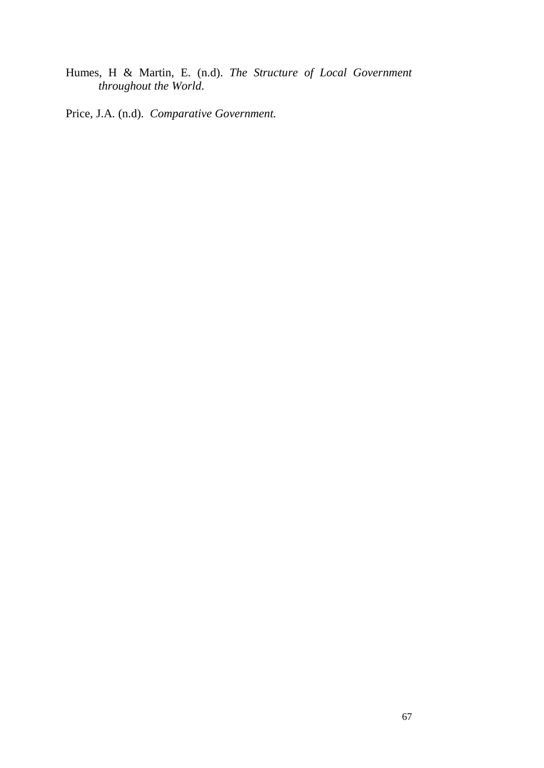Humes, H & Martin, E. (n.d). *The Structure of Local Government throughout the World*.

Price, J.A. (n.d). *Comparative Government.*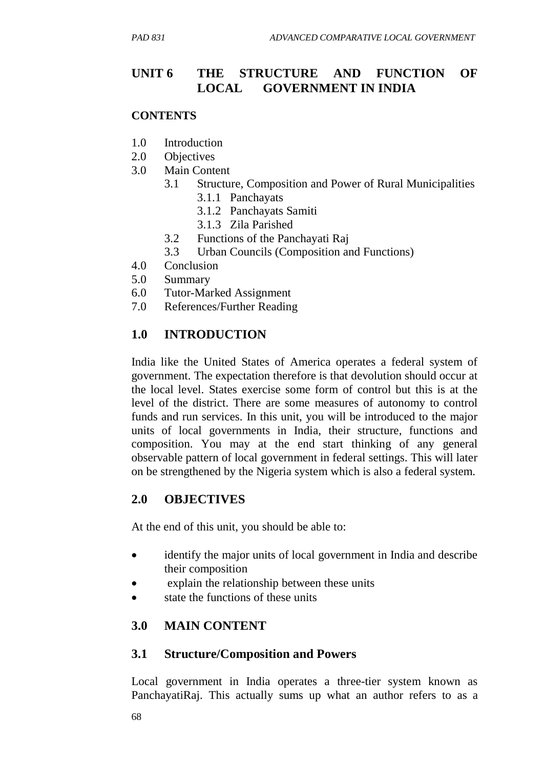# **UNIT 6 THE STRUCTURE AND FUNCTION OF LOCAL GOVERNMENT IN INDIA**

#### **CONTENTS**

- 1.0 Introduction
- 2.0 Objectives
- 3.0 Main Content
	- 3.1 Structure, Composition and Power of Rural Municipalities
		- 3.1.1 Panchayats
		- 3.1.2 Panchayats Samiti
		- 3.1.3 Zila Parished
	- 3.2 Functions of the Panchayati Raj
	- 3.3 Urban Councils (Composition and Functions)
- 4.0 Conclusion
- 5.0 Summary
- 6.0 Tutor-Marked Assignment
- 7.0 References/Further Reading

# **1.0 INTRODUCTION**

India like the United States of America operates a federal system of government. The expectation therefore is that devolution should occur at the local level. States exercise some form of control but this is at the level of the district. There are some measures of autonomy to control funds and run services. In this unit, you will be introduced to the major units of local governments in India, their structure, functions and composition. You may at the end start thinking of any general observable pattern of local government in federal settings. This will later on be strengthened by the Nigeria system which is also a federal system.

### **2.0 OBJECTIVES**

At the end of this unit, you should be able to:

- identify the major units of local government in India and describe their composition
- explain the relationship between these units
- state the functions of these units

### **3.0 MAIN CONTENT**

### **3.1 Structure/Composition and Powers**

Local government in India operates a three-tier system known as PanchayatiRaj. This actually sums up what an author refers to as a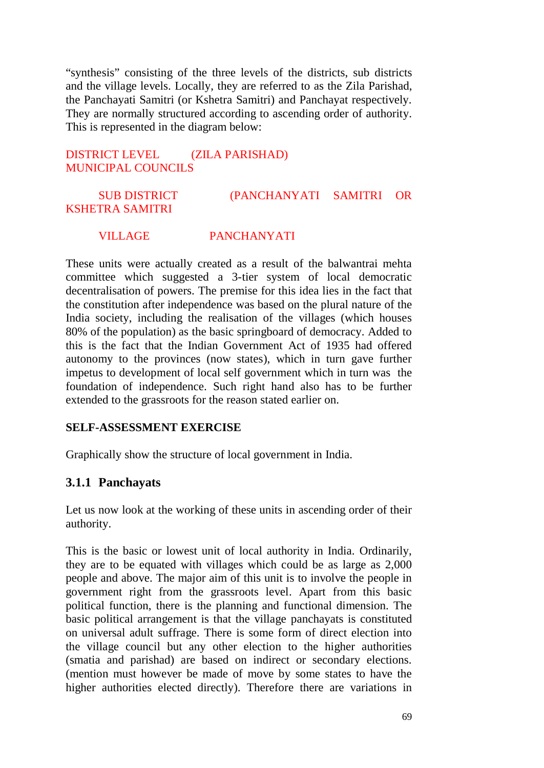"synthesis" consisting of the three levels of the districts, sub districts and the village levels. Locally, they are referred to as the Zila Parishad, the Panchayati Samitri (or Kshetra Samitri) and Panchayat respectively. They are normally structured according to ascending order of authority. This is represented in the diagram below:

#### DISTRICT LEVEL (ZILA PARISHAD) MUNICIPAL COUNCILS

### SUB DISTRICT (PANCHANYATI SAMITRI OR KSHETRA SAMITRI

#### VILLAGE PANCHANYATI

These units were actually created as a result of the balwantrai mehta committee which suggested a 3-tier system of local democratic decentralisation of powers. The premise for this idea lies in the fact that the constitution after independence was based on the plural nature of the India society, including the realisation of the villages (which houses 80% of the population) as the basic springboard of democracy. Added to this is the fact that the Indian Government Act of 1935 had offered autonomy to the provinces (now states), which in turn gave further impetus to development of local self government which in turn was the foundation of independence. Such right hand also has to be further extended to the grassroots for the reason stated earlier on.

#### **SELF-ASSESSMENT EXERCISE**

Graphically show the structure of local government in India.

#### **3.1.1 Panchayats**

Let us now look at the working of these units in ascending order of their authority.

This is the basic or lowest unit of local authority in India. Ordinarily, they are to be equated with villages which could be as large as 2,000 people and above. The major aim of this unit is to involve the people in government right from the grassroots level. Apart from this basic political function, there is the planning and functional dimension. The basic political arrangement is that the village panchayats is constituted on universal adult suffrage. There is some form of direct election into the village council but any other election to the higher authorities (smatia and parishad) are based on indirect or secondary elections. (mention must however be made of move by some states to have the higher authorities elected directly). Therefore there are variations in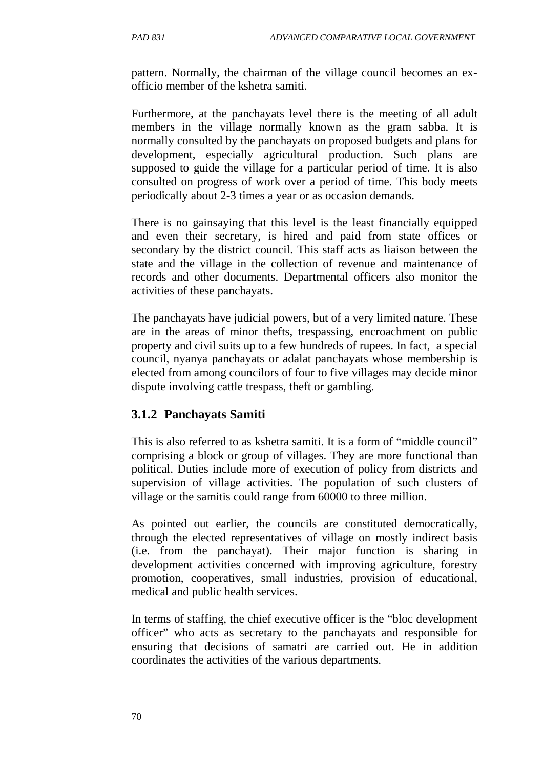pattern. Normally, the chairman of the village council becomes an exofficio member of the kshetra samiti.

Furthermore, at the panchayats level there is the meeting of all adult members in the village normally known as the gram sabba. It is normally consulted by the panchayats on proposed budgets and plans for development, especially agricultural production. Such plans are supposed to guide the village for a particular period of time. It is also consulted on progress of work over a period of time. This body meets periodically about 2-3 times a year or as occasion demands.

There is no gainsaying that this level is the least financially equipped and even their secretary, is hired and paid from state offices or secondary by the district council. This staff acts as liaison between the state and the village in the collection of revenue and maintenance of records and other documents. Departmental officers also monitor the activities of these panchayats.

The panchayats have judicial powers, but of a very limited nature. These are in the areas of minor thefts, trespassing, encroachment on public property and civil suits up to a few hundreds of rupees. In fact, a special council, nyanya panchayats or adalat panchayats whose membership is elected from among councilors of four to five villages may decide minor dispute involving cattle trespass, theft or gambling.

### **3.1.2 Panchayats Samiti**

This is also referred to as kshetra samiti. It is a form of "middle council" comprising a block or group of villages. They are more functional than political. Duties include more of execution of policy from districts and supervision of village activities. The population of such clusters of village or the samitis could range from 60000 to three million.

As pointed out earlier, the councils are constituted democratically, through the elected representatives of village on mostly indirect basis (i.e. from the panchayat). Their major function is sharing in development activities concerned with improving agriculture, forestry promotion, cooperatives, small industries, provision of educational, medical and public health services.

In terms of staffing, the chief executive officer is the "bloc development officer" who acts as secretary to the panchayats and responsible for ensuring that decisions of samatri are carried out. He in addition coordinates the activities of the various departments.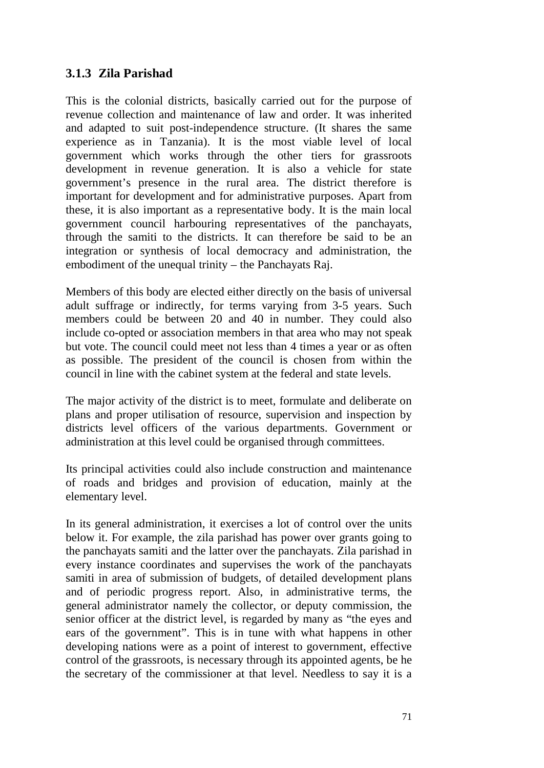### **3.1.3 Zila Parishad**

This is the colonial districts, basically carried out for the purpose of revenue collection and maintenance of law and order. It was inherited and adapted to suit post-independence structure. (It shares the same experience as in Tanzania). It is the most viable level of local government which works through the other tiers for grassroots development in revenue generation. It is also a vehicle for state government's presence in the rural area. The district therefore is important for development and for administrative purposes. Apart from these, it is also important as a representative body. It is the main local government council harbouring representatives of the panchayats, through the samiti to the districts. It can therefore be said to be an integration or synthesis of local democracy and administration, the embodiment of the unequal trinity – the Panchayats Raj.

Members of this body are elected either directly on the basis of universal adult suffrage or indirectly, for terms varying from 3-5 years. Such members could be between 20 and 40 in number. They could also include co-opted or association members in that area who may not speak but vote. The council could meet not less than 4 times a year or as often as possible. The president of the council is chosen from within the council in line with the cabinet system at the federal and state levels.

The major activity of the district is to meet, formulate and deliberate on plans and proper utilisation of resource, supervision and inspection by districts level officers of the various departments. Government or administration at this level could be organised through committees.

Its principal activities could also include construction and maintenance of roads and bridges and provision of education, mainly at the elementary level.

In its general administration, it exercises a lot of control over the units below it. For example, the zila parishad has power over grants going to the panchayats samiti and the latter over the panchayats. Zila parishad in every instance coordinates and supervises the work of the panchayats samiti in area of submission of budgets, of detailed development plans and of periodic progress report. Also, in administrative terms, the general administrator namely the collector, or deputy commission, the senior officer at the district level, is regarded by many as "the eyes and ears of the government". This is in tune with what happens in other developing nations were as a point of interest to government, effective control of the grassroots, is necessary through its appointed agents, be he the secretary of the commissioner at that level. Needless to say it is a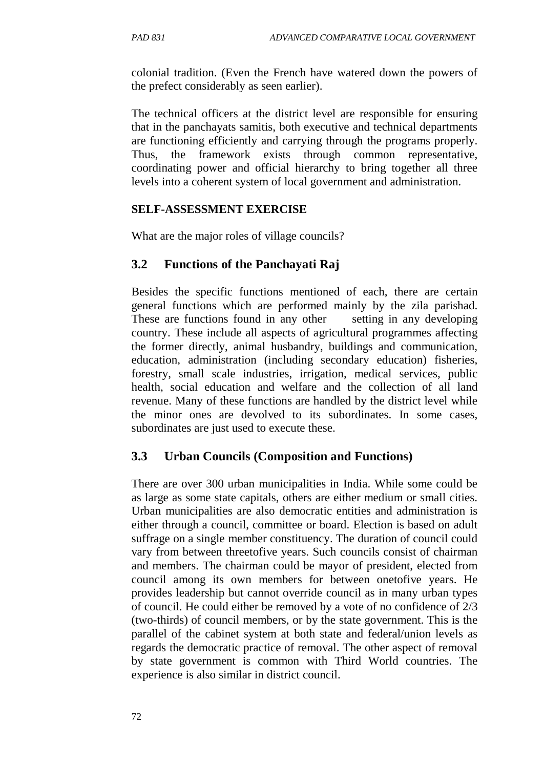colonial tradition. (Even the French have watered down the powers of the prefect considerably as seen earlier).

The technical officers at the district level are responsible for ensuring that in the panchayats samitis, both executive and technical departments are functioning efficiently and carrying through the programs properly. Thus, the framework exists through common representative, coordinating power and official hierarchy to bring together all three levels into a coherent system of local government and administration.

#### **SELF-ASSESSMENT EXERCISE**

What are the major roles of village councils?

### **3.2 Functions of the Panchayati Raj**

Besides the specific functions mentioned of each, there are certain general functions which are performed mainly by the zila parishad. These are functions found in any other setting in any developing country. These include all aspects of agricultural programmes affecting the former directly, animal husbandry, buildings and communication, education, administration (including secondary education) fisheries, forestry, small scale industries, irrigation, medical services, public health, social education and welfare and the collection of all land revenue. Many of these functions are handled by the district level while the minor ones are devolved to its subordinates. In some cases, subordinates are just used to execute these.

### **3.3 Urban Councils (Composition and Functions)**

There are over 300 urban municipalities in India. While some could be as large as some state capitals, others are either medium or small cities. Urban municipalities are also democratic entities and administration is either through a council, committee or board. Election is based on adult suffrage on a single member constituency. The duration of council could vary from between threetofive years. Such councils consist of chairman and members. The chairman could be mayor of president, elected from council among its own members for between onetofive years. He provides leadership but cannot override council as in many urban types of council. He could either be removed by a vote of no confidence of 2/3 (two-thirds) of council members, or by the state government. This is the parallel of the cabinet system at both state and federal/union levels as regards the democratic practice of removal. The other aspect of removal by state government is common with Third World countries. The experience is also similar in district council.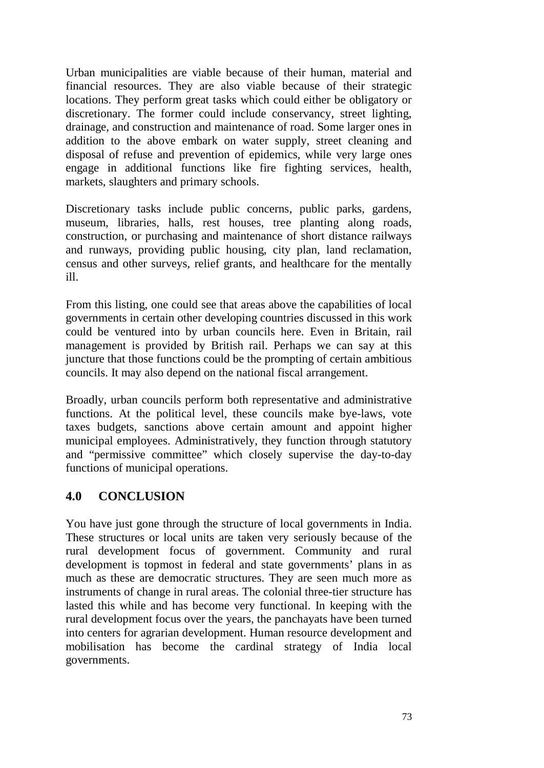Urban municipalities are viable because of their human, material and financial resources. They are also viable because of their strategic locations. They perform great tasks which could either be obligatory or discretionary. The former could include conservancy, street lighting, drainage, and construction and maintenance of road. Some larger ones in addition to the above embark on water supply, street cleaning and disposal of refuse and prevention of epidemics, while very large ones engage in additional functions like fire fighting services, health, markets, slaughters and primary schools.

Discretionary tasks include public concerns, public parks, gardens, museum, libraries, halls, rest houses, tree planting along roads, construction, or purchasing and maintenance of short distance railways and runways, providing public housing, city plan, land reclamation, census and other surveys, relief grants, and healthcare for the mentally ill.

From this listing, one could see that areas above the capabilities of local governments in certain other developing countries discussed in this work could be ventured into by urban councils here. Even in Britain, rail management is provided by British rail. Perhaps we can say at this juncture that those functions could be the prompting of certain ambitious councils. It may also depend on the national fiscal arrangement.

Broadly, urban councils perform both representative and administrative functions. At the political level, these councils make bye-laws, vote taxes budgets, sanctions above certain amount and appoint higher municipal employees. Administratively, they function through statutory and "permissive committee" which closely supervise the day-to-day functions of municipal operations.

## **4.0 CONCLUSION**

You have just gone through the structure of local governments in India. These structures or local units are taken very seriously because of the rural development focus of government. Community and rural development is topmost in federal and state governments' plans in as much as these are democratic structures. They are seen much more as instruments of change in rural areas. The colonial three-tier structure has lasted this while and has become very functional. In keeping with the rural development focus over the years, the panchayats have been turned into centers for agrarian development. Human resource development and mobilisation has become the cardinal strategy of India local governments.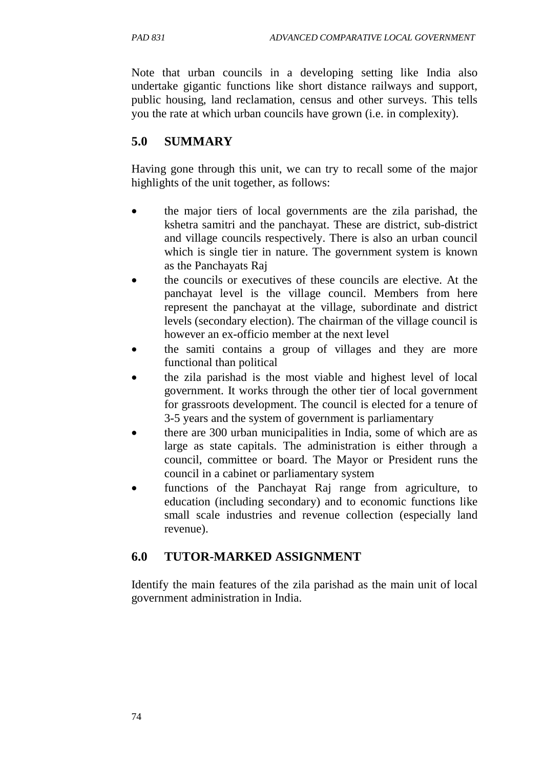Note that urban councils in a developing setting like India also undertake gigantic functions like short distance railways and support, public housing, land reclamation, census and other surveys. This tells you the rate at which urban councils have grown (i.e. in complexity).

# **5.0 SUMMARY**

Having gone through this unit, we can try to recall some of the major highlights of the unit together, as follows:

- the major tiers of local governments are the zila parishad, the kshetra samitri and the panchayat. These are district, sub-district and village councils respectively. There is also an urban council which is single tier in nature. The government system is known as the Panchayats Raj
- the councils or executives of these councils are elective. At the panchayat level is the village council. Members from here represent the panchayat at the village, subordinate and district levels (secondary election). The chairman of the village council is however an ex-officio member at the next level
- the samiti contains a group of villages and they are more functional than political
- the zila parishad is the most viable and highest level of local government. It works through the other tier of local government for grassroots development. The council is elected for a tenure of 3-5 years and the system of government is parliamentary
- there are 300 urban municipalities in India, some of which are as large as state capitals. The administration is either through a council, committee or board. The Mayor or President runs the council in a cabinet or parliamentary system
- functions of the Panchayat Raj range from agriculture, to education (including secondary) and to economic functions like small scale industries and revenue collection (especially land revenue).

# **6.0 TUTOR-MARKED ASSIGNMENT**

Identify the main features of the zila parishad as the main unit of local government administration in India.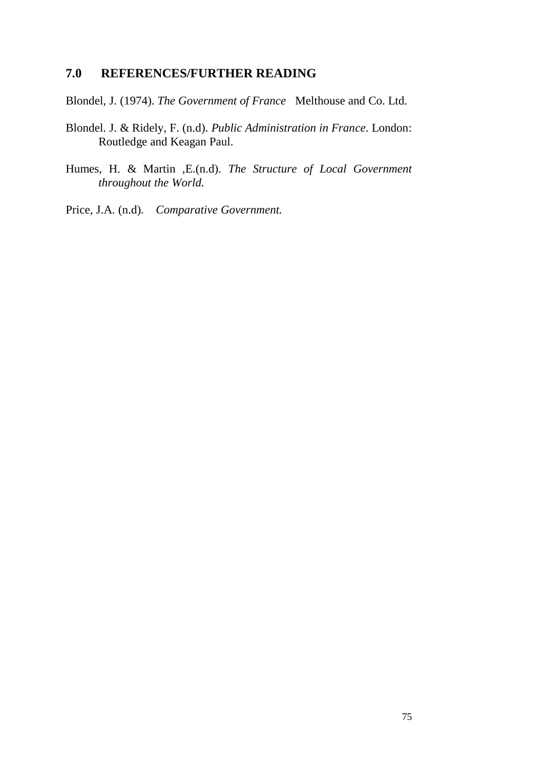### **7.0 REFERENCES/FURTHER READING**

Blondel, J. (1974). *The Government of France* Melthouse and Co. Ltd.

- Blondel. J. & Ridely, F. (n.d). *Public Administration in France*. London: Routledge and Keagan Paul.
- Humes, H. & Martin ,E.(n.d). *The Structure of Local Government throughout the World.*

Price, J.A. (n.d). *Comparative Government.*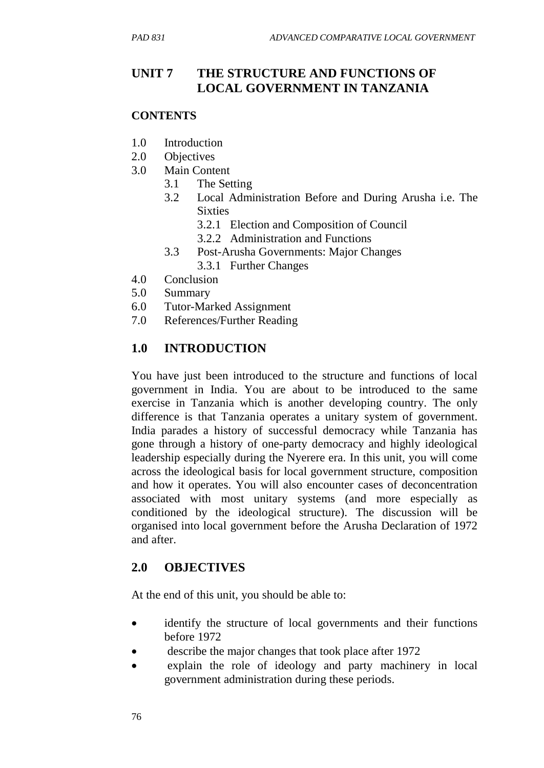# **UNIT 7 THE STRUCTURE AND FUNCTIONS OF LOCAL GOVERNMENT IN TANZANIA**

### **CONTENTS**

- 1.0 Introduction
- 2.0 Objectives
- 3.0 Main Content
	- 3.1 The Setting
	- 3.2 Local Administration Before and During Arusha i.e. The **Sixties** 
		- 3.2.1 Election and Composition of Council
		- 3.2.2 Administration and Functions
	- 3.3 Post-Arusha Governments: Major Changes
		- 3.3.1 Further Changes
- 4.0 Conclusion
- 5.0 Summary
- 6.0 Tutor-Marked Assignment
- 7.0 References/Further Reading

## **1.0 INTRODUCTION**

You have just been introduced to the structure and functions of local government in India. You are about to be introduced to the same exercise in Tanzania which is another developing country. The only difference is that Tanzania operates a unitary system of government. India parades a history of successful democracy while Tanzania has gone through a history of one-party democracy and highly ideological leadership especially during the Nyerere era. In this unit, you will come across the ideological basis for local government structure, composition and how it operates. You will also encounter cases of deconcentration associated with most unitary systems (and more especially as conditioned by the ideological structure). The discussion will be organised into local government before the Arusha Declaration of 1972 and after.

## **2.0 OBJECTIVES**

At the end of this unit, you should be able to:

- identify the structure of local governments and their functions before 1972
- describe the major changes that took place after 1972
- explain the role of ideology and party machinery in local government administration during these periods.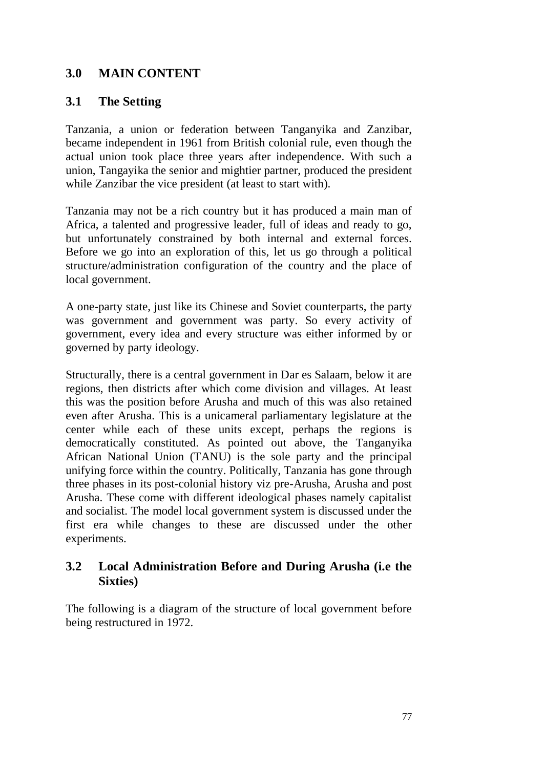### **3.0 MAIN CONTENT**

### **3.1 The Setting**

Tanzania, a union or federation between Tanganyika and Zanzibar, became independent in 1961 from British colonial rule, even though the actual union took place three years after independence. With such a union, Tangayika the senior and mightier partner, produced the president while Zanzibar the vice president (at least to start with).

Tanzania may not be a rich country but it has produced a main man of Africa, a talented and progressive leader, full of ideas and ready to go, but unfortunately constrained by both internal and external forces. Before we go into an exploration of this, let us go through a political structure/administration configuration of the country and the place of local government.

A one-party state, just like its Chinese and Soviet counterparts, the party was government and government was party. So every activity of government, every idea and every structure was either informed by or governed by party ideology.

Structurally, there is a central government in Dar es Salaam, below it are regions, then districts after which come division and villages. At least this was the position before Arusha and much of this was also retained even after Arusha. This is a unicameral parliamentary legislature at the center while each of these units except, perhaps the regions is democratically constituted. As pointed out above, the Tanganyika African National Union (TANU) is the sole party and the principal unifying force within the country. Politically, Tanzania has gone through three phases in its post-colonial history viz pre-Arusha, Arusha and post Arusha. These come with different ideological phases namely capitalist and socialist. The model local government system is discussed under the first era while changes to these are discussed under the other experiments.

## **3.2 Local Administration Before and During Arusha (i.e the Sixties)**

The following is a diagram of the structure of local government before being restructured in 1972.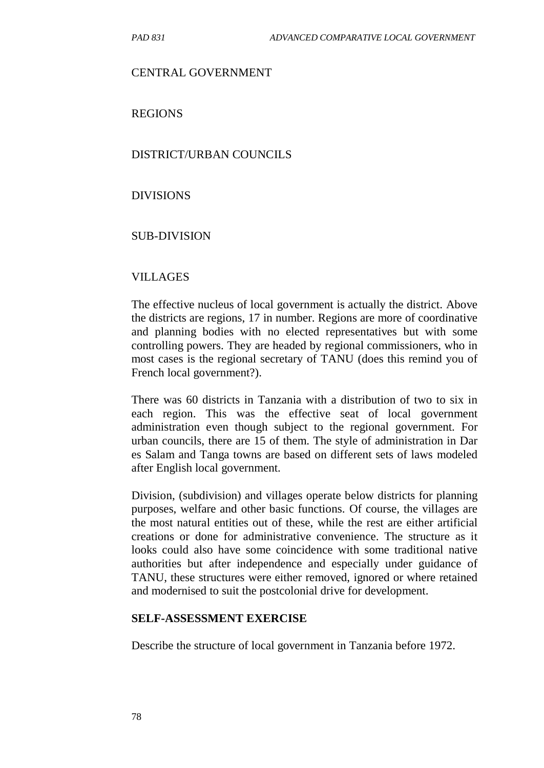#### CENTRAL GOVERNMENT

REGIONS

#### DISTRICT/URBAN COUNCILS

#### DIVISIONS

#### SUB-DIVISION

#### VILLAGES

The effective nucleus of local government is actually the district. Above the districts are regions, 17 in number. Regions are more of coordinative and planning bodies with no elected representatives but with some controlling powers. They are headed by regional commissioners, who in most cases is the regional secretary of TANU (does this remind you of French local government?).

There was 60 districts in Tanzania with a distribution of two to six in each region. This was the effective seat of local government administration even though subject to the regional government. For urban councils, there are 15 of them. The style of administration in Dar es Salam and Tanga towns are based on different sets of laws modeled after English local government.

Division, (subdivision) and villages operate below districts for planning purposes, welfare and other basic functions. Of course, the villages are the most natural entities out of these, while the rest are either artificial creations or done for administrative convenience. The structure as it looks could also have some coincidence with some traditional native authorities but after independence and especially under guidance of TANU, these structures were either removed, ignored or where retained and modernised to suit the postcolonial drive for development.

#### **SELF-ASSESSMENT EXERCISE**

Describe the structure of local government in Tanzania before 1972.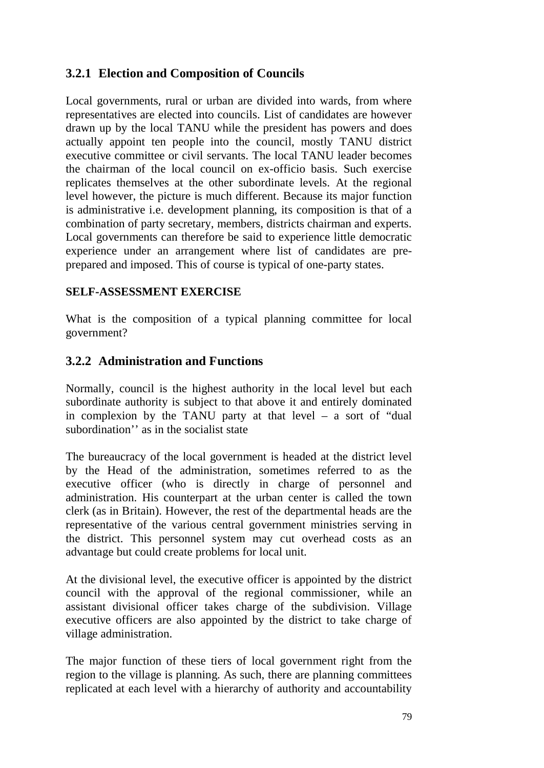## **3.2.1 Election and Composition of Councils**

Local governments, rural or urban are divided into wards, from where representatives are elected into councils. List of candidates are however drawn up by the local TANU while the president has powers and does actually appoint ten people into the council, mostly TANU district executive committee or civil servants. The local TANU leader becomes the chairman of the local council on ex-officio basis. Such exercise replicates themselves at the other subordinate levels. At the regional level however, the picture is much different. Because its major function is administrative i.e. development planning, its composition is that of a combination of party secretary, members, districts chairman and experts. Local governments can therefore be said to experience little democratic experience under an arrangement where list of candidates are preprepared and imposed. This of course is typical of one-party states.

### **SELF-ASSESSMENT EXERCISE**

What is the composition of a typical planning committee for local government?

### **3.2.2 Administration and Functions**

Normally, council is the highest authority in the local level but each subordinate authority is subject to that above it and entirely dominated in complexion by the TANU party at that level – a sort of "dual subordination'' as in the socialist state

The bureaucracy of the local government is headed at the district level by the Head of the administration, sometimes referred to as the executive officer (who is directly in charge of personnel and administration. His counterpart at the urban center is called the town clerk (as in Britain). However, the rest of the departmental heads are the representative of the various central government ministries serving in the district. This personnel system may cut overhead costs as an advantage but could create problems for local unit.

At the divisional level, the executive officer is appointed by the district council with the approval of the regional commissioner, while an assistant divisional officer takes charge of the subdivision. Village executive officers are also appointed by the district to take charge of village administration.

The major function of these tiers of local government right from the region to the village is planning. As such, there are planning committees replicated at each level with a hierarchy of authority and accountability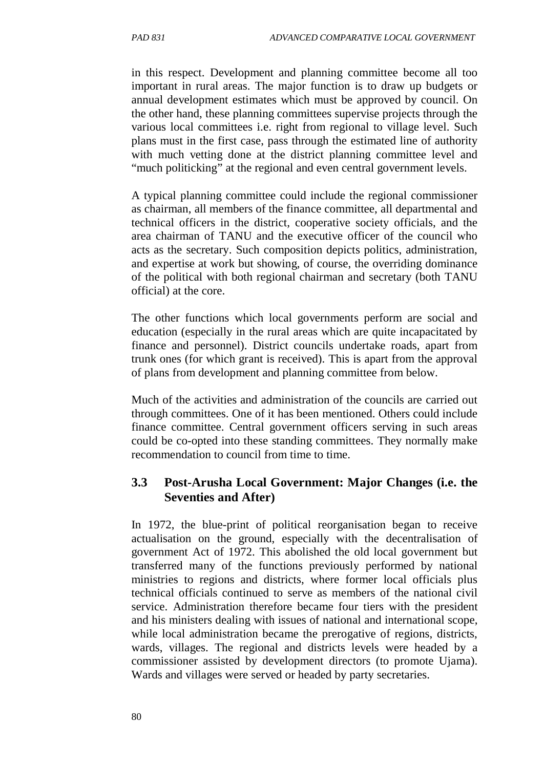in this respect. Development and planning committee become all too important in rural areas. The major function is to draw up budgets or annual development estimates which must be approved by council. On the other hand, these planning committees supervise projects through the various local committees i.e. right from regional to village level. Such plans must in the first case, pass through the estimated line of authority with much vetting done at the district planning committee level and "much politicking" at the regional and even central government levels.

A typical planning committee could include the regional commissioner as chairman, all members of the finance committee, all departmental and technical officers in the district, cooperative society officials, and the area chairman of TANU and the executive officer of the council who acts as the secretary. Such composition depicts politics, administration, and expertise at work but showing, of course, the overriding dominance of the political with both regional chairman and secretary (both TANU official) at the core.

The other functions which local governments perform are social and education (especially in the rural areas which are quite incapacitated by finance and personnel). District councils undertake roads, apart from trunk ones (for which grant is received). This is apart from the approval of plans from development and planning committee from below.

Much of the activities and administration of the councils are carried out through committees. One of it has been mentioned. Others could include finance committee. Central government officers serving in such areas could be co-opted into these standing committees. They normally make recommendation to council from time to time.

## **3.3 Post-Arusha Local Government: Major Changes (i.e. the Seventies and After)**

In 1972, the blue-print of political reorganisation began to receive actualisation on the ground, especially with the decentralisation of government Act of 1972. This abolished the old local government but transferred many of the functions previously performed by national ministries to regions and districts, where former local officials plus technical officials continued to serve as members of the national civil service. Administration therefore became four tiers with the president and his ministers dealing with issues of national and international scope, while local administration became the prerogative of regions, districts, wards, villages. The regional and districts levels were headed by a commissioner assisted by development directors (to promote Ujama). Wards and villages were served or headed by party secretaries.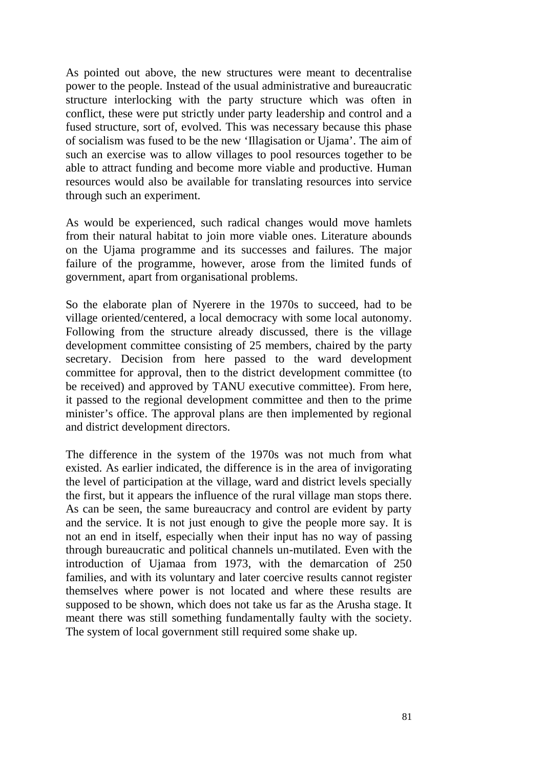As pointed out above, the new structures were meant to decentralise power to the people. Instead of the usual administrative and bureaucratic structure interlocking with the party structure which was often in conflict, these were put strictly under party leadership and control and a fused structure, sort of, evolved. This was necessary because this phase of socialism was fused to be the new 'Illagisation or Ujama'. The aim of such an exercise was to allow villages to pool resources together to be able to attract funding and become more viable and productive. Human resources would also be available for translating resources into service through such an experiment.

As would be experienced, such radical changes would move hamlets from their natural habitat to join more viable ones. Literature abounds on the Ujama programme and its successes and failures. The major failure of the programme, however, arose from the limited funds of government, apart from organisational problems.

So the elaborate plan of Nyerere in the 1970s to succeed, had to be village oriented/centered, a local democracy with some local autonomy. Following from the structure already discussed, there is the village development committee consisting of 25 members, chaired by the party secretary. Decision from here passed to the ward development committee for approval, then to the district development committee (to be received) and approved by TANU executive committee). From here, it passed to the regional development committee and then to the prime minister's office. The approval plans are then implemented by regional and district development directors.

The difference in the system of the 1970s was not much from what existed. As earlier indicated, the difference is in the area of invigorating the level of participation at the village, ward and district levels specially the first, but it appears the influence of the rural village man stops there. As can be seen, the same bureaucracy and control are evident by party and the service. It is not just enough to give the people more say. It is not an end in itself, especially when their input has no way of passing through bureaucratic and political channels un-mutilated. Even with the introduction of Ujamaa from 1973, with the demarcation of 250 families, and with its voluntary and later coercive results cannot register themselves where power is not located and where these results are supposed to be shown, which does not take us far as the Arusha stage. It meant there was still something fundamentally faulty with the society. The system of local government still required some shake up.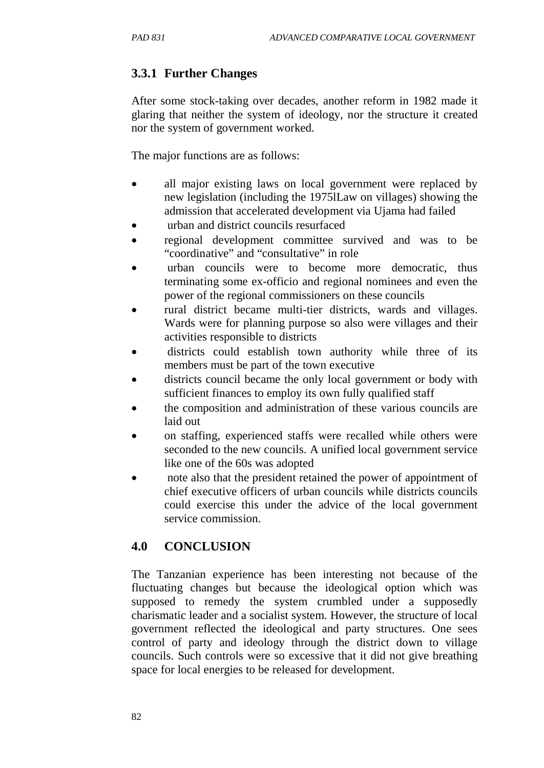# **3.3.1 Further Changes**

After some stock-taking over decades, another reform in 1982 made it glaring that neither the system of ideology, nor the structure it created nor the system of government worked.

The major functions are as follows:

- all major existing laws on local government were replaced by new legislation (including the 1975lLaw on villages) showing the admission that accelerated development via Ujama had failed
- urban and district councils resurfaced
- regional development committee survived and was to be "coordinative" and "consultative" in role
- urban councils were to become more democratic, thus terminating some ex-officio and regional nominees and even the power of the regional commissioners on these councils
- rural district became multi-tier districts, wards and villages. Wards were for planning purpose so also were villages and their activities responsible to districts
- districts could establish town authority while three of its members must be part of the town executive
- districts council became the only local government or body with sufficient finances to employ its own fully qualified staff
- the composition and administration of these various councils are laid out
- on staffing, experienced staffs were recalled while others were seconded to the new councils. A unified local government service like one of the 60s was adopted
- note also that the president retained the power of appointment of chief executive officers of urban councils while districts councils could exercise this under the advice of the local government service commission.

# **4.0 CONCLUSION**

The Tanzanian experience has been interesting not because of the fluctuating changes but because the ideological option which was supposed to remedy the system crumbled under a supposedly charismatic leader and a socialist system. However, the structure of local government reflected the ideological and party structures. One sees control of party and ideology through the district down to village councils. Such controls were so excessive that it did not give breathing space for local energies to be released for development.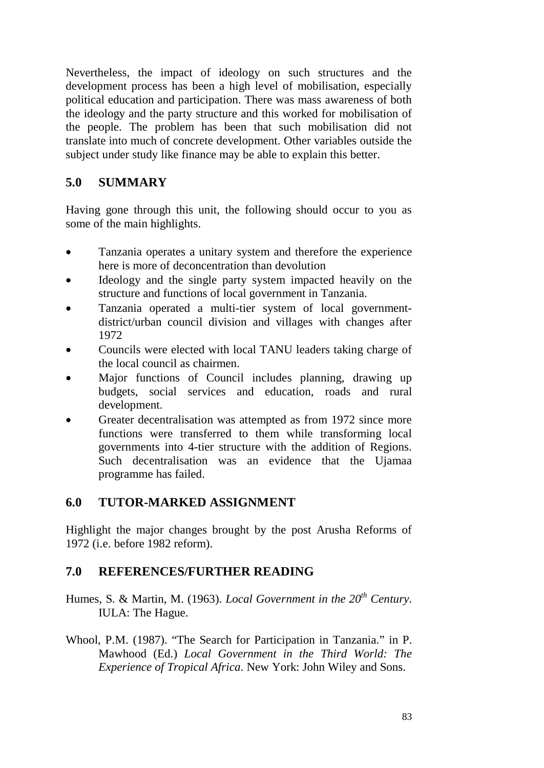Nevertheless, the impact of ideology on such structures and the development process has been a high level of mobilisation, especially political education and participation. There was mass awareness of both the ideology and the party structure and this worked for mobilisation of the people. The problem has been that such mobilisation did not translate into much of concrete development. Other variables outside the subject under study like finance may be able to explain this better.

## **5.0 SUMMARY**

Having gone through this unit, the following should occur to you as some of the main highlights.

- Tanzania operates a unitary system and therefore the experience here is more of deconcentration than devolution
- Ideology and the single party system impacted heavily on the structure and functions of local government in Tanzania.
- Tanzania operated a multi-tier system of local governmentdistrict/urban council division and villages with changes after 1972
- Councils were elected with local TANU leaders taking charge of the local council as chairmen.
- Major functions of Council includes planning, drawing up budgets, social services and education, roads and rural development.
- Greater decentralisation was attempted as from 1972 since more functions were transferred to them while transforming local governments into 4-tier structure with the addition of Regions. Such decentralisation was an evidence that the Ujamaa programme has failed.

## **6.0 TUTOR-MARKED ASSIGNMENT**

Highlight the major changes brought by the post Arusha Reforms of 1972 (i.e. before 1982 reform).

## **7.0 REFERENCES/FURTHER READING**

Humes, S. & Martin, M. (1963). *Local Government in the 20th Century*. IULA: The Hague.

Whool, P.M. (1987). "The Search for Participation in Tanzania." in P. Mawhood (Ed.) *Local Government in the Third World: The Experience of Tropical Africa*. New York: John Wiley and Sons.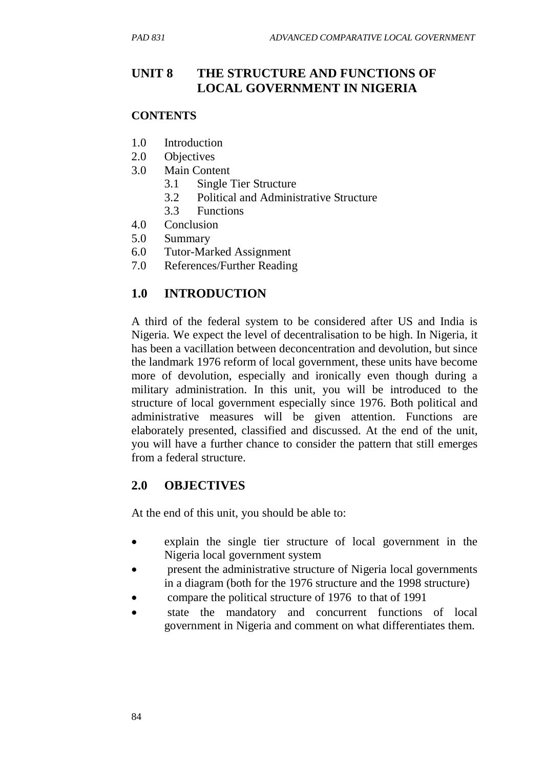# **UNIT 8 THE STRUCTURE AND FUNCTIONS OF LOCAL GOVERNMENT IN NIGERIA**

### **CONTENTS**

- 1.0 Introduction
- 2.0 Objectives
- 3.0 Main Content
	- 3.1 Single Tier Structure
	- 3.2 Political and Administrative Structure
	- 3.3 Functions
- 4.0 Conclusion
- 5.0 Summary
- 6.0 Tutor-Marked Assignment
- 7.0 References/Further Reading

# **1.0 INTRODUCTION**

A third of the federal system to be considered after US and India is Nigeria. We expect the level of decentralisation to be high. In Nigeria, it has been a vacillation between deconcentration and devolution, but since the landmark 1976 reform of local government, these units have become more of devolution, especially and ironically even though during a military administration. In this unit, you will be introduced to the structure of local government especially since 1976. Both political and administrative measures will be given attention. Functions are elaborately presented, classified and discussed. At the end of the unit, you will have a further chance to consider the pattern that still emerges from a federal structure.

# **2.0 OBJECTIVES**

At the end of this unit, you should be able to:

- explain the single tier structure of local government in the Nigeria local government system
- present the administrative structure of Nigeria local governments in a diagram (both for the 1976 structure and the 1998 structure)
- compare the political structure of 1976 to that of 1991
- state the mandatory and concurrent functions of local government in Nigeria and comment on what differentiates them.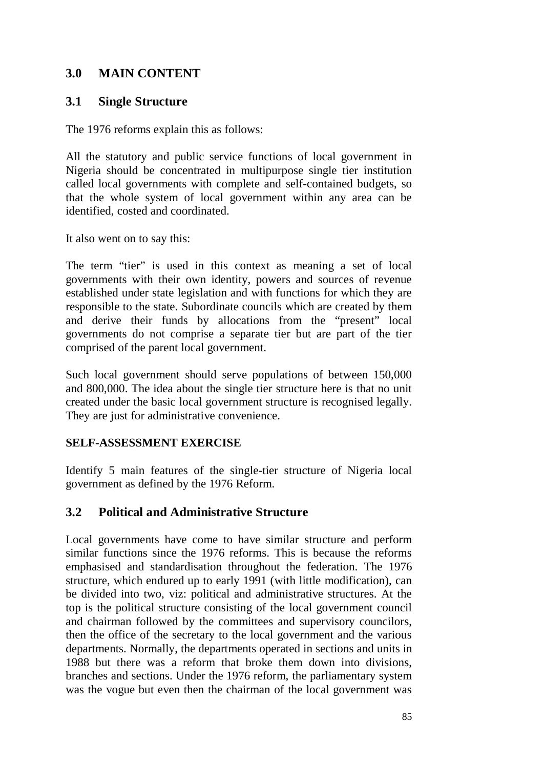### **3.0 MAIN CONTENT**

### **3.1 Single Structure**

The 1976 reforms explain this as follows:

All the statutory and public service functions of local government in Nigeria should be concentrated in multipurpose single tier institution called local governments with complete and self-contained budgets, so that the whole system of local government within any area can be identified, costed and coordinated.

It also went on to say this:

The term "tier" is used in this context as meaning a set of local governments with their own identity, powers and sources of revenue established under state legislation and with functions for which they are responsible to the state. Subordinate councils which are created by them and derive their funds by allocations from the "present" local governments do not comprise a separate tier but are part of the tier comprised of the parent local government.

Such local government should serve populations of between 150,000 and 800,000. The idea about the single tier structure here is that no unit created under the basic local government structure is recognised legally. They are just for administrative convenience.

### **SELF-ASSESSMENT EXERCISE**

Identify 5 main features of the single-tier structure of Nigeria local government as defined by the 1976 Reform.

## **3.2 Political and Administrative Structure**

Local governments have come to have similar structure and perform similar functions since the 1976 reforms. This is because the reforms emphasised and standardisation throughout the federation. The 1976 structure, which endured up to early 1991 (with little modification), can be divided into two, viz: political and administrative structures. At the top is the political structure consisting of the local government council and chairman followed by the committees and supervisory councilors, then the office of the secretary to the local government and the various departments. Normally, the departments operated in sections and units in 1988 but there was a reform that broke them down into divisions, branches and sections. Under the 1976 reform, the parliamentary system was the vogue but even then the chairman of the local government was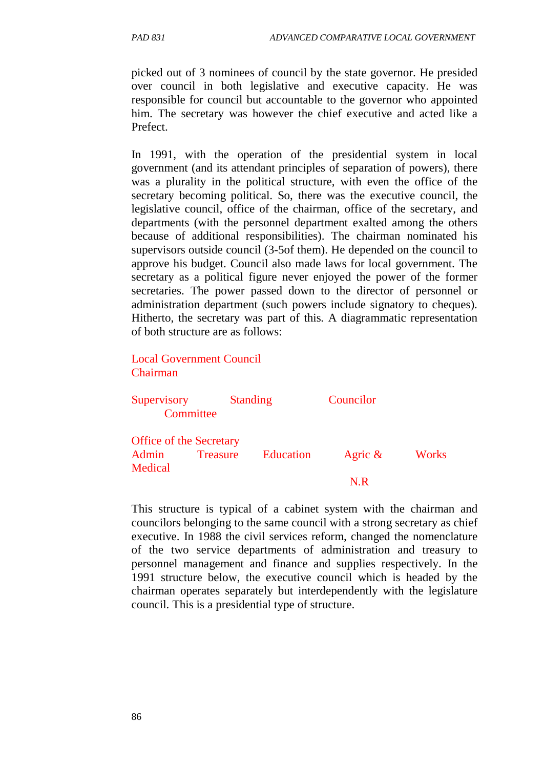picked out of 3 nominees of council by the state governor. He presided over council in both legislative and executive capacity. He was responsible for council but accountable to the governor who appointed him. The secretary was however the chief executive and acted like a Prefect.

In 1991, with the operation of the presidential system in local government (and its attendant principles of separation of powers), there was a plurality in the political structure, with even the office of the secretary becoming political. So, there was the executive council, the legislative council, office of the chairman, office of the secretary, and departments (with the personnel department exalted among the others because of additional responsibilities). The chairman nominated his supervisors outside council (3-5of them). He depended on the council to approve his budget. Council also made laws for local government. The secretary as a political figure never enjoyed the power of the former secretaries. The power passed down to the director of personnel or administration department (such powers include signatory to cheques). Hitherto, the secretary was part of this. A diagrammatic representation of both structure are as follows:

#### Local Government Council Chairman

| Supervisory<br>Committee |                                | <b>Standing</b>  | Councilor  |       |
|--------------------------|--------------------------------|------------------|------------|-------|
|                          | <b>Office of the Secretary</b> |                  |            |       |
| Admin<br>Medical         | <b>Treasure</b>                | <b>Education</b> | Agric $\&$ | Works |
|                          |                                |                  |            |       |

This structure is typical of a cabinet system with the chairman and councilors belonging to the same council with a strong secretary as chief executive. In 1988 the civil services reform, changed the nomenclature of the two service departments of administration and treasury to personnel management and finance and supplies respectively. In the 1991 structure below, the executive council which is headed by the chairman operates separately but interdependently with the legislature council. This is a presidential type of structure.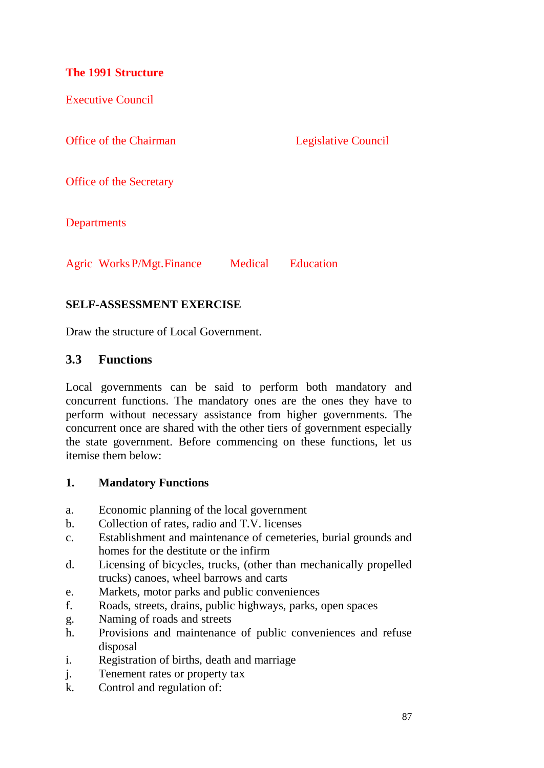### **The 1991 Structure**

Executive Council

Office of the Chairman Legislative Council

Office of the Secretary

**Departments** 

Agric WorksP/Mgt.Finance Medical Education

### **SELF-ASSESSMENT EXERCISE**

Draw the structure of Local Government.

### **3.3 Functions**

Local governments can be said to perform both mandatory and concurrent functions. The mandatory ones are the ones they have to perform without necessary assistance from higher governments. The concurrent once are shared with the other tiers of government especially the state government. Before commencing on these functions, let us itemise them below:

### **1. Mandatory Functions**

- a. Economic planning of the local government
- b. Collection of rates, radio and T.V. licenses
- c. Establishment and maintenance of cemeteries, burial grounds and homes for the destitute or the infirm
- d. Licensing of bicycles, trucks, (other than mechanically propelled trucks) canoes, wheel barrows and carts
- e. Markets, motor parks and public conveniences
- f. Roads, streets, drains, public highways, parks, open spaces
- g. Naming of roads and streets
- h. Provisions and maintenance of public conveniences and refuse disposal
- i. Registration of births, death and marriage
- j. Tenement rates or property tax
- k. Control and regulation of: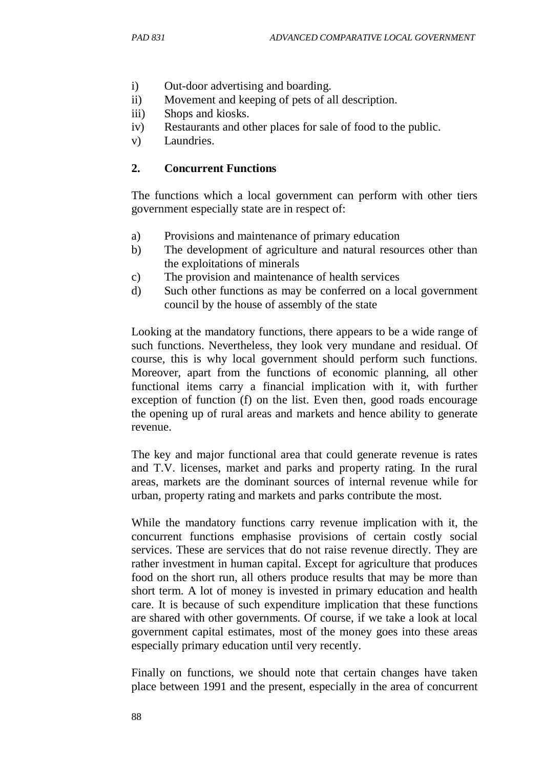- i) Out-door advertising and boarding.
- ii) Movement and keeping of pets of all description.
- iii) Shops and kiosks.
- iv) Restaurants and other places for sale of food to the public.
- v) Laundries.

### **2. Concurrent Functions**

The functions which a local government can perform with other tiers government especially state are in respect of:

- a) Provisions and maintenance of primary education
- b) The development of agriculture and natural resources other than the exploitations of minerals
- c) The provision and maintenance of health services
- d) Such other functions as may be conferred on a local government council by the house of assembly of the state

Looking at the mandatory functions, there appears to be a wide range of such functions. Nevertheless, they look very mundane and residual. Of course, this is why local government should perform such functions. Moreover, apart from the functions of economic planning, all other functional items carry a financial implication with it, with further exception of function (f) on the list. Even then, good roads encourage the opening up of rural areas and markets and hence ability to generate revenue.

The key and major functional area that could generate revenue is rates and T.V. licenses, market and parks and property rating. In the rural areas, markets are the dominant sources of internal revenue while for urban, property rating and markets and parks contribute the most.

While the mandatory functions carry revenue implication with it, the concurrent functions emphasise provisions of certain costly social services. These are services that do not raise revenue directly. They are rather investment in human capital. Except for agriculture that produces food on the short run, all others produce results that may be more than short term. A lot of money is invested in primary education and health care. It is because of such expenditure implication that these functions are shared with other governments. Of course, if we take a look at local government capital estimates, most of the money goes into these areas especially primary education until very recently.

Finally on functions, we should note that certain changes have taken place between 1991 and the present, especially in the area of concurrent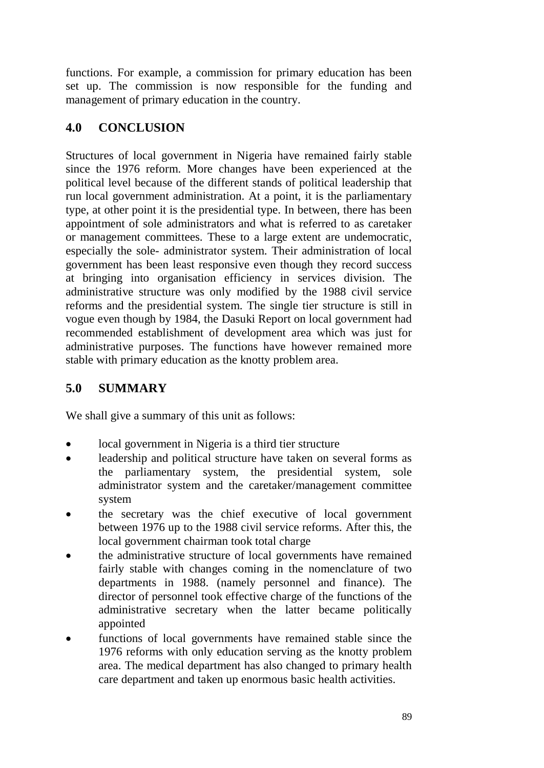functions. For example, a commission for primary education has been set up. The commission is now responsible for the funding and management of primary education in the country.

# **4.0 CONCLUSION**

Structures of local government in Nigeria have remained fairly stable since the 1976 reform. More changes have been experienced at the political level because of the different stands of political leadership that run local government administration. At a point, it is the parliamentary type, at other point it is the presidential type. In between, there has been appointment of sole administrators and what is referred to as caretaker or management committees. These to a large extent are undemocratic, especially the sole- administrator system. Their administration of local government has been least responsive even though they record success at bringing into organisation efficiency in services division. The administrative structure was only modified by the 1988 civil service reforms and the presidential system. The single tier structure is still in vogue even though by 1984, the Dasuki Report on local government had recommended establishment of development area which was just for administrative purposes. The functions have however remained more stable with primary education as the knotty problem area.

# **5.0 SUMMARY**

We shall give a summary of this unit as follows:

- local government in Nigeria is a third tier structure
- leadership and political structure have taken on several forms as the parliamentary system, the presidential system, sole administrator system and the caretaker/management committee system
- the secretary was the chief executive of local government between 1976 up to the 1988 civil service reforms. After this, the local government chairman took total charge
- the administrative structure of local governments have remained fairly stable with changes coming in the nomenclature of two departments in 1988. (namely personnel and finance). The director of personnel took effective charge of the functions of the administrative secretary when the latter became politically appointed
- functions of local governments have remained stable since the 1976 reforms with only education serving as the knotty problem area. The medical department has also changed to primary health care department and taken up enormous basic health activities.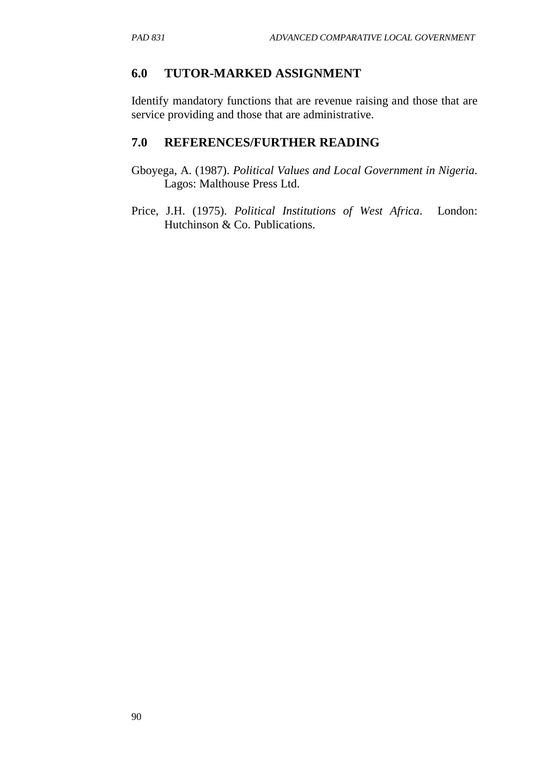### **6.0 TUTOR-MARKED ASSIGNMENT**

Identify mandatory functions that are revenue raising and those that are service providing and those that are administrative.

### **7.0 REFERENCES/FURTHER READING**

- Gboyega, A. (1987). *Political Values and Local Government in Nigeria*. Lagos: Malthouse Press Ltd.
- Price, J.H. (1975). *Political Institutions of West Africa*. London: Hutchinson & Co. Publications.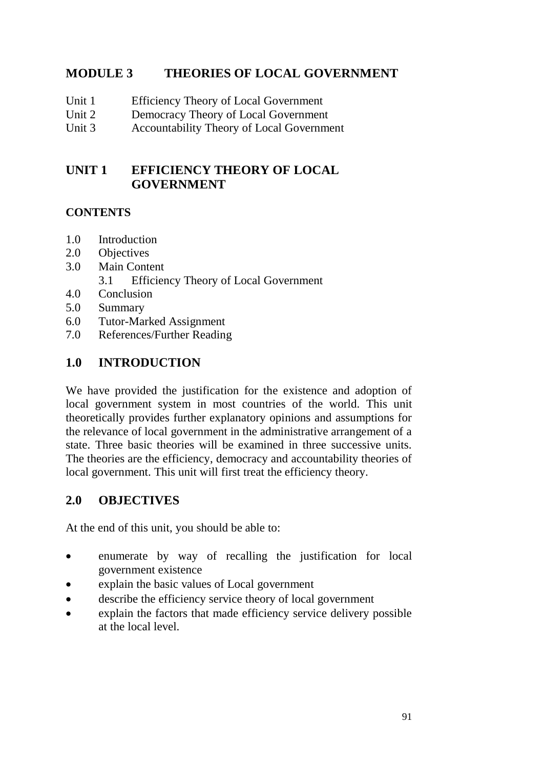## **MODULE 3 THEORIES OF LOCAL GOVERNMENT**

- Unit 1 Efficiency Theory of Local Government
- Unit 2 Democracy Theory of Local Government
- Unit 3 Accountability Theory of Local Government

## **UNIT 1 EFFICIENCY THEORY OF LOCAL GOVERNMENT**

### **CONTENTS**

- 1.0 Introduction
- 2.0 Objectives
- 3.0 Main Content
	- 3.1 Efficiency Theory of Local Government
- 4.0 Conclusion
- 5.0 Summary
- 6.0 Tutor-Marked Assignment
- 7.0 References/Further Reading

## **1.0 INTRODUCTION**

We have provided the justification for the existence and adoption of local government system in most countries of the world. This unit theoretically provides further explanatory opinions and assumptions for the relevance of local government in the administrative arrangement of a state. Three basic theories will be examined in three successive units. The theories are the efficiency, democracy and accountability theories of local government. This unit will first treat the efficiency theory.

## **2.0 OBJECTIVES**

At the end of this unit, you should be able to:

- enumerate by way of recalling the justification for local government existence
- explain the basic values of Local government
- describe the efficiency service theory of local government
- explain the factors that made efficiency service delivery possible at the local level.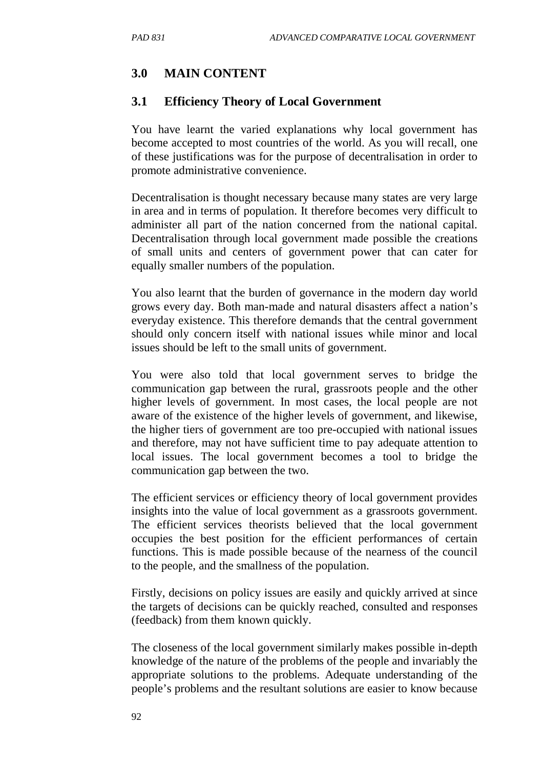# **3.0 MAIN CONTENT**

### **3.1 Efficiency Theory of Local Government**

You have learnt the varied explanations why local government has become accepted to most countries of the world. As you will recall, one of these justifications was for the purpose of decentralisation in order to promote administrative convenience.

Decentralisation is thought necessary because many states are very large in area and in terms of population. It therefore becomes very difficult to administer all part of the nation concerned from the national capital. Decentralisation through local government made possible the creations of small units and centers of government power that can cater for equally smaller numbers of the population.

You also learnt that the burden of governance in the modern day world grows every day. Both man-made and natural disasters affect a nation's everyday existence. This therefore demands that the central government should only concern itself with national issues while minor and local issues should be left to the small units of government.

You were also told that local government serves to bridge the communication gap between the rural, grassroots people and the other higher levels of government. In most cases, the local people are not aware of the existence of the higher levels of government, and likewise, the higher tiers of government are too pre-occupied with national issues and therefore, may not have sufficient time to pay adequate attention to local issues. The local government becomes a tool to bridge the communication gap between the two.

The efficient services or efficiency theory of local government provides insights into the value of local government as a grassroots government. The efficient services theorists believed that the local government occupies the best position for the efficient performances of certain functions. This is made possible because of the nearness of the council to the people, and the smallness of the population.

Firstly, decisions on policy issues are easily and quickly arrived at since the targets of decisions can be quickly reached, consulted and responses (feedback) from them known quickly.

The closeness of the local government similarly makes possible in-depth knowledge of the nature of the problems of the people and invariably the appropriate solutions to the problems. Adequate understanding of the people's problems and the resultant solutions are easier to know because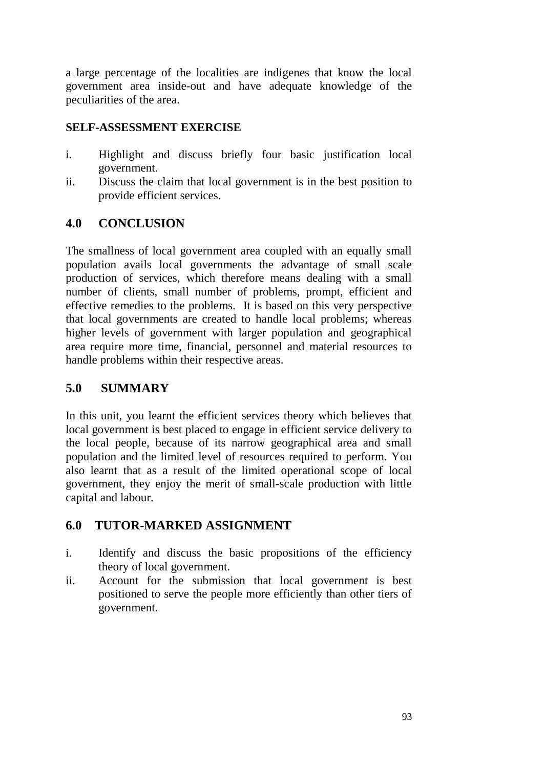a large percentage of the localities are indigenes that know the local government area inside-out and have adequate knowledge of the peculiarities of the area.

### **SELF-ASSESSMENT EXERCISE**

- i. Highlight and discuss briefly four basic justification local government.
- ii. Discuss the claim that local government is in the best position to provide efficient services.

## **4.0 CONCLUSION**

The smallness of local government area coupled with an equally small population avails local governments the advantage of small scale production of services, which therefore means dealing with a small number of clients, small number of problems, prompt, efficient and effective remedies to the problems. It is based on this very perspective that local governments are created to handle local problems; whereas higher levels of government with larger population and geographical area require more time, financial, personnel and material resources to handle problems within their respective areas.

## **5.0 SUMMARY**

In this unit, you learnt the efficient services theory which believes that local government is best placed to engage in efficient service delivery to the local people, because of its narrow geographical area and small population and the limited level of resources required to perform. You also learnt that as a result of the limited operational scope of local government, they enjoy the merit of small-scale production with little capital and labour.

### **6.0 TUTOR-MARKED ASSIGNMENT**

- i. Identify and discuss the basic propositions of the efficiency theory of local government.
- ii. Account for the submission that local government is best positioned to serve the people more efficiently than other tiers of government.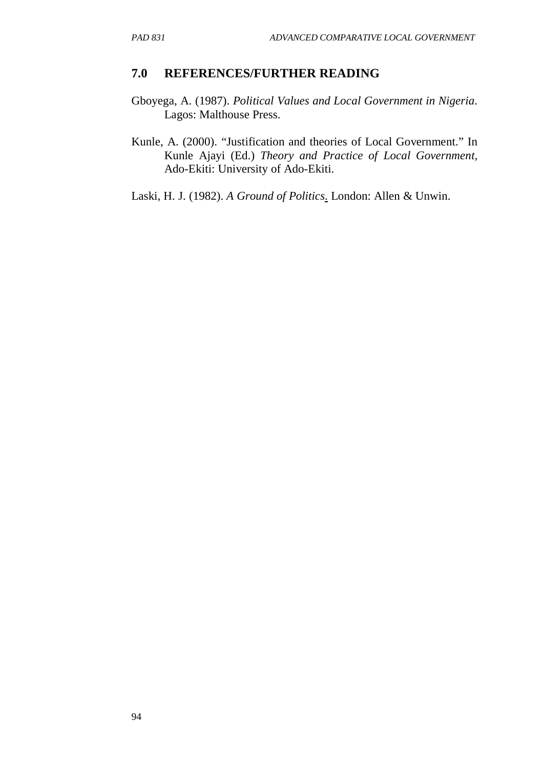#### **7.0 REFERENCES/FURTHER READING**

- Gboyega, A. (1987). *Political Values and Local Government in Nigeria*. Lagos: Malthouse Press.
- Kunle, A. (2000). "Justification and theories of Local Government." In Kunle Ajayi (Ed.) *Theory and Practice of Local Government,* Ado-Ekiti: University of Ado-Ekiti.
- Laski, H. J. (1982). *A Ground of Politics*. London: Allen & Unwin.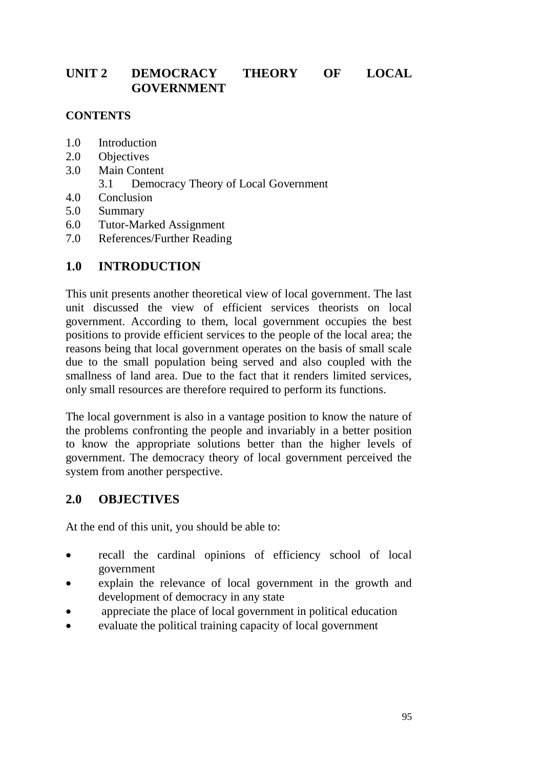## **UNIT 2 DEMOCRACY THEORY OF LOCAL GOVERNMENT**

### **CONTENTS**

- 1.0 Introduction
- 2.0 Objectives
- 3.0 Main Content
	- 3.1 Democracy Theory of Local Government
- 4.0 Conclusion
- 5.0 Summary
- 6.0 Tutor-Marked Assignment
- 7.0 References/Further Reading

# **1.0 INTRODUCTION**

This unit presents another theoretical view of local government. The last unit discussed the view of efficient services theorists on local government. According to them, local government occupies the best positions to provide efficient services to the people of the local area; the reasons being that local government operates on the basis of small scale due to the small population being served and also coupled with the smallness of land area. Due to the fact that it renders limited services, only small resources are therefore required to perform its functions.

The local government is also in a vantage position to know the nature of the problems confronting the people and invariably in a better position to know the appropriate solutions better than the higher levels of government. The democracy theory of local government perceived the system from another perspective.

## **2.0 OBJECTIVES**

At the end of this unit, you should be able to:

- recall the cardinal opinions of efficiency school of local government
- explain the relevance of local government in the growth and development of democracy in any state
- appreciate the place of local government in political education
- evaluate the political training capacity of local government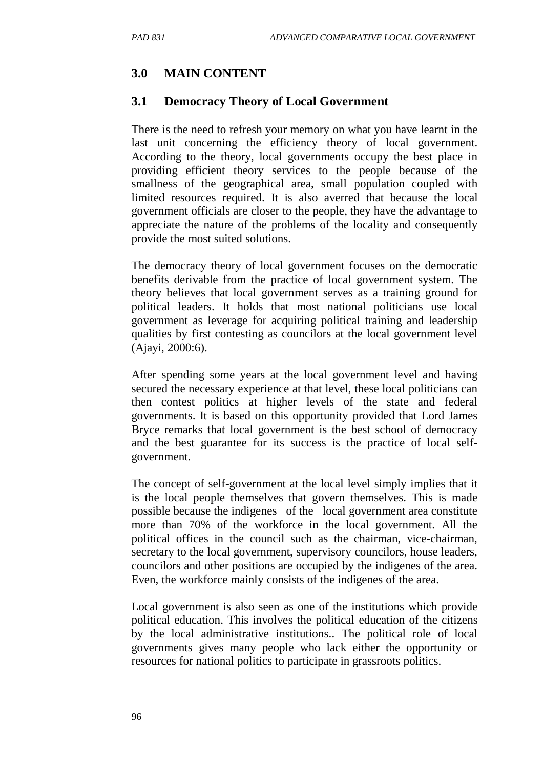## **3.0 MAIN CONTENT**

### **3.1 Democracy Theory of Local Government**

There is the need to refresh your memory on what you have learnt in the last unit concerning the efficiency theory of local government. According to the theory, local governments occupy the best place in providing efficient theory services to the people because of the smallness of the geographical area, small population coupled with limited resources required. It is also averred that because the local government officials are closer to the people, they have the advantage to appreciate the nature of the problems of the locality and consequently provide the most suited solutions.

The democracy theory of local government focuses on the democratic benefits derivable from the practice of local government system. The theory believes that local government serves as a training ground for political leaders. It holds that most national politicians use local government as leverage for acquiring political training and leadership qualities by first contesting as councilors at the local government level (Ajayi, 2000:6).

After spending some years at the local government level and having secured the necessary experience at that level, these local politicians can then contest politics at higher levels of the state and federal governments. It is based on this opportunity provided that Lord James Bryce remarks that local government is the best school of democracy and the best guarantee for its success is the practice of local selfgovernment.

The concept of self-government at the local level simply implies that it is the local people themselves that govern themselves. This is made possible because the indigenes of the local government area constitute more than 70% of the workforce in the local government. All the political offices in the council such as the chairman, vice-chairman, secretary to the local government, supervisory councilors, house leaders, councilors and other positions are occupied by the indigenes of the area. Even, the workforce mainly consists of the indigenes of the area.

Local government is also seen as one of the institutions which provide political education. This involves the political education of the citizens by the local administrative institutions.. The political role of local governments gives many people who lack either the opportunity or resources for national politics to participate in grassroots politics.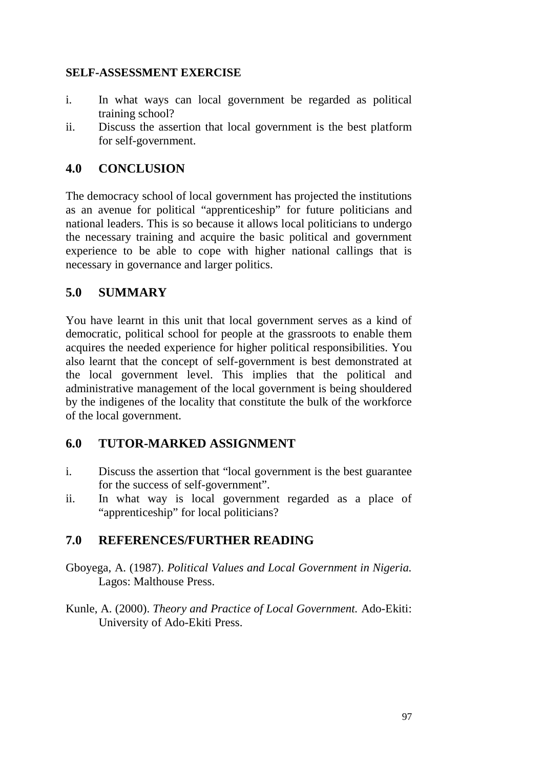### **SELF-ASSESSMENT EXERCISE**

- i. In what ways can local government be regarded as political training school?
- ii. Discuss the assertion that local government is the best platform for self-government.

## **4.0 CONCLUSION**

The democracy school of local government has projected the institutions as an avenue for political "apprenticeship" for future politicians and national leaders. This is so because it allows local politicians to undergo the necessary training and acquire the basic political and government experience to be able to cope with higher national callings that is necessary in governance and larger politics.

## **5.0 SUMMARY**

You have learnt in this unit that local government serves as a kind of democratic, political school for people at the grassroots to enable them acquires the needed experience for higher political responsibilities. You also learnt that the concept of self-government is best demonstrated at the local government level. This implies that the political and administrative management of the local government is being shouldered by the indigenes of the locality that constitute the bulk of the workforce of the local government.

# **6.0 TUTOR-MARKED ASSIGNMENT**

- i. Discuss the assertion that "local government is the best guarantee for the success of self-government".
- ii. In what way is local government regarded as a place of "apprenticeship" for local politicians?

# **7.0 REFERENCES/FURTHER READING**

- Gboyega, A. (1987). *Political Values and Local Government in Nigeria.* Lagos: Malthouse Press.
- Kunle, A. (2000). *Theory and Practice of Local Government.* Ado-Ekiti: University of Ado-Ekiti Press.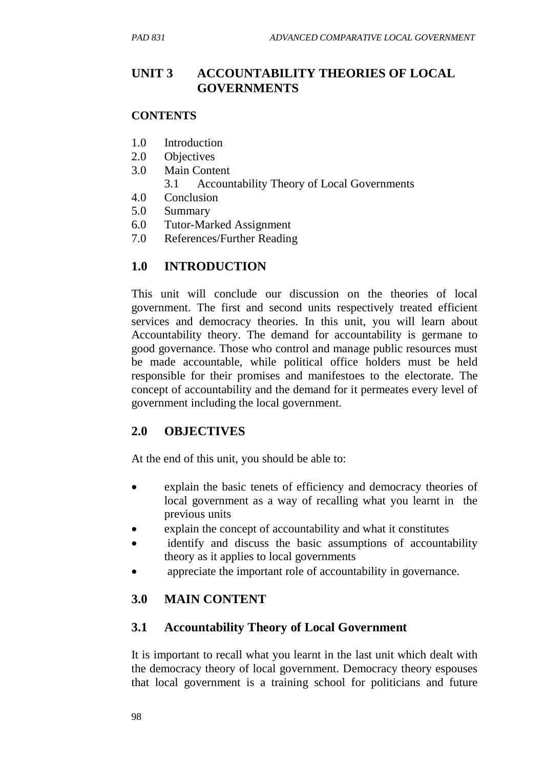## **UNIT 3 ACCOUNTABILITY THEORIES OF LOCAL GOVERNMENTS**

#### **CONTENTS**

- 1.0 Introduction
- 2.0 Objectives
- 3.0 Main Content
	- 3.1 Accountability Theory of Local Governments
- 4.0 Conclusion
- 5.0 Summary
- 6.0 Tutor-Marked Assignment
- 7.0 References/Further Reading

## **1.0 INTRODUCTION**

This unit will conclude our discussion on the theories of local government. The first and second units respectively treated efficient services and democracy theories. In this unit, you will learn about Accountability theory. The demand for accountability is germane to good governance. Those who control and manage public resources must be made accountable, while political office holders must be held responsible for their promises and manifestoes to the electorate. The concept of accountability and the demand for it permeates every level of government including the local government.

## **2.0 OBJECTIVES**

At the end of this unit, you should be able to:

- explain the basic tenets of efficiency and democracy theories of local government as a way of recalling what you learnt in the previous units
- explain the concept of accountability and what it constitutes
- identify and discuss the basic assumptions of accountability theory as it applies to local governments
- appreciate the important role of accountability in governance.

## **3.0 MAIN CONTENT**

## **3.1 Accountability Theory of Local Government**

It is important to recall what you learnt in the last unit which dealt with the democracy theory of local government. Democracy theory espouses that local government is a training school for politicians and future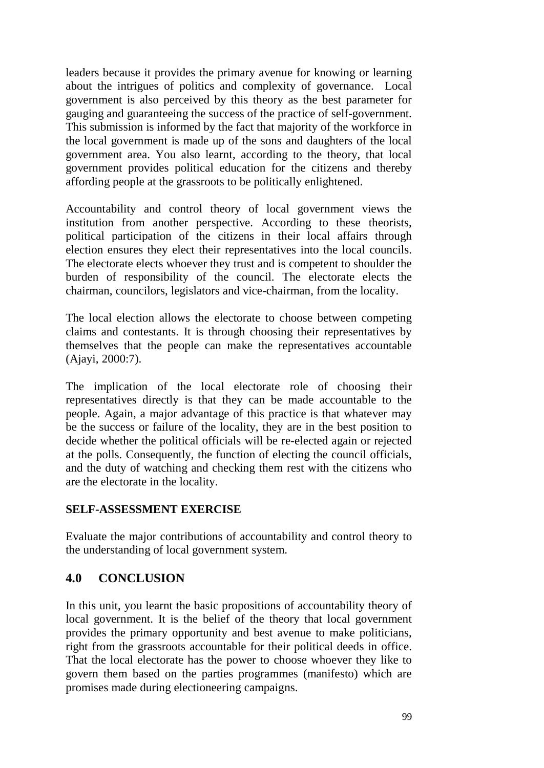leaders because it provides the primary avenue for knowing or learning about the intrigues of politics and complexity of governance. Local government is also perceived by this theory as the best parameter for gauging and guaranteeing the success of the practice of self-government. This submission is informed by the fact that majority of the workforce in the local government is made up of the sons and daughters of the local government area. You also learnt, according to the theory, that local government provides political education for the citizens and thereby affording people at the grassroots to be politically enlightened.

Accountability and control theory of local government views the institution from another perspective. According to these theorists, political participation of the citizens in their local affairs through election ensures they elect their representatives into the local councils. The electorate elects whoever they trust and is competent to shoulder the burden of responsibility of the council. The electorate elects the chairman, councilors, legislators and vice-chairman, from the locality.

The local election allows the electorate to choose between competing claims and contestants. It is through choosing their representatives by themselves that the people can make the representatives accountable (Ajayi, 2000:7).

The implication of the local electorate role of choosing their representatives directly is that they can be made accountable to the people. Again, a major advantage of this practice is that whatever may be the success or failure of the locality, they are in the best position to decide whether the political officials will be re-elected again or rejected at the polls. Consequently, the function of electing the council officials, and the duty of watching and checking them rest with the citizens who are the electorate in the locality.

### **SELF-ASSESSMENT EXERCISE**

Evaluate the major contributions of accountability and control theory to the understanding of local government system.

## **4.0 CONCLUSION**

In this unit, you learnt the basic propositions of accountability theory of local government. It is the belief of the theory that local government provides the primary opportunity and best avenue to make politicians, right from the grassroots accountable for their political deeds in office. That the local electorate has the power to choose whoever they like to govern them based on the parties programmes (manifesto) which are promises made during electioneering campaigns.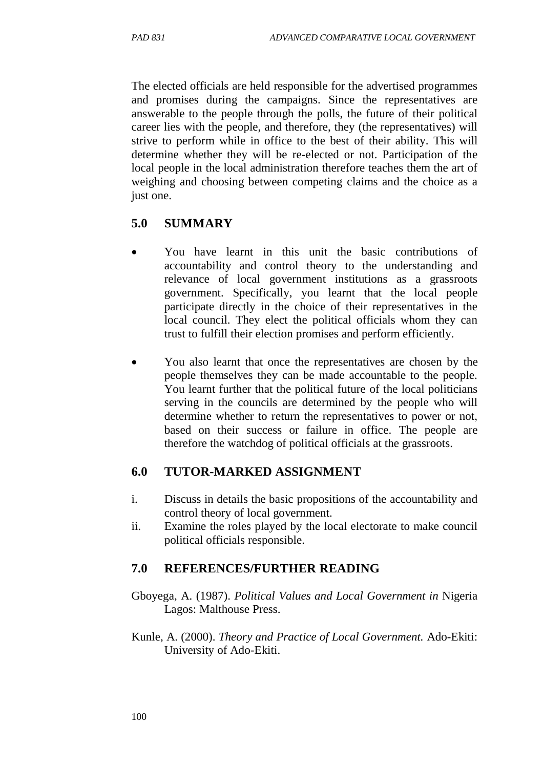The elected officials are held responsible for the advertised programmes and promises during the campaigns. Since the representatives are answerable to the people through the polls, the future of their political career lies with the people, and therefore, they (the representatives) will strive to perform while in office to the best of their ability. This will determine whether they will be re-elected or not. Participation of the local people in the local administration therefore teaches them the art of weighing and choosing between competing claims and the choice as a just one.

### **5.0 SUMMARY**

- You have learnt in this unit the basic contributions of accountability and control theory to the understanding and relevance of local government institutions as a grassroots government. Specifically, you learnt that the local people participate directly in the choice of their representatives in the local council. They elect the political officials whom they can trust to fulfill their election promises and perform efficiently.
- You also learnt that once the representatives are chosen by the people themselves they can be made accountable to the people. You learnt further that the political future of the local politicians serving in the councils are determined by the people who will determine whether to return the representatives to power or not, based on their success or failure in office. The people are therefore the watchdog of political officials at the grassroots.

#### **6.0 TUTOR-MARKED ASSIGNMENT**

- i. Discuss in details the basic propositions of the accountability and control theory of local government.
- ii. Examine the roles played by the local electorate to make council political officials responsible.

### **7.0 REFERENCES/FURTHER READING**

- Gboyega, A. (1987). *Political Values and Local Government in* Nigeria Lagos: Malthouse Press.
- Kunle, A. (2000). *Theory and Practice of Local Government.* Ado-Ekiti: University of Ado-Ekiti.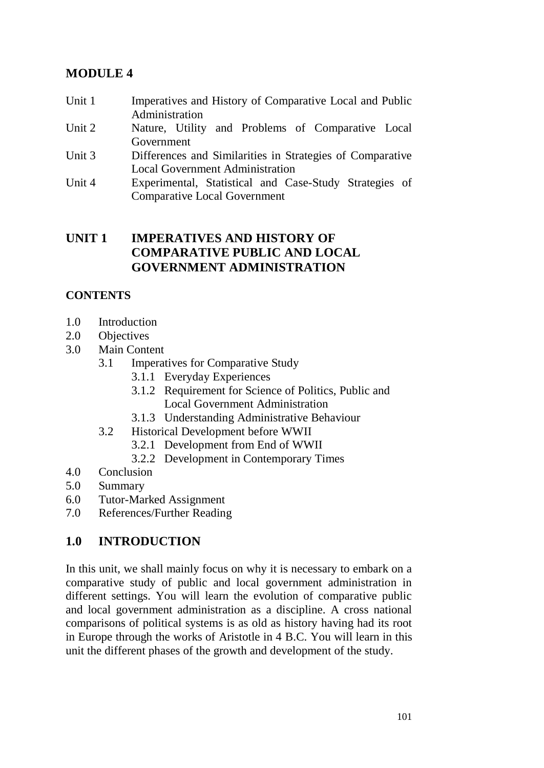# **MODULE 4**

- Unit 1 Imperatives and History of Comparative Local and Public Administration
- Unit 2 Nature, Utility and Problems of Comparative Local Government
- Unit 3 Differences and Similarities in Strategies of Comparative Local Government Administration
- Unit 4 Experimental, Statistical and Case-Study Strategies of Comparative Local Government

## **UNIT 1 IMPERATIVES AND HISTORY OF COMPARATIVE PUBLIC AND LOCAL GOVERNMENT ADMINISTRATION**

## **CONTENTS**

- 1.0 Introduction<br>2.0 Objectives
- Objectives
- 3.0 Main Content
	- 3.1 Imperatives for Comparative Study
		- 3.1.1 Everyday Experiences
		- 3.1.2 Requirement for Science of Politics, Public and Local Government Administration
		- 3.1.3 Understanding Administrative Behaviour
	- 3.2 Historical Development before WWII
		- 3.2.1 Development from End of WWII
		- 3.2.2 Development in Contemporary Times
- 4.0 Conclusion
- 5.0 Summary
- 6.0 Tutor-Marked Assignment
- 7.0 References/Further Reading

# **1.0 INTRODUCTION**

In this unit, we shall mainly focus on why it is necessary to embark on a comparative study of public and local government administration in different settings. You will learn the evolution of comparative public and local government administration as a discipline. A cross national comparisons of political systems is as old as history having had its root in Europe through the works of Aristotle in 4 B.C. You will learn in this unit the different phases of the growth and development of the study.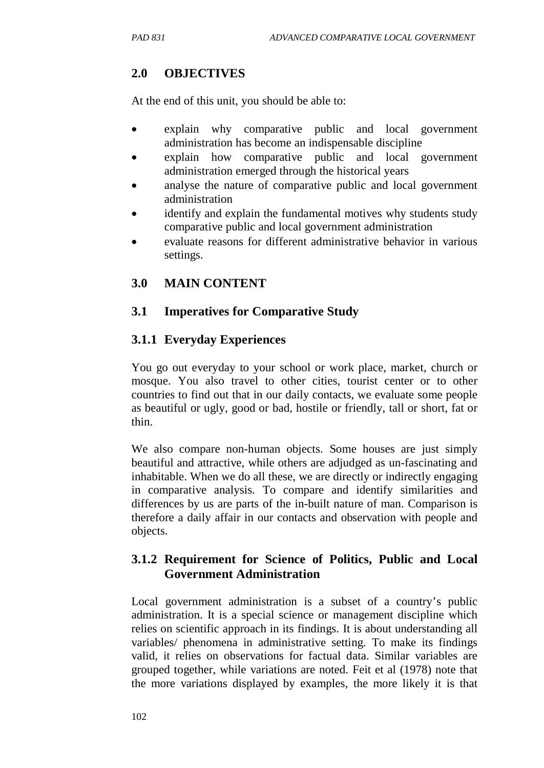# **2.0 OBJECTIVES**

At the end of this unit, you should be able to:

- explain why comparative public and local government administration has become an indispensable discipline
- explain how comparative public and local government administration emerged through the historical years
- analyse the nature of comparative public and local government administration
- identify and explain the fundamental motives why students study comparative public and local government administration
- evaluate reasons for different administrative behavior in various settings.

# **3.0 MAIN CONTENT**

## **3.1 Imperatives for Comparative Study**

## **3.1.1 Everyday Experiences**

You go out everyday to your school or work place, market, church or mosque. You also travel to other cities, tourist center or to other countries to find out that in our daily contacts, we evaluate some people as beautiful or ugly, good or bad, hostile or friendly, tall or short, fat or thin.

We also compare non-human objects. Some houses are just simply beautiful and attractive, while others are adjudged as un-fascinating and inhabitable. When we do all these, we are directly or indirectly engaging in comparative analysis. To compare and identify similarities and differences by us are parts of the in-built nature of man. Comparison is therefore a daily affair in our contacts and observation with people and objects.

## **3.1.2 Requirement for Science of Politics, Public and Local Government Administration**

Local government administration is a subset of a country's public administration. It is a special science or management discipline which relies on scientific approach in its findings. It is about understanding all variables/ phenomena in administrative setting. To make its findings valid, it relies on observations for factual data. Similar variables are grouped together, while variations are noted. Feit et al (1978) note that the more variations displayed by examples, the more likely it is that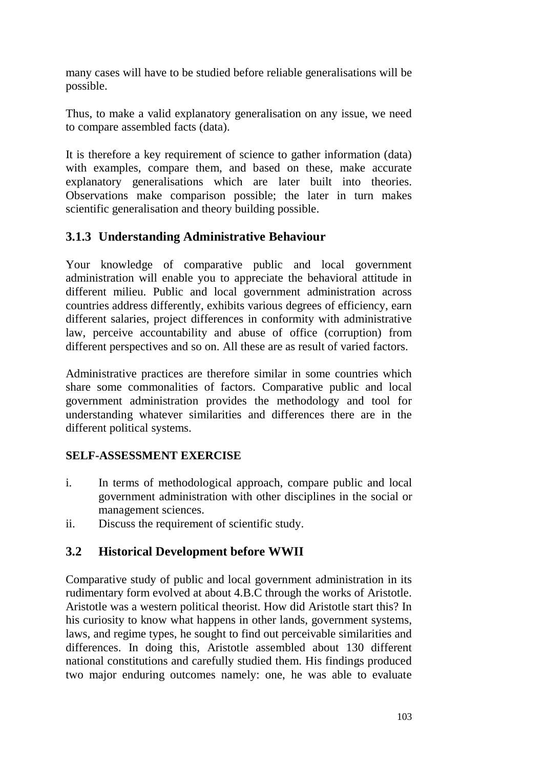many cases will have to be studied before reliable generalisations will be possible.

Thus, to make a valid explanatory generalisation on any issue, we need to compare assembled facts (data).

It is therefore a key requirement of science to gather information (data) with examples, compare them, and based on these, make accurate explanatory generalisations which are later built into theories. Observations make comparison possible; the later in turn makes scientific generalisation and theory building possible.

# **3.1.3 Understanding Administrative Behaviour**

Your knowledge of comparative public and local government administration will enable you to appreciate the behavioral attitude in different milieu. Public and local government administration across countries address differently, exhibits various degrees of efficiency, earn different salaries, project differences in conformity with administrative law, perceive accountability and abuse of office (corruption) from different perspectives and so on. All these are as result of varied factors.

Administrative practices are therefore similar in some countries which share some commonalities of factors. Comparative public and local government administration provides the methodology and tool for understanding whatever similarities and differences there are in the different political systems.

# **SELF-ASSESSMENT EXERCISE**

- i. In terms of methodological approach, compare public and local government administration with other disciplines in the social or management sciences.
- ii. Discuss the requirement of scientific study.

# **3.2 Historical Development before WWII**

Comparative study of public and local government administration in its rudimentary form evolved at about 4.B.C through the works of Aristotle. Aristotle was a western political theorist. How did Aristotle start this? In his curiosity to know what happens in other lands, government systems, laws, and regime types, he sought to find out perceivable similarities and differences. In doing this, Aristotle assembled about 130 different national constitutions and carefully studied them. His findings produced two major enduring outcomes namely: one, he was able to evaluate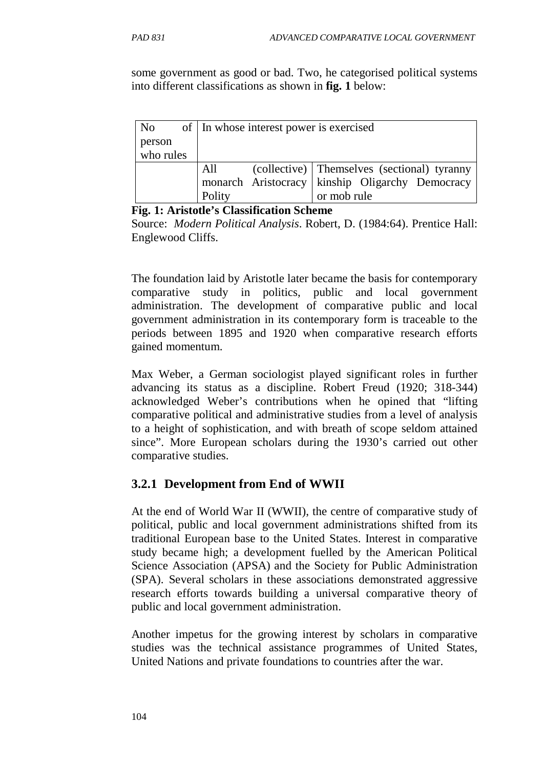some government as good or bad. Two, he categorised political systems into different classifications as shown in **fig. 1** below:

| No        | of   In whose interest power is exercised |                                                 |  |
|-----------|-------------------------------------------|-------------------------------------------------|--|
| person    |                                           |                                                 |  |
| who rules |                                           |                                                 |  |
|           | All                                       | (collective) Themselves (sectional) tyranny     |  |
|           |                                           | monarch Aristocracy kinship Oligarchy Democracy |  |
|           | Polity                                    | or mob rule                                     |  |

**Fig. 1: Aristotle's Classification Scheme**

Source: *Modern Political Analysis*. Robert, D. (1984:64). Prentice Hall: Englewood Cliffs.

The foundation laid by Aristotle later became the basis for contemporary comparative study in politics, public and local government administration. The development of comparative public and local government administration in its contemporary form is traceable to the periods between 1895 and 1920 when comparative research efforts gained momentum.

Max Weber, a German sociologist played significant roles in further advancing its status as a discipline. Robert Freud (1920; 318-344) acknowledged Weber's contributions when he opined that "lifting comparative political and administrative studies from a level of analysis to a height of sophistication, and with breath of scope seldom attained since". More European scholars during the 1930's carried out other comparative studies.

# **3.2.1 Development from End of WWII**

At the end of World War II (WWII), the centre of comparative study of political, public and local government administrations shifted from its traditional European base to the United States. Interest in comparative study became high; a development fuelled by the American Political Science Association (APSA) and the Society for Public Administration (SPA). Several scholars in these associations demonstrated aggressive research efforts towards building a universal comparative theory of public and local government administration.

Another impetus for the growing interest by scholars in comparative studies was the technical assistance programmes of United States, United Nations and private foundations to countries after the war.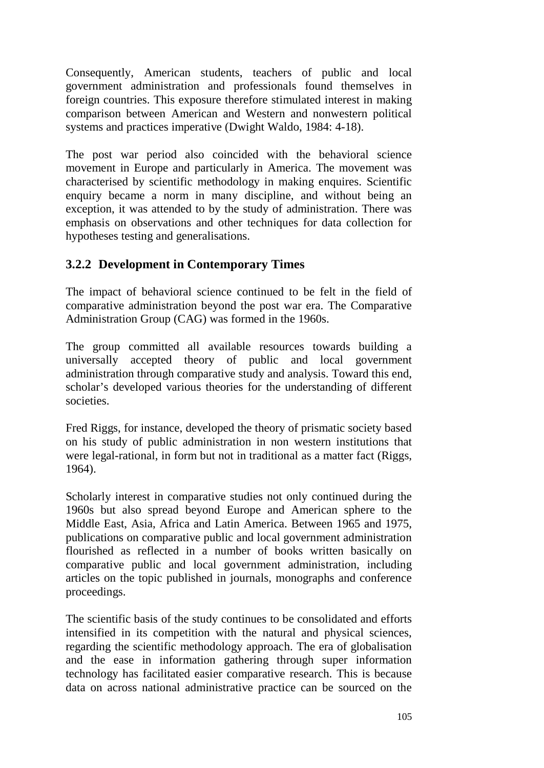Consequently, American students, teachers of public and local government administration and professionals found themselves in foreign countries. This exposure therefore stimulated interest in making comparison between American and Western and nonwestern political systems and practices imperative (Dwight Waldo, 1984: 4-18).

The post war period also coincided with the behavioral science movement in Europe and particularly in America. The movement was characterised by scientific methodology in making enquires. Scientific enquiry became a norm in many discipline, and without being an exception, it was attended to by the study of administration. There was emphasis on observations and other techniques for data collection for hypotheses testing and generalisations.

# **3.2.2 Development in Contemporary Times**

The impact of behavioral science continued to be felt in the field of comparative administration beyond the post war era. The Comparative Administration Group (CAG) was formed in the 1960s.

The group committed all available resources towards building a universally accepted theory of public and local government administration through comparative study and analysis. Toward this end, scholar's developed various theories for the understanding of different societies.

Fred Riggs, for instance, developed the theory of prismatic society based on his study of public administration in non western institutions that were legal-rational, in form but not in traditional as a matter fact (Riggs, 1964).

Scholarly interest in comparative studies not only continued during the 1960s but also spread beyond Europe and American sphere to the Middle East, Asia, Africa and Latin America. Between 1965 and 1975, publications on comparative public and local government administration flourished as reflected in a number of books written basically on comparative public and local government administration, including articles on the topic published in journals, monographs and conference proceedings.

The scientific basis of the study continues to be consolidated and efforts intensified in its competition with the natural and physical sciences, regarding the scientific methodology approach. The era of globalisation and the ease in information gathering through super information technology has facilitated easier comparative research. This is because data on across national administrative practice can be sourced on the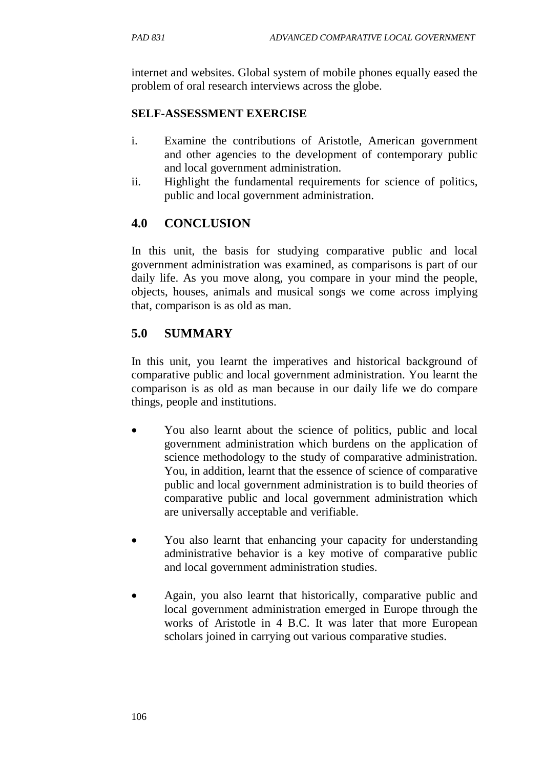internet and websites. Global system of mobile phones equally eased the problem of oral research interviews across the globe.

### **SELF-ASSESSMENT EXERCISE**

- i. Examine the contributions of Aristotle, American government and other agencies to the development of contemporary public and local government administration.
- ii. Highlight the fundamental requirements for science of politics, public and local government administration.

## **4.0 CONCLUSION**

In this unit, the basis for studying comparative public and local government administration was examined, as comparisons is part of our daily life. As you move along, you compare in your mind the people, objects, houses, animals and musical songs we come across implying that, comparison is as old as man.

## **5.0 SUMMARY**

In this unit, you learnt the imperatives and historical background of comparative public and local government administration. You learnt the comparison is as old as man because in our daily life we do compare things, people and institutions.

- You also learnt about the science of politics, public and local government administration which burdens on the application of science methodology to the study of comparative administration. You, in addition, learnt that the essence of science of comparative public and local government administration is to build theories of comparative public and local government administration which are universally acceptable and verifiable.
- You also learnt that enhancing your capacity for understanding administrative behavior is a key motive of comparative public and local government administration studies.
- Again, you also learnt that historically, comparative public and local government administration emerged in Europe through the works of Aristotle in 4 B.C. It was later that more European scholars joined in carrying out various comparative studies.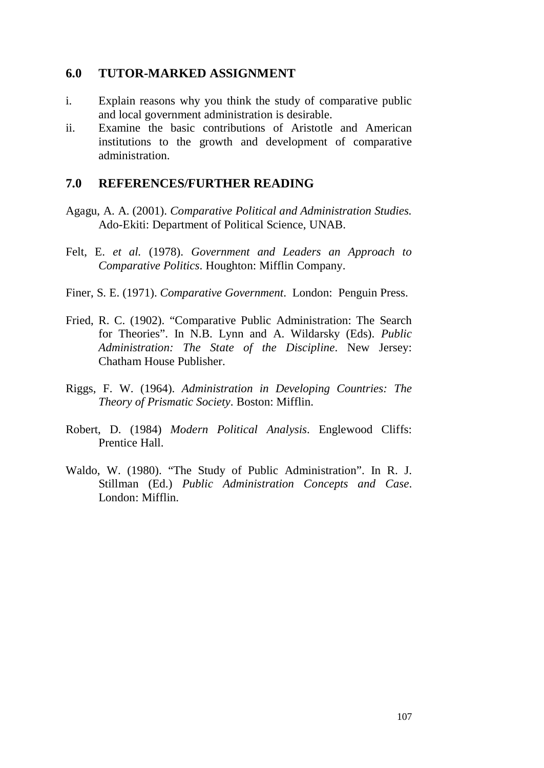#### **6.0 TUTOR-MARKED ASSIGNMENT**

- i. Explain reasons why you think the study of comparative public and local government administration is desirable.
- ii. Examine the basic contributions of Aristotle and American institutions to the growth and development of comparative administration.

#### **7.0 REFERENCES/FURTHER READING**

- Agagu, A. A. (2001). *Comparative Political and Administration Studies.* Ado-Ekiti: Department of Political Science, UNAB.
- Felt, E. *et al.* (1978). *Government and Leaders an Approach to Comparative Politics*. Houghton: Mifflin Company.
- Finer, S. E. (1971). *Comparative Government*. London: Penguin Press.
- Fried, R. C. (1902). "Comparative Public Administration: The Search for Theories". In N.B. Lynn and A. Wildarsky (Eds). *Public Administration: The State of the Discipline*. New Jersey: Chatham House Publisher.
- Riggs, F. W. (1964). *Administration in Developing Countries: The Theory of Prismatic Society*. Boston: Mifflin.
- Robert, D. (1984) *Modern Political Analysis*. Englewood Cliffs: Prentice Hall.
- Waldo, W. (1980). "The Study of Public Administration". In R. J. Stillman (Ed.) *Public Administration Concepts and Case*. London: Mifflin.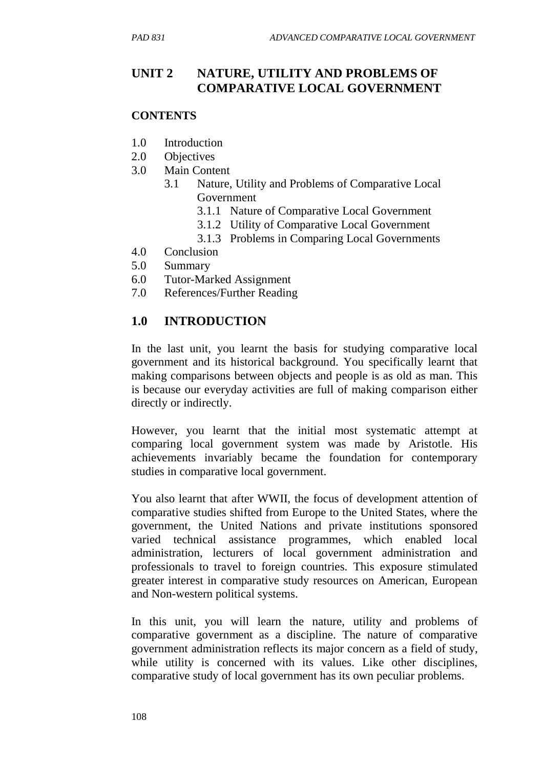## **UNIT 2 NATURE, UTILITY AND PROBLEMS OF COMPARATIVE LOCAL GOVERNMENT**

#### **CONTENTS**

- 1.0 Introduction
- 2.0 Objectives
- 3.0 Main Content
	- 3.1 Nature, Utility and Problems of Comparative Local Government
		- 3.1.1 Nature of Comparative Local Government
		- 3.1.2 Utility of Comparative Local Government
		- 3.1.3 Problems in Comparing Local Governments
- 4.0 Conclusion
- 5.0 Summary
- 6.0 Tutor-Marked Assignment
- 7.0 References/Further Reading

### **1.0 INTRODUCTION**

In the last unit, you learnt the basis for studying comparative local government and its historical background. You specifically learnt that making comparisons between objects and people is as old as man. This is because our everyday activities are full of making comparison either directly or indirectly.

However, you learnt that the initial most systematic attempt at comparing local government system was made by Aristotle. His achievements invariably became the foundation for contemporary studies in comparative local government.

You also learnt that after WWII, the focus of development attention of comparative studies shifted from Europe to the United States, where the government, the United Nations and private institutions sponsored varied technical assistance programmes, which enabled local administration, lecturers of local government administration and professionals to travel to foreign countries. This exposure stimulated greater interest in comparative study resources on American, European and Non-western political systems.

In this unit, you will learn the nature, utility and problems of comparative government as a discipline. The nature of comparative government administration reflects its major concern as a field of study, while utility is concerned with its values. Like other disciplines, comparative study of local government has its own peculiar problems.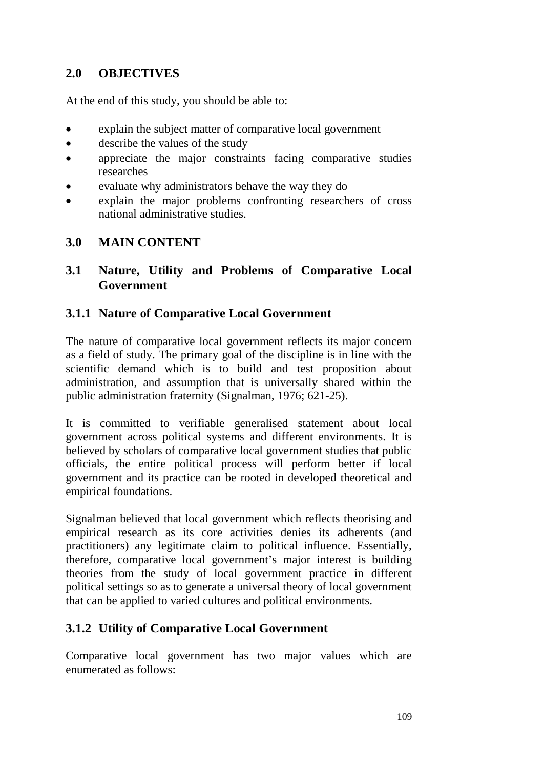### **2.0 OBJECTIVES**

At the end of this study, you should be able to:

- explain the subject matter of comparative local government
- describe the values of the study
- appreciate the major constraints facing comparative studies researches
- evaluate why administrators behave the way they do
- explain the major problems confronting researchers of cross national administrative studies.

### **3.0 MAIN CONTENT**

#### **3.1 Nature, Utility and Problems of Comparative Local Government**

### **3.1.1 Nature of Comparative Local Government**

The nature of comparative local government reflects its major concern as a field of study. The primary goal of the discipline is in line with the scientific demand which is to build and test proposition about administration, and assumption that is universally shared within the public administration fraternity (Signalman, 1976; 621-25).

It is committed to verifiable generalised statement about local government across political systems and different environments. It is believed by scholars of comparative local government studies that public officials, the entire political process will perform better if local government and its practice can be rooted in developed theoretical and empirical foundations.

Signalman believed that local government which reflects theorising and empirical research as its core activities denies its adherents (and practitioners) any legitimate claim to political influence. Essentially, therefore, comparative local government's major interest is building theories from the study of local government practice in different political settings so as to generate a universal theory of local government that can be applied to varied cultures and political environments.

## **3.1.2 Utility of Comparative Local Government**

Comparative local government has two major values which are enumerated as follows: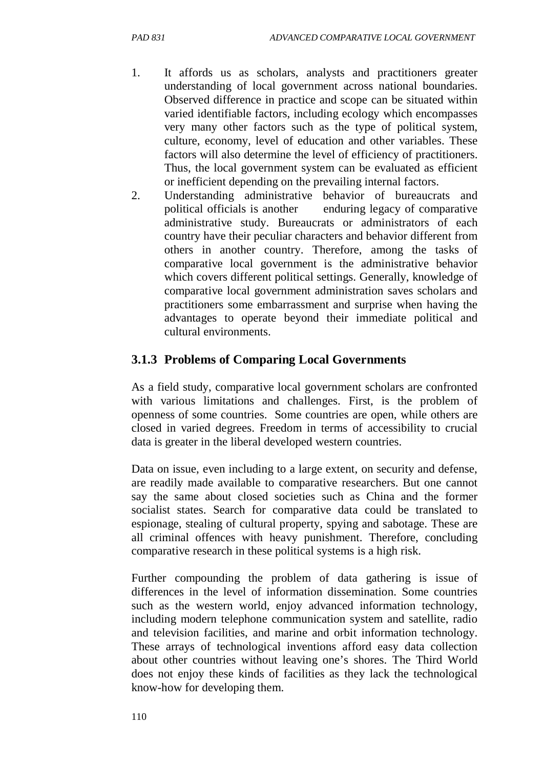- 1. It affords us as scholars, analysts and practitioners greater understanding of local government across national boundaries. Observed difference in practice and scope can be situated within varied identifiable factors, including ecology which encompasses very many other factors such as the type of political system, culture, economy, level of education and other variables. These factors will also determine the level of efficiency of practitioners. Thus, the local government system can be evaluated as efficient or inefficient depending on the prevailing internal factors.
- 2. Understanding administrative behavior of bureaucrats and political officials is another enduring legacy of comparative administrative study. Bureaucrats or administrators of each country have their peculiar characters and behavior different from others in another country. Therefore, among the tasks of comparative local government is the administrative behavior which covers different political settings. Generally, knowledge of comparative local government administration saves scholars and practitioners some embarrassment and surprise when having the advantages to operate beyond their immediate political and cultural environments.

### **3.1.3 Problems of Comparing Local Governments**

As a field study, comparative local government scholars are confronted with various limitations and challenges. First, is the problem of openness of some countries. Some countries are open, while others are closed in varied degrees. Freedom in terms of accessibility to crucial data is greater in the liberal developed western countries.

Data on issue, even including to a large extent, on security and defense, are readily made available to comparative researchers. But one cannot say the same about closed societies such as China and the former socialist states. Search for comparative data could be translated to espionage, stealing of cultural property, spying and sabotage. These are all criminal offences with heavy punishment. Therefore, concluding comparative research in these political systems is a high risk.

Further compounding the problem of data gathering is issue of differences in the level of information dissemination. Some countries such as the western world, enjoy advanced information technology, including modern telephone communication system and satellite, radio and television facilities, and marine and orbit information technology. These arrays of technological inventions afford easy data collection about other countries without leaving one's shores. The Third World does not enjoy these kinds of facilities as they lack the technological know-how for developing them.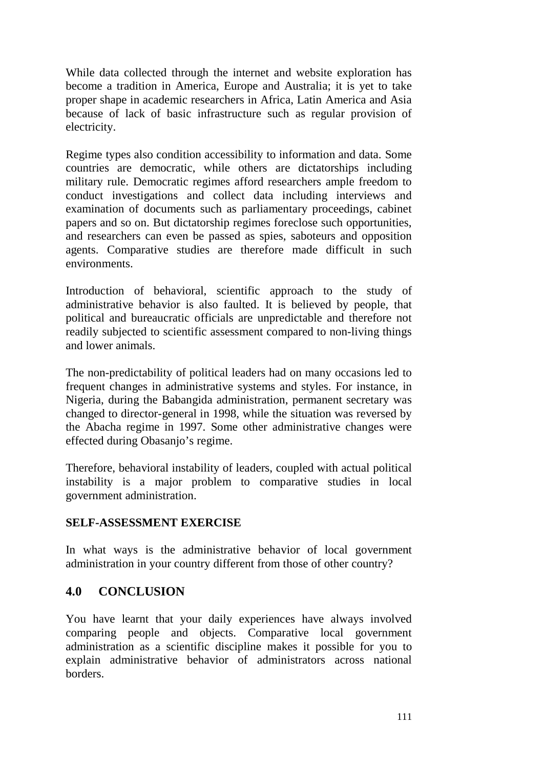While data collected through the internet and website exploration has become a tradition in America, Europe and Australia; it is yet to take proper shape in academic researchers in Africa, Latin America and Asia because of lack of basic infrastructure such as regular provision of electricity.

Regime types also condition accessibility to information and data. Some countries are democratic, while others are dictatorships including military rule. Democratic regimes afford researchers ample freedom to conduct investigations and collect data including interviews and examination of documents such as parliamentary proceedings, cabinet papers and so on. But dictatorship regimes foreclose such opportunities, and researchers can even be passed as spies, saboteurs and opposition agents. Comparative studies are therefore made difficult in such environments.

Introduction of behavioral, scientific approach to the study of administrative behavior is also faulted. It is believed by people, that political and bureaucratic officials are unpredictable and therefore not readily subjected to scientific assessment compared to non-living things and lower animals.

The non-predictability of political leaders had on many occasions led to frequent changes in administrative systems and styles. For instance, in Nigeria, during the Babangida administration, permanent secretary was changed to director-general in 1998, while the situation was reversed by the Abacha regime in 1997. Some other administrative changes were effected during Obasanjo's regime.

Therefore, behavioral instability of leaders, coupled with actual political instability is a major problem to comparative studies in local government administration.

#### **SELF-ASSESSMENT EXERCISE**

In what ways is the administrative behavior of local government administration in your country different from those of other country?

#### **4.0 CONCLUSION**

You have learnt that your daily experiences have always involved comparing people and objects. Comparative local government administration as a scientific discipline makes it possible for you to explain administrative behavior of administrators across national borders.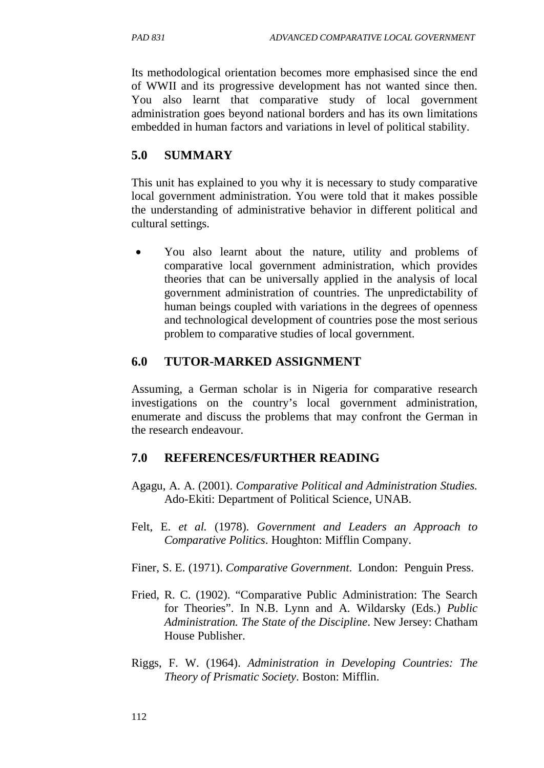Its methodological orientation becomes more emphasised since the end of WWII and its progressive development has not wanted since then. You also learnt that comparative study of local government administration goes beyond national borders and has its own limitations embedded in human factors and variations in level of political stability.

### **5.0 SUMMARY**

This unit has explained to you why it is necessary to study comparative local government administration. You were told that it makes possible the understanding of administrative behavior in different political and cultural settings.

• You also learnt about the nature, utility and problems of comparative local government administration, which provides theories that can be universally applied in the analysis of local government administration of countries. The unpredictability of human beings coupled with variations in the degrees of openness and technological development of countries pose the most serious problem to comparative studies of local government.

### **6.0 TUTOR-MARKED ASSIGNMENT**

Assuming, a German scholar is in Nigeria for comparative research investigations on the country's local government administration, enumerate and discuss the problems that may confront the German in the research endeavour.

### **7.0 REFERENCES/FURTHER READING**

- Agagu, A. A. (2001). *Comparative Political and Administration Studies.* Ado-Ekiti: Department of Political Science, UNAB.
- Felt, E. *et al.* (1978). *Government and Leaders an Approach to Comparative Politics*. Houghton: Mifflin Company.
- Finer, S. E. (1971). *Comparative Government*. London: Penguin Press.
- Fried, R. C. (1902). "Comparative Public Administration: The Search for Theories". In N.B. Lynn and A. Wildarsky (Eds.) *Public Administration. The State of the Discipline*. New Jersey: Chatham House Publisher.
- Riggs, F. W. (1964). *Administration in Developing Countries: The Theory of Prismatic Society*. Boston: Mifflin.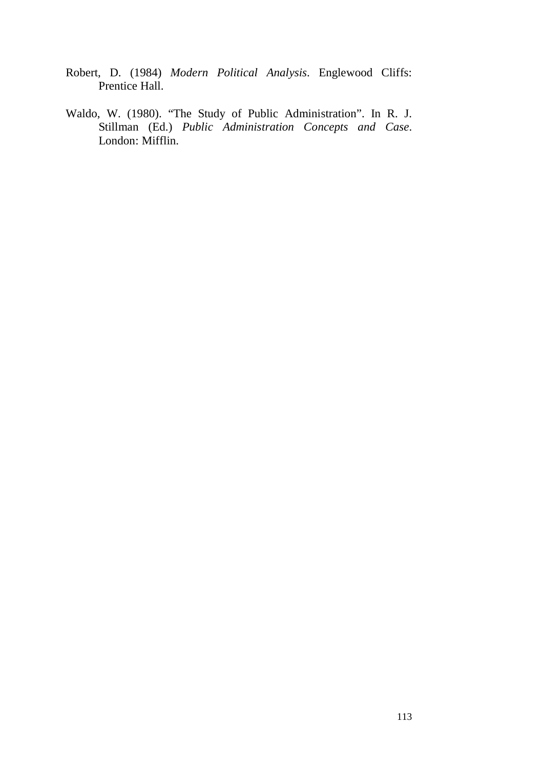- Robert, D. (1984) *Modern Political Analysis*. Englewood Cliffs: Prentice Hall.
- Waldo, W. (1980). "The Study of Public Administration". In R. J. Stillman (Ed.) *Public Administration Concepts and Case*. London: Mifflin.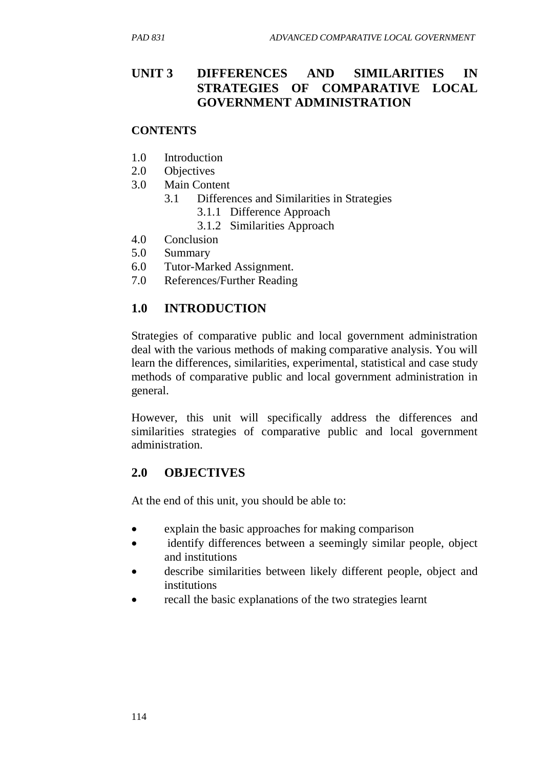## **UNIT 3 DIFFERENCES AND SIMILARITIES IN STRATEGIES OF COMPARATIVE LOCAL GOVERNMENT ADMINISTRATION**

#### **CONTENTS**

- 1.0 Introduction
- 2.0 Objectives
- 3.0 Main Content
	- 3.1 Differences and Similarities in Strategies
		- 3.1.1 Difference Approach
		- 3.1.2 Similarities Approach
- 4.0 Conclusion
- 5.0 Summary
- 6.0 Tutor-Marked Assignment.
- 7.0 References/Further Reading

### **1.0 INTRODUCTION**

Strategies of comparative public and local government administration deal with the various methods of making comparative analysis. You will learn the differences, similarities, experimental, statistical and case study methods of comparative public and local government administration in general.

However, this unit will specifically address the differences and similarities strategies of comparative public and local government administration.

### **2.0 OBJECTIVES**

At the end of this unit, you should be able to:

- explain the basic approaches for making comparison
- identify differences between a seemingly similar people, object and institutions
- describe similarities between likely different people, object and institutions
- recall the basic explanations of the two strategies learnt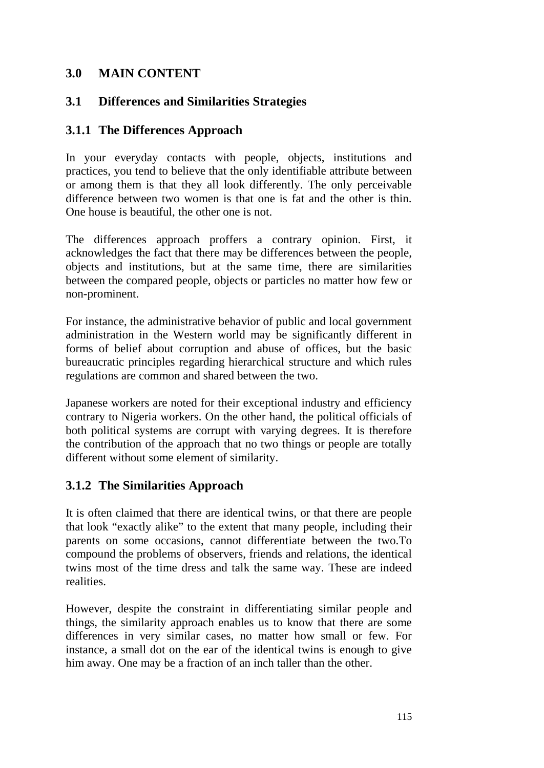### **3.0 MAIN CONTENT**

### **3.1 Differences and Similarities Strategies**

### **3.1.1 The Differences Approach**

In your everyday contacts with people, objects, institutions and practices, you tend to believe that the only identifiable attribute between or among them is that they all look differently. The only perceivable difference between two women is that one is fat and the other is thin. One house is beautiful, the other one is not.

The differences approach proffers a contrary opinion. First, it acknowledges the fact that there may be differences between the people, objects and institutions, but at the same time, there are similarities between the compared people, objects or particles no matter how few or non-prominent.

For instance, the administrative behavior of public and local government administration in the Western world may be significantly different in forms of belief about corruption and abuse of offices, but the basic bureaucratic principles regarding hierarchical structure and which rules regulations are common and shared between the two.

Japanese workers are noted for their exceptional industry and efficiency contrary to Nigeria workers. On the other hand, the political officials of both political systems are corrupt with varying degrees. It is therefore the contribution of the approach that no two things or people are totally different without some element of similarity.

## **3.1.2 The Similarities Approach**

It is often claimed that there are identical twins, or that there are people that look "exactly alike" to the extent that many people, including their parents on some occasions, cannot differentiate between the two.To compound the problems of observers, friends and relations, the identical twins most of the time dress and talk the same way. These are indeed realities.

However, despite the constraint in differentiating similar people and things, the similarity approach enables us to know that there are some differences in very similar cases, no matter how small or few. For instance, a small dot on the ear of the identical twins is enough to give him away. One may be a fraction of an inch taller than the other.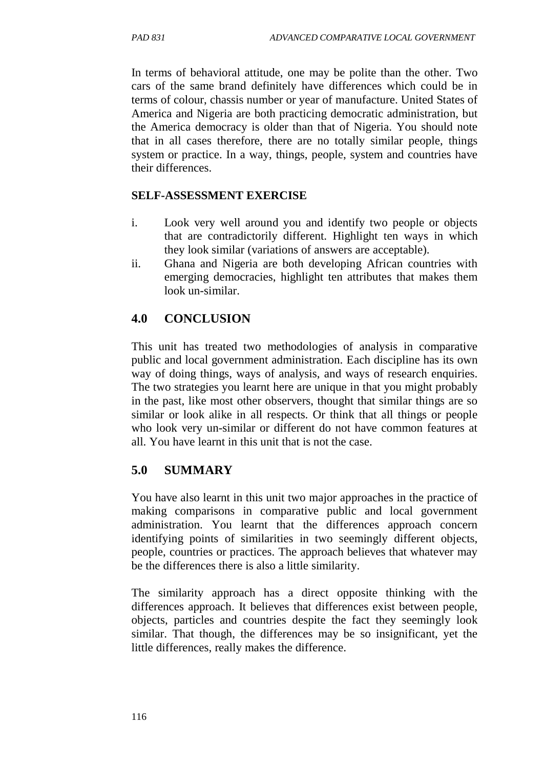In terms of behavioral attitude, one may be polite than the other. Two cars of the same brand definitely have differences which could be in terms of colour, chassis number or year of manufacture. United States of America and Nigeria are both practicing democratic administration, but the America democracy is older than that of Nigeria. You should note that in all cases therefore, there are no totally similar people, things system or practice. In a way, things, people, system and countries have their differences.

#### **SELF-ASSESSMENT EXERCISE**

- i. Look very well around you and identify two people or objects that are contradictorily different. Highlight ten ways in which they look similar (variations of answers are acceptable).
- ii. Ghana and Nigeria are both developing African countries with emerging democracies, highlight ten attributes that makes them look un-similar.

### **4.0 CONCLUSION**

This unit has treated two methodologies of analysis in comparative public and local government administration. Each discipline has its own way of doing things, ways of analysis, and ways of research enquiries. The two strategies you learnt here are unique in that you might probably in the past, like most other observers, thought that similar things are so similar or look alike in all respects. Or think that all things or people who look very un-similar or different do not have common features at all. You have learnt in this unit that is not the case.

### **5.0 SUMMARY**

You have also learnt in this unit two major approaches in the practice of making comparisons in comparative public and local government administration. You learnt that the differences approach concern identifying points of similarities in two seemingly different objects, people, countries or practices. The approach believes that whatever may be the differences there is also a little similarity.

The similarity approach has a direct opposite thinking with the differences approach. It believes that differences exist between people, objects, particles and countries despite the fact they seemingly look similar. That though, the differences may be so insignificant, yet the little differences, really makes the difference.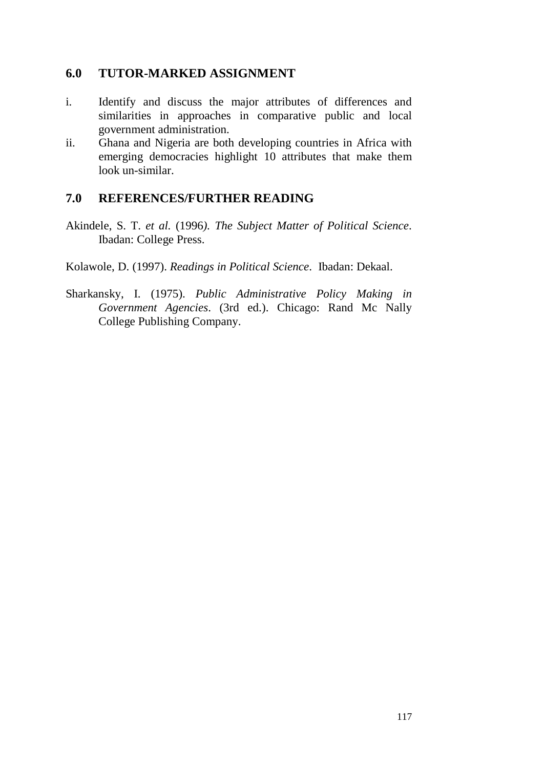### **6.0 TUTOR-MARKED ASSIGNMENT**

- i. Identify and discuss the major attributes of differences and similarities in approaches in comparative public and local government administration.
- ii. Ghana and Nigeria are both developing countries in Africa with emerging democracies highlight 10 attributes that make them look un-similar.

#### **7.0 REFERENCES/FURTHER READING**

- Akindele, S. T. *et al.* (1996*). The Subject Matter of Political Science*. Ibadan: College Press.
- Kolawole, D. (1997). *Readings in Political Science*. Ibadan: Dekaal.
- Sharkansky, I. (1975). *Public Administrative Policy Making in Government Agencies*. (3rd ed.). Chicago: Rand Mc Nally College Publishing Company.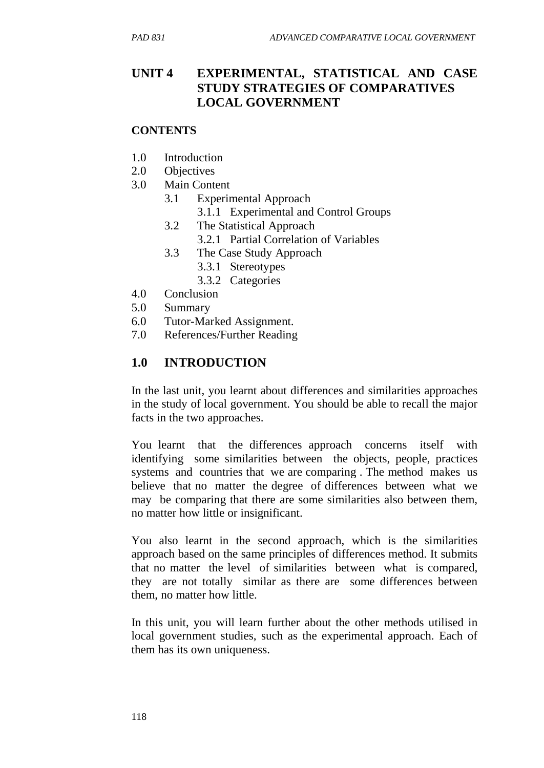### **UNIT 4 EXPERIMENTAL, STATISTICAL AND CASE STUDY STRATEGIES OF COMPARATIVES LOCAL GOVERNMENT**

#### **CONTENTS**

- 1.0 Introduction
- 2.0 Objectives
- 3.0 Main Content
	- 3.1 Experimental Approach
		- 3.1.1 Experimental and Control Groups
	- 3.2 The Statistical Approach
		- 3.2.1 Partial Correlation of Variables
	- 3.3 The Case Study Approach
		- 3.3.1 Stereotypes
		- 3.3.2 Categories
- 4.0 Conclusion
- 5.0 Summary
- 6.0 Tutor-Marked Assignment.
- 7.0 References/Further Reading

### **1.0 INTRODUCTION**

In the last unit, you learnt about differences and similarities approaches in the study of local government. You should be able to recall the major facts in the two approaches.

You learnt that the differences approach concerns itself with identifying some similarities between the objects, people, practices systems and countries that we are comparing . The method makes us believe that no matter the degree of differences between what we may be comparing that there are some similarities also between them, no matter how little or insignificant.

You also learnt in the second approach, which is the similarities approach based on the same principles of differences method. It submits that no matter the level of similarities between what is compared, they are not totally similar as there are some differences between them, no matter how little.

In this unit, you will learn further about the other methods utilised in local government studies, such as the experimental approach. Each of them has its own uniqueness.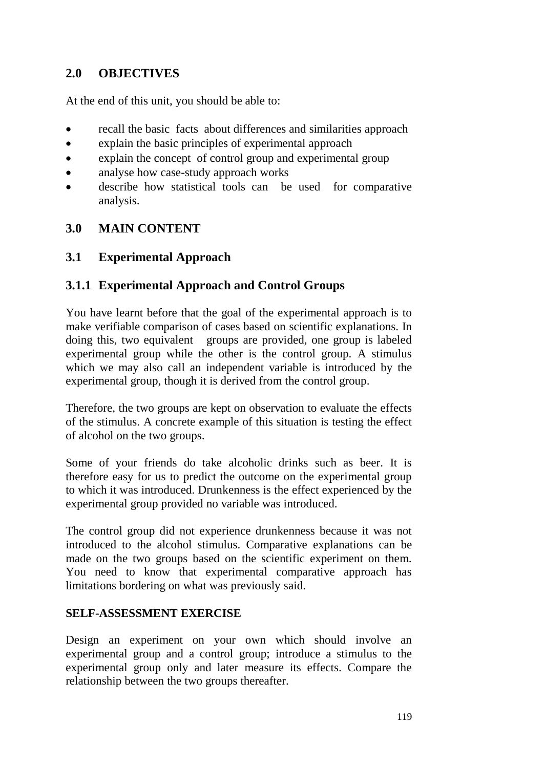### **2.0 OBJECTIVES**

At the end of this unit, you should be able to:

- recall the basic facts about differences and similarities approach
- explain the basic principles of experimental approach
- explain the concept of control group and experimental group
- analyse how case-study approach works
- describe how statistical tools can be used for comparative analysis.

### **3.0 MAIN CONTENT**

### **3.1 Experimental Approach**

### **3.1.1 Experimental Approach and Control Groups**

You have learnt before that the goal of the experimental approach is to make verifiable comparison of cases based on scientific explanations. In doing this, two equivalent groups are provided, one group is labeled experimental group while the other is the control group. A stimulus which we may also call an independent variable is introduced by the experimental group, though it is derived from the control group.

Therefore, the two groups are kept on observation to evaluate the effects of the stimulus. A concrete example of this situation is testing the effect of alcohol on the two groups.

Some of your friends do take alcoholic drinks such as beer. It is therefore easy for us to predict the outcome on the experimental group to which it was introduced. Drunkenness is the effect experienced by the experimental group provided no variable was introduced.

The control group did not experience drunkenness because it was not introduced to the alcohol stimulus. Comparative explanations can be made on the two groups based on the scientific experiment on them. You need to know that experimental comparative approach has limitations bordering on what was previously said.

#### **SELF-ASSESSMENT EXERCISE**

Design an experiment on your own which should involve an experimental group and a control group; introduce a stimulus to the experimental group only and later measure its effects. Compare the relationship between the two groups thereafter.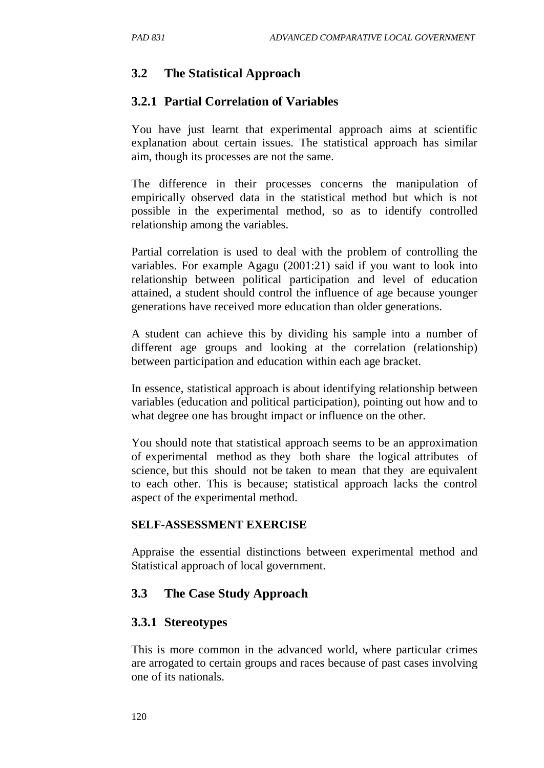### **3.2 The Statistical Approach**

#### **3.2.1 Partial Correlation of Variables**

You have just learnt that experimental approach aims at scientific explanation about certain issues. The statistical approach has similar aim, though its processes are not the same.

The difference in their processes concerns the manipulation of empirically observed data in the statistical method but which is not possible in the experimental method, so as to identify controlled relationship among the variables.

Partial correlation is used to deal with the problem of controlling the variables. For example Agagu (2001:21) said if you want to look into relationship between political participation and level of education attained, a student should control the influence of age because younger generations have received more education than older generations.

A student can achieve this by dividing his sample into a number of different age groups and looking at the correlation (relationship) between participation and education within each age bracket.

In essence, statistical approach is about identifying relationship between variables (education and political participation), pointing out how and to what degree one has brought impact or influence on the other.

You should note that statistical approach seems to be an approximation of experimental method as they both share the logical attributes of science, but this should not be taken to mean that they are equivalent to each other. This is because; statistical approach lacks the control aspect of the experimental method.

#### **SELF-ASSESSMENT EXERCISE**

Appraise the essential distinctions between experimental method and Statistical approach of local government.

### **3.3 The Case Study Approach**

#### **3.3.1 Stereotypes**

This is more common in the advanced world, where particular crimes are arrogated to certain groups and races because of past cases involving one of its nationals.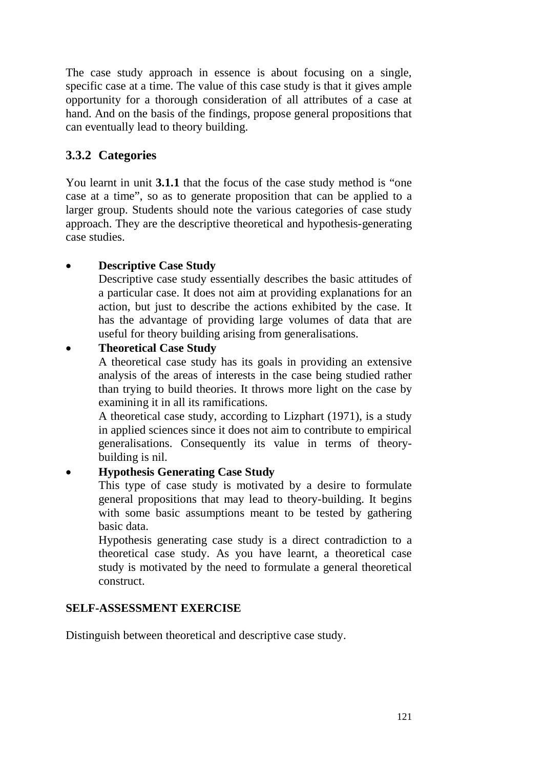The case study approach in essence is about focusing on a single, specific case at a time. The value of this case study is that it gives ample opportunity for a thorough consideration of all attributes of a case at hand. And on the basis of the findings, propose general propositions that can eventually lead to theory building.

### **3.3.2 Categories**

You learnt in unit **3.1.1** that the focus of the case study method is "one case at a time", so as to generate proposition that can be applied to a larger group. Students should note the various categories of case study approach. They are the descriptive theoretical and hypothesis-generating case studies.

### • **Descriptive Case Study**

Descriptive case study essentially describes the basic attitudes of a particular case. It does not aim at providing explanations for an action, but just to describe the actions exhibited by the case. It has the advantage of providing large volumes of data that are useful for theory building arising from generalisations.

### • **Theoretical Case Study**

A theoretical case study has its goals in providing an extensive analysis of the areas of interests in the case being studied rather than trying to build theories. It throws more light on the case by examining it in all its ramifications.

A theoretical case study, according to Lizphart (1971), is a study in applied sciences since it does not aim to contribute to empirical generalisations. Consequently its value in terms of theorybuilding is nil.

### • **Hypothesis Generating Case Study**

This type of case study is motivated by a desire to formulate general propositions that may lead to theory-building. It begins with some basic assumptions meant to be tested by gathering basic data.

Hypothesis generating case study is a direct contradiction to a theoretical case study. As you have learnt, a theoretical case study is motivated by the need to formulate a general theoretical construct.

#### **SELF-ASSESSMENT EXERCISE**

Distinguish between theoretical and descriptive case study.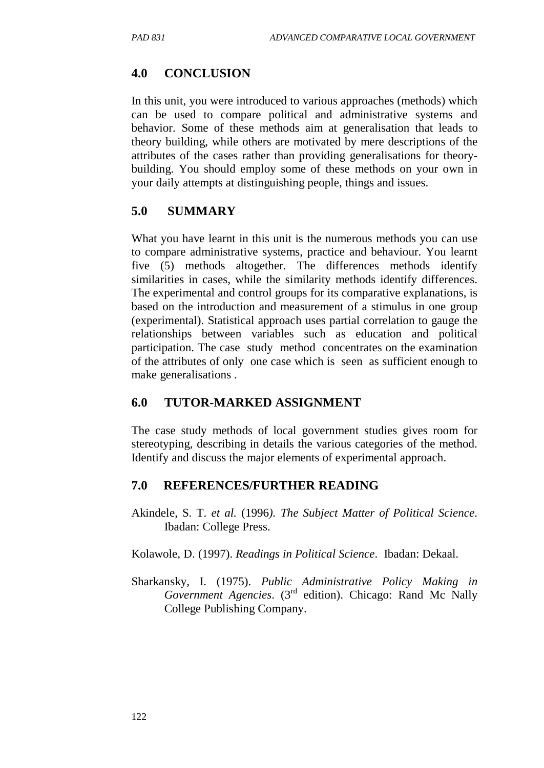# **4.0 CONCLUSION**

In this unit, you were introduced to various approaches (methods) which can be used to compare political and administrative systems and behavior. Some of these methods aim at generalisation that leads to theory building, while others are motivated by mere descriptions of the attributes of the cases rather than providing generalisations for theorybuilding. You should employ some of these methods on your own in your daily attempts at distinguishing people, things and issues.

### **5.0 SUMMARY**

What you have learnt in this unit is the numerous methods you can use to compare administrative systems, practice and behaviour. You learnt five (5) methods altogether. The differences methods identify similarities in cases, while the similarity methods identify differences. The experimental and control groups for its comparative explanations, is based on the introduction and measurement of a stimulus in one group (experimental). Statistical approach uses partial correlation to gauge the relationships between variables such as education and political participation. The case study method concentrates on the examination of the attributes of only one case which is seen as sufficient enough to make generalisations .

## **6.0 TUTOR-MARKED ASSIGNMENT**

The case study methods of local government studies gives room for stereotyping, describing in details the various categories of the method. Identify and discuss the major elements of experimental approach.

## **7.0 REFERENCES/FURTHER READING**

Akindele, S. T. *et al.* (1996*). The Subject Matter of Political Science*. Ibadan: College Press.

Kolawole, D. (1997). *Readings in Political Science*. Ibadan: Dekaal.

Sharkansky, I. (1975). *Public Administrative Policy Making in Government Agencies*. (3rd edition). Chicago: Rand Mc Nally College Publishing Company.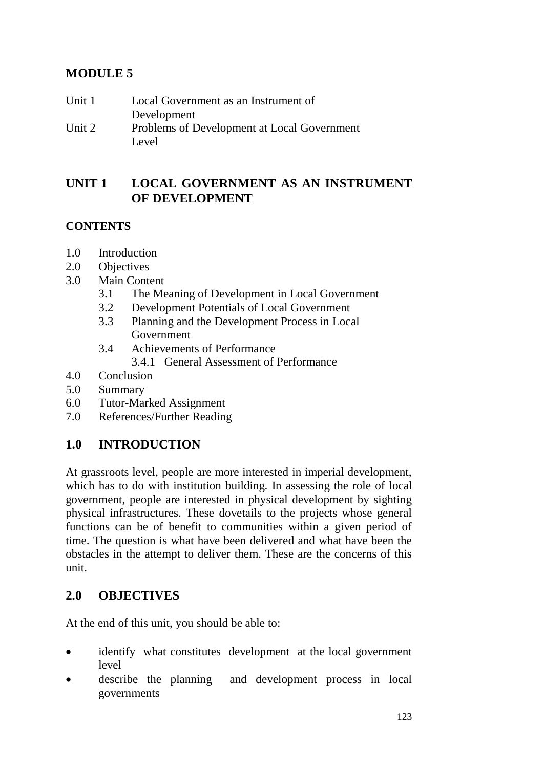# **MODULE 5**

| Unit 1 | Local Government as an Instrument of        |
|--------|---------------------------------------------|
|        | Development                                 |
| Unit 2 | Problems of Development at Local Government |
|        | Level                                       |

### **UNIT 1 LOCAL GOVERNMENT AS AN INSTRUMENT OF DEVELOPMENT**

### **CONTENTS**

- 1.0 Introduction
- 2.0 Objectives
- 3.0 Main Content
	- 3.1 The Meaning of Development in Local Government
	- 3.2 Development Potentials of Local Government
	- 3.3 Planning and the Development Process in Local Government
	- 3.4 Achievements of Performance
		- 3.4.1 General Assessment of Performance
- 4.0 Conclusion
- 5.0 Summary
- 6.0 Tutor-Marked Assignment
- 7.0 References/Further Reading

## **1.0 INTRODUCTION**

At grassroots level, people are more interested in imperial development, which has to do with institution building. In assessing the role of local government, people are interested in physical development by sighting physical infrastructures. These dovetails to the projects whose general functions can be of benefit to communities within a given period of time. The question is what have been delivered and what have been the obstacles in the attempt to deliver them. These are the concerns of this unit.

### **2.0 OBJECTIVES**

At the end of this unit, you should be able to:

- identify what constitutes development at the local government level
- describe the planning and development process in local governments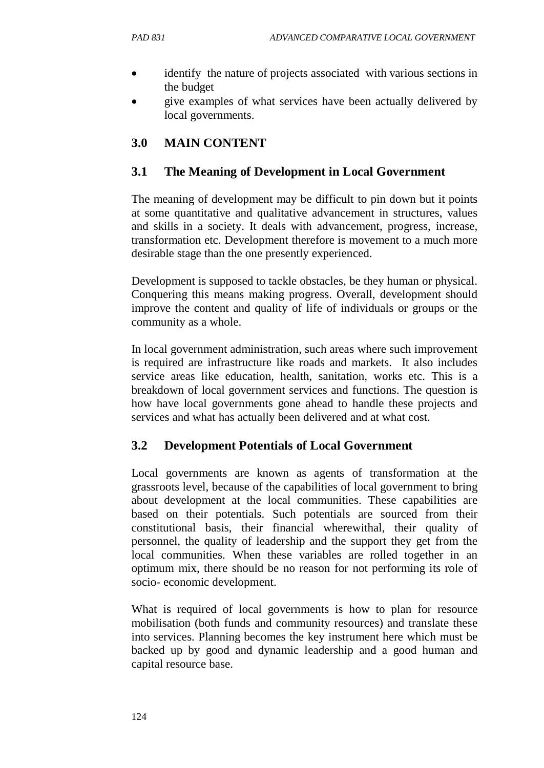- identify the nature of projects associated with various sections in the budget
- give examples of what services have been actually delivered by local governments.

# **3.0 MAIN CONTENT**

### **3.1 The Meaning of Development in Local Government**

The meaning of development may be difficult to pin down but it points at some quantitative and qualitative advancement in structures, values and skills in a society. It deals with advancement, progress, increase, transformation etc. Development therefore is movement to a much more desirable stage than the one presently experienced.

Development is supposed to tackle obstacles, be they human or physical. Conquering this means making progress. Overall, development should improve the content and quality of life of individuals or groups or the community as a whole.

In local government administration, such areas where such improvement is required are infrastructure like roads and markets. It also includes service areas like education, health, sanitation, works etc. This is a breakdown of local government services and functions. The question is how have local governments gone ahead to handle these projects and services and what has actually been delivered and at what cost.

### **3.2 Development Potentials of Local Government**

Local governments are known as agents of transformation at the grassroots level, because of the capabilities of local government to bring about development at the local communities. These capabilities are based on their potentials. Such potentials are sourced from their constitutional basis, their financial wherewithal, their quality of personnel, the quality of leadership and the support they get from the local communities. When these variables are rolled together in an optimum mix, there should be no reason for not performing its role of socio- economic development.

What is required of local governments is how to plan for resource mobilisation (both funds and community resources) and translate these into services. Planning becomes the key instrument here which must be backed up by good and dynamic leadership and a good human and capital resource base.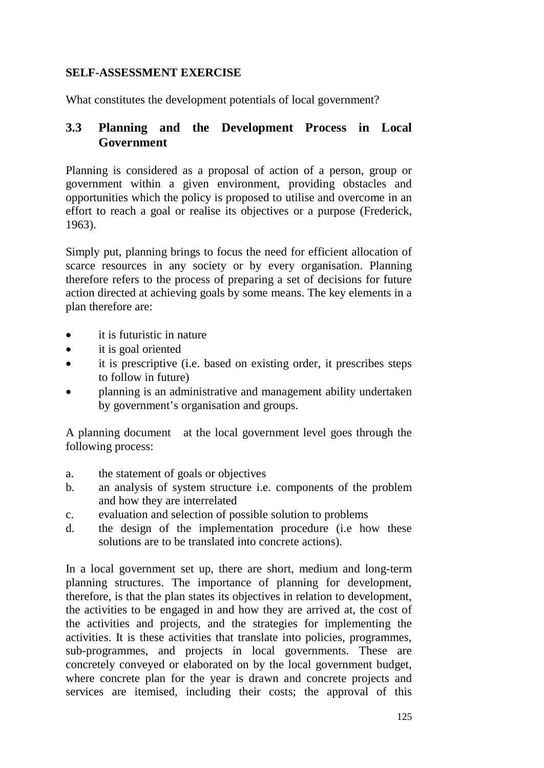#### **SELF-ASSESSMENT EXERCISE**

What constitutes the development potentials of local government?

### **3.3 Planning and the Development Process in Local Government**

Planning is considered as a proposal of action of a person, group or government within a given environment, providing obstacles and opportunities which the policy is proposed to utilise and overcome in an effort to reach a goal or realise its objectives or a purpose (Frederick, 1963).

Simply put, planning brings to focus the need for efficient allocation of scarce resources in any society or by every organisation. Planning therefore refers to the process of preparing a set of decisions for future action directed at achieving goals by some means. The key elements in a plan therefore are:

- it is futuristic in nature
- it is goal oriented
- it is prescriptive (i.e. based on existing order, it prescribes steps to follow in future)
- planning is an administrative and management ability undertaken by government's organisation and groups.

A planning document at the local government level goes through the following process:

- a. the statement of goals or objectives
- b. an analysis of system structure i.e. components of the problem and how they are interrelated
- c. evaluation and selection of possible solution to problems
- d. the design of the implementation procedure (i.e how these solutions are to be translated into concrete actions).

In a local government set up, there are short, medium and long-term planning structures. The importance of planning for development, therefore, is that the plan states its objectives in relation to development, the activities to be engaged in and how they are arrived at, the cost of the activities and projects, and the strategies for implementing the activities. It is these activities that translate into policies, programmes, sub-programmes, and projects in local governments. These are concretely conveyed or elaborated on by the local government budget, where concrete plan for the year is drawn and concrete projects and services are itemised, including their costs; the approval of this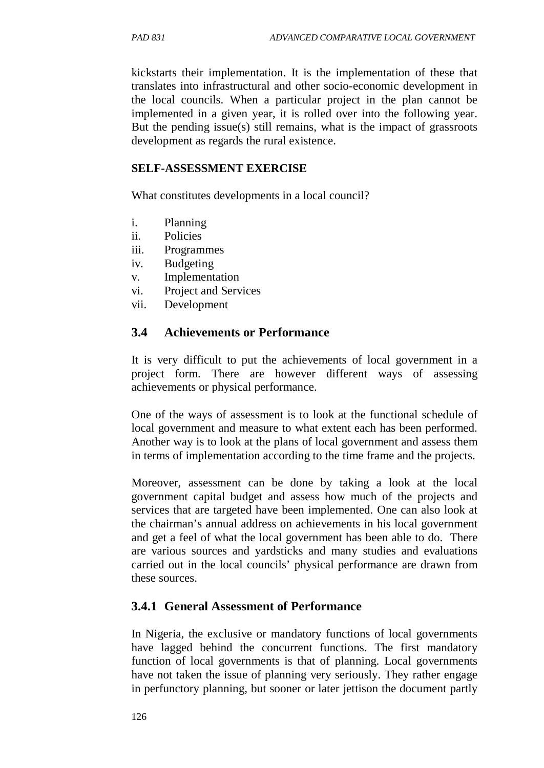kickstarts their implementation. It is the implementation of these that translates into infrastructural and other socio-economic development in the local councils. When a particular project in the plan cannot be implemented in a given year, it is rolled over into the following year. But the pending issue(s) still remains, what is the impact of grassroots development as regards the rural existence.

#### **SELF-ASSESSMENT EXERCISE**

What constitutes developments in a local council?

- i. Planning
- ii. Policies
- iii. Programmes
- iv. Budgeting
- v. Implementation
- vi. Project and Services
- vii. Development

### **3.4 Achievements or Performance**

It is very difficult to put the achievements of local government in a project form. There are however different ways of assessing achievements or physical performance.

One of the ways of assessment is to look at the functional schedule of local government and measure to what extent each has been performed. Another way is to look at the plans of local government and assess them in terms of implementation according to the time frame and the projects.

Moreover, assessment can be done by taking a look at the local government capital budget and assess how much of the projects and services that are targeted have been implemented. One can also look at the chairman's annual address on achievements in his local government and get a feel of what the local government has been able to do. There are various sources and yardsticks and many studies and evaluations carried out in the local councils' physical performance are drawn from these sources.

### **3.4.1 General Assessment of Performance**

In Nigeria, the exclusive or mandatory functions of local governments have lagged behind the concurrent functions. The first mandatory function of local governments is that of planning. Local governments have not taken the issue of planning very seriously. They rather engage in perfunctory planning, but sooner or later jettison the document partly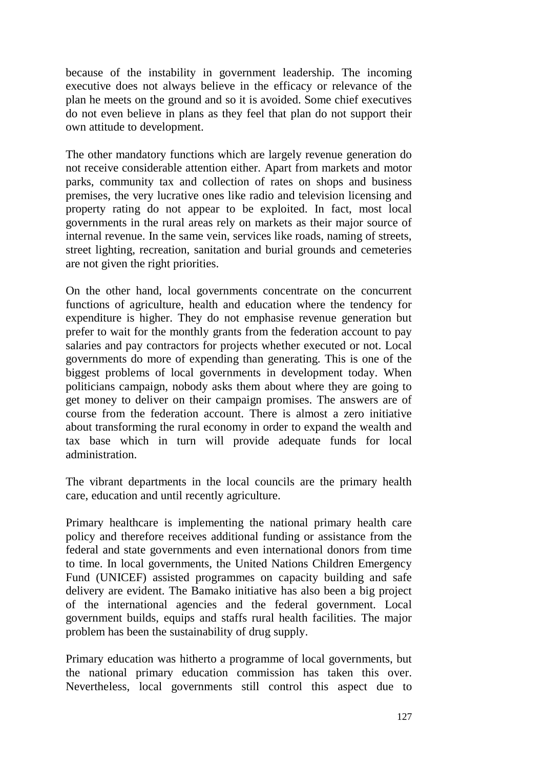because of the instability in government leadership. The incoming executive does not always believe in the efficacy or relevance of the plan he meets on the ground and so it is avoided. Some chief executives do not even believe in plans as they feel that plan do not support their own attitude to development.

The other mandatory functions which are largely revenue generation do not receive considerable attention either. Apart from markets and motor parks, community tax and collection of rates on shops and business premises, the very lucrative ones like radio and television licensing and property rating do not appear to be exploited. In fact, most local governments in the rural areas rely on markets as their major source of internal revenue. In the same vein, services like roads, naming of streets, street lighting, recreation, sanitation and burial grounds and cemeteries are not given the right priorities.

On the other hand, local governments concentrate on the concurrent functions of agriculture, health and education where the tendency for expenditure is higher. They do not emphasise revenue generation but prefer to wait for the monthly grants from the federation account to pay salaries and pay contractors for projects whether executed or not. Local governments do more of expending than generating. This is one of the biggest problems of local governments in development today. When politicians campaign, nobody asks them about where they are going to get money to deliver on their campaign promises. The answers are of course from the federation account. There is almost a zero initiative about transforming the rural economy in order to expand the wealth and tax base which in turn will provide adequate funds for local administration.

The vibrant departments in the local councils are the primary health care, education and until recently agriculture.

Primary healthcare is implementing the national primary health care policy and therefore receives additional funding or assistance from the federal and state governments and even international donors from time to time. In local governments, the United Nations Children Emergency Fund (UNICEF) assisted programmes on capacity building and safe delivery are evident. The Bamako initiative has also been a big project of the international agencies and the federal government. Local government builds, equips and staffs rural health facilities. The major problem has been the sustainability of drug supply.

Primary education was hitherto a programme of local governments, but the national primary education commission has taken this over. Nevertheless, local governments still control this aspect due to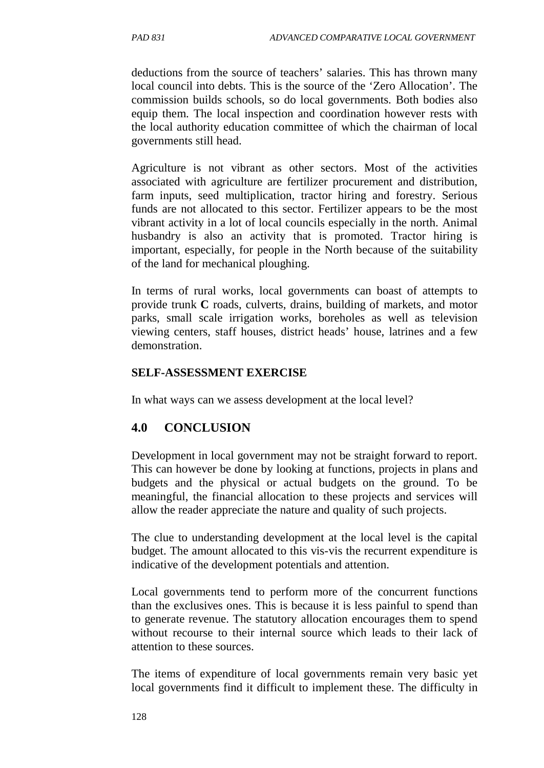deductions from the source of teachers' salaries. This has thrown many local council into debts. This is the source of the 'Zero Allocation'. The commission builds schools, so do local governments. Both bodies also equip them. The local inspection and coordination however rests with the local authority education committee of which the chairman of local governments still head.

Agriculture is not vibrant as other sectors. Most of the activities associated with agriculture are fertilizer procurement and distribution, farm inputs, seed multiplication, tractor hiring and forestry. Serious funds are not allocated to this sector. Fertilizer appears to be the most vibrant activity in a lot of local councils especially in the north. Animal husbandry is also an activity that is promoted. Tractor hiring is important, especially, for people in the North because of the suitability of the land for mechanical ploughing.

In terms of rural works, local governments can boast of attempts to provide trunk **C** roads, culverts, drains, building of markets, and motor parks, small scale irrigation works, boreholes as well as television viewing centers, staff houses, district heads' house, latrines and a few demonstration.

#### **SELF-ASSESSMENT EXERCISE**

In what ways can we assess development at the local level?

### **4.0 CONCLUSION**

Development in local government may not be straight forward to report. This can however be done by looking at functions, projects in plans and budgets and the physical or actual budgets on the ground. To be meaningful, the financial allocation to these projects and services will allow the reader appreciate the nature and quality of such projects.

The clue to understanding development at the local level is the capital budget. The amount allocated to this vis-vis the recurrent expenditure is indicative of the development potentials and attention.

Local governments tend to perform more of the concurrent functions than the exclusives ones. This is because it is less painful to spend than to generate revenue. The statutory allocation encourages them to spend without recourse to their internal source which leads to their lack of attention to these sources.

The items of expenditure of local governments remain very basic yet local governments find it difficult to implement these. The difficulty in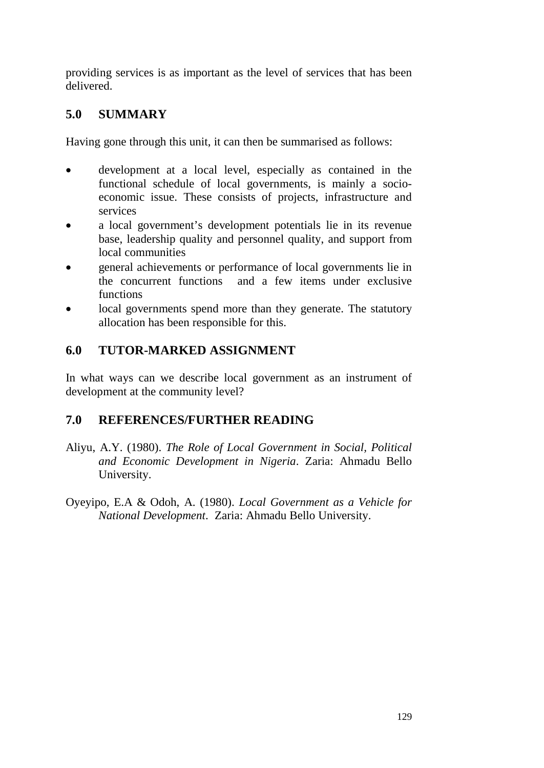providing services is as important as the level of services that has been delivered.

# **5.0 SUMMARY**

Having gone through this unit, it can then be summarised as follows:

- development at a local level, especially as contained in the functional schedule of local governments, is mainly a socioeconomic issue. These consists of projects, infrastructure and services
- a local government's development potentials lie in its revenue base, leadership quality and personnel quality, and support from local communities
- general achievements or performance of local governments lie in the concurrent functions and a few items under exclusive functions
- local governments spend more than they generate. The statutory allocation has been responsible for this.

## **6.0 TUTOR-MARKED ASSIGNMENT**

In what ways can we describe local government as an instrument of development at the community level?

## **7.0 REFERENCES/FURTHER READING**

- Aliyu, A.Y. (1980). *The Role of Local Government in Social, Political and Economic Development in Nigeria*. Zaria: Ahmadu Bello University.
- Oyeyipo, E.A & Odoh, A. (1980). *Local Government as a Vehicle for National Development*. Zaria: Ahmadu Bello University.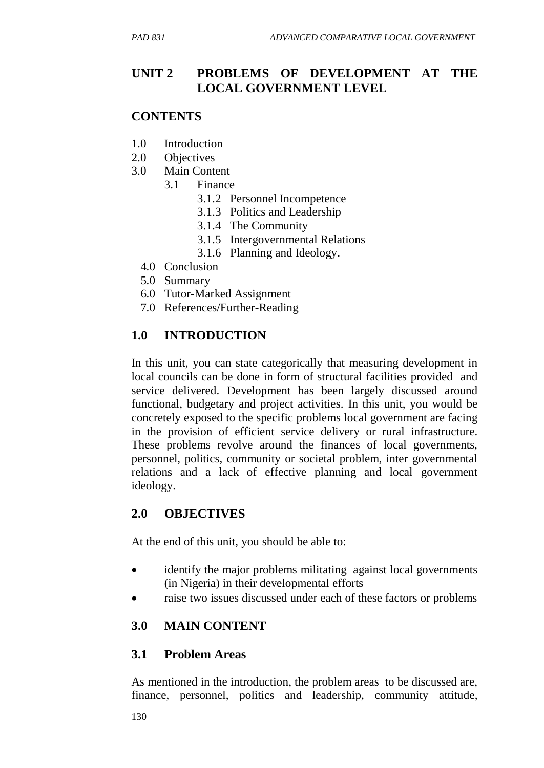# **UNIT 2 PROBLEMS OF DEVELOPMENT AT THE LOCAL GOVERNMENT LEVEL**

### **CONTENTS**

- 1.0 Introduction
- 2.0 Objectives
- 3.0 Main Content
	- 3.1 Finance
		- 3.1.2 Personnel Incompetence
		- 3.1.3 Politics and Leadership
		- 3.1.4 The Community
		- 3.1.5 Intergovernmental Relations
		- 3.1.6 Planning and Ideology.
	- 4.0 Conclusion
	- 5.0 Summary
	- 6.0 Tutor-Marked Assignment
	- 7.0 References/Further-Reading

## **1.0 INTRODUCTION**

In this unit, you can state categorically that measuring development in local councils can be done in form of structural facilities provided and service delivered. Development has been largely discussed around functional, budgetary and project activities. In this unit, you would be concretely exposed to the specific problems local government are facing in the provision of efficient service delivery or rural infrastructure. These problems revolve around the finances of local governments, personnel, politics, community or societal problem, inter governmental relations and a lack of effective planning and local government ideology.

### **2.0 OBJECTIVES**

At the end of this unit, you should be able to:

- identify the major problems militating against local governments (in Nigeria) in their developmental efforts
- raise two issues discussed under each of these factors or problems

### **3.0 MAIN CONTENT**

### **3.1 Problem Areas**

As mentioned in the introduction, the problem areas to be discussed are, finance, personnel, politics and leadership, community attitude,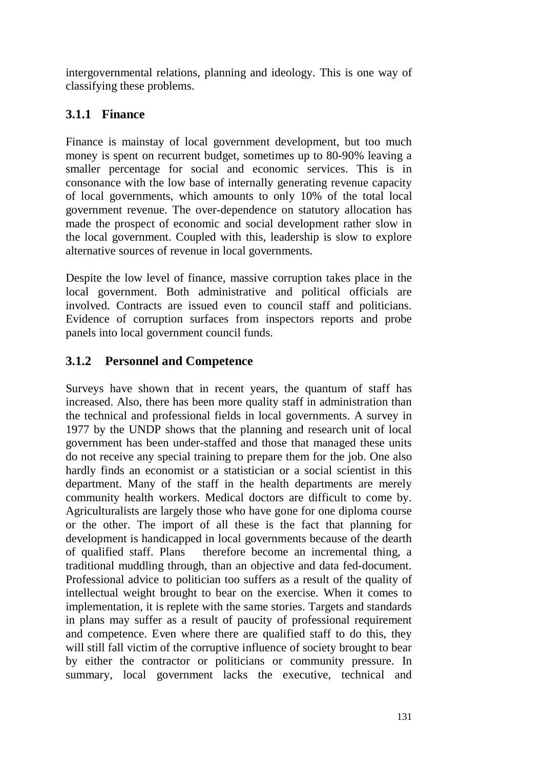intergovernmental relations, planning and ideology. This is one way of classifying these problems.

# **3.1.1 Finance**

Finance is mainstay of local government development, but too much money is spent on recurrent budget, sometimes up to 80-90% leaving a smaller percentage for social and economic services. This is in consonance with the low base of internally generating revenue capacity of local governments, which amounts to only 10% of the total local government revenue. The over-dependence on statutory allocation has made the prospect of economic and social development rather slow in the local government. Coupled with this, leadership is slow to explore alternative sources of revenue in local governments.

Despite the low level of finance, massive corruption takes place in the local government. Both administrative and political officials are involved. Contracts are issued even to council staff and politicians. Evidence of corruption surfaces from inspectors reports and probe panels into local government council funds.

# **3.1.2 Personnel and Competence**

Surveys have shown that in recent years, the quantum of staff has increased. Also, there has been more quality staff in administration than the technical and professional fields in local governments. A survey in 1977 by the UNDP shows that the planning and research unit of local government has been under-staffed and those that managed these units do not receive any special training to prepare them for the job. One also hardly finds an economist or a statistician or a social scientist in this department. Many of the staff in the health departments are merely community health workers. Medical doctors are difficult to come by. Agriculturalists are largely those who have gone for one diploma course or the other. The import of all these is the fact that planning for development is handicapped in local governments because of the dearth of qualified staff. Plans therefore become an incremental thing, a traditional muddling through, than an objective and data fed-document. Professional advice to politician too suffers as a result of the quality of intellectual weight brought to bear on the exercise. When it comes to implementation, it is replete with the same stories. Targets and standards in plans may suffer as a result of paucity of professional requirement and competence. Even where there are qualified staff to do this, they will still fall victim of the corruptive influence of society brought to bear by either the contractor or politicians or community pressure. In summary, local government lacks the executive, technical and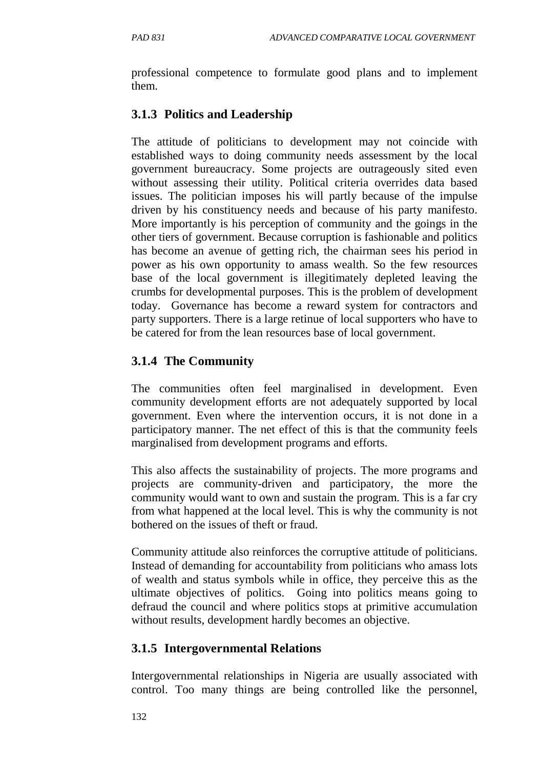professional competence to formulate good plans and to implement them.

# **3.1.3 Politics and Leadership**

The attitude of politicians to development may not coincide with established ways to doing community needs assessment by the local government bureaucracy. Some projects are outrageously sited even without assessing their utility. Political criteria overrides data based issues. The politician imposes his will partly because of the impulse driven by his constituency needs and because of his party manifesto. More importantly is his perception of community and the goings in the other tiers of government. Because corruption is fashionable and politics has become an avenue of getting rich, the chairman sees his period in power as his own opportunity to amass wealth. So the few resources base of the local government is illegitimately depleted leaving the crumbs for developmental purposes. This is the problem of development today. Governance has become a reward system for contractors and party supporters. There is a large retinue of local supporters who have to be catered for from the lean resources base of local government.

## **3.1.4 The Community**

The communities often feel marginalised in development. Even community development efforts are not adequately supported by local government. Even where the intervention occurs, it is not done in a participatory manner. The net effect of this is that the community feels marginalised from development programs and efforts.

This also affects the sustainability of projects. The more programs and projects are community-driven and participatory, the more the community would want to own and sustain the program. This is a far cry from what happened at the local level. This is why the community is not bothered on the issues of theft or fraud.

Community attitude also reinforces the corruptive attitude of politicians. Instead of demanding for accountability from politicians who amass lots of wealth and status symbols while in office, they perceive this as the ultimate objectives of politics. Going into politics means going to defraud the council and where politics stops at primitive accumulation without results, development hardly becomes an objective.

## **3.1.5 Intergovernmental Relations**

Intergovernmental relationships in Nigeria are usually associated with control. Too many things are being controlled like the personnel,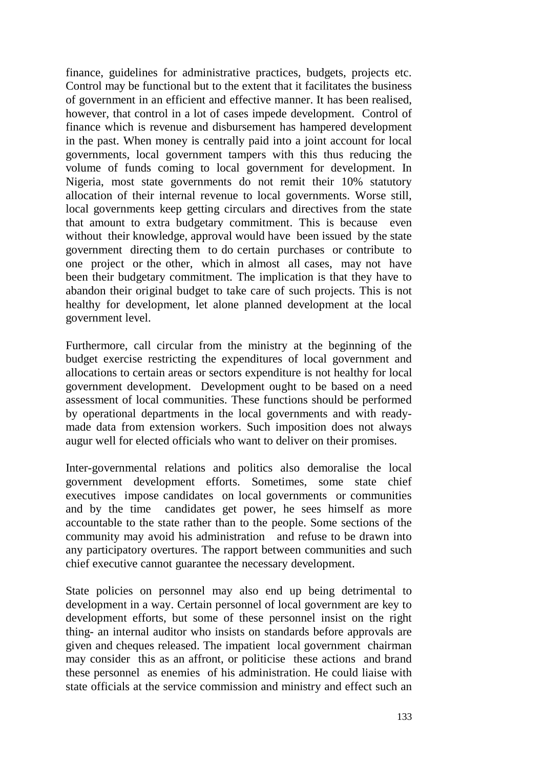finance, guidelines for administrative practices, budgets, projects etc. Control may be functional but to the extent that it facilitates the business of government in an efficient and effective manner. It has been realised, however, that control in a lot of cases impede development. Control of finance which is revenue and disbursement has hampered development in the past. When money is centrally paid into a joint account for local governments, local government tampers with this thus reducing the volume of funds coming to local government for development. In Nigeria, most state governments do not remit their 10% statutory allocation of their internal revenue to local governments. Worse still, local governments keep getting circulars and directives from the state that amount to extra budgetary commitment. This is because even without their knowledge, approval would have been issued by the state government directing them to do certain purchases or contribute to one project or the other, which in almost all cases, may not have been their budgetary commitment. The implication is that they have to abandon their original budget to take care of such projects. This is not healthy for development, let alone planned development at the local government level.

Furthermore, call circular from the ministry at the beginning of the budget exercise restricting the expenditures of local government and allocations to certain areas or sectors expenditure is not healthy for local government development. Development ought to be based on a need assessment of local communities. These functions should be performed by operational departments in the local governments and with readymade data from extension workers. Such imposition does not always augur well for elected officials who want to deliver on their promises.

Inter-governmental relations and politics also demoralise the local government development efforts. Sometimes, some state chief executives impose candidates on local governments or communities and by the time candidates get power, he sees himself as more accountable to the state rather than to the people. Some sections of the community may avoid his administration and refuse to be drawn into any participatory overtures. The rapport between communities and such chief executive cannot guarantee the necessary development.

State policies on personnel may also end up being detrimental to development in a way. Certain personnel of local government are key to development efforts, but some of these personnel insist on the right thing- an internal auditor who insists on standards before approvals are given and cheques released. The impatient local government chairman may consider this as an affront, or politicise these actions and brand these personnel as enemies of his administration. He could liaise with state officials at the service commission and ministry and effect such an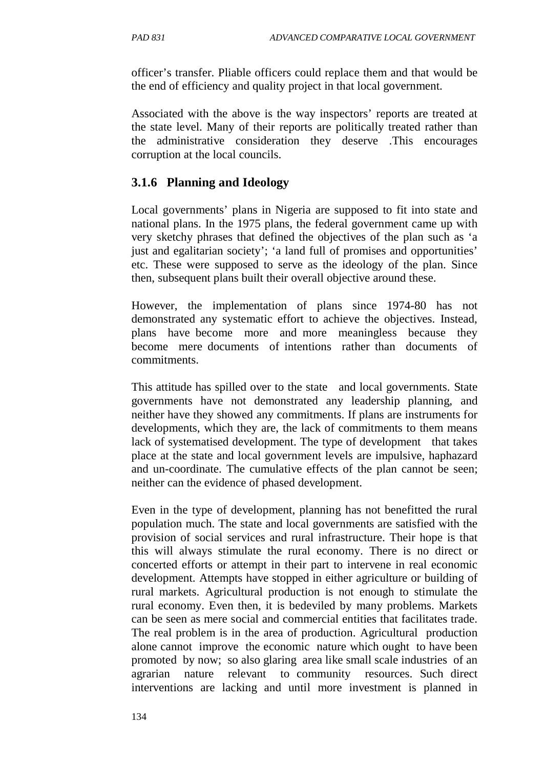officer's transfer. Pliable officers could replace them and that would be the end of efficiency and quality project in that local government.

Associated with the above is the way inspectors' reports are treated at the state level. Many of their reports are politically treated rather than the administrative consideration they deserve .This encourages corruption at the local councils.

### **3.1.6 Planning and Ideology**

Local governments' plans in Nigeria are supposed to fit into state and national plans. In the 1975 plans, the federal government came up with very sketchy phrases that defined the objectives of the plan such as 'a just and egalitarian society'; 'a land full of promises and opportunities' etc. These were supposed to serve as the ideology of the plan. Since then, subsequent plans built their overall objective around these.

However, the implementation of plans since 1974-80 has not demonstrated any systematic effort to achieve the objectives. Instead, plans have become more and more meaningless because they become mere documents of intentions rather than documents of commitments.

This attitude has spilled over to the state and local governments. State governments have not demonstrated any leadership planning, and neither have they showed any commitments. If plans are instruments for developments, which they are, the lack of commitments to them means lack of systematised development. The type of development that takes place at the state and local government levels are impulsive, haphazard and un-coordinate. The cumulative effects of the plan cannot be seen; neither can the evidence of phased development.

Even in the type of development, planning has not benefitted the rural population much. The state and local governments are satisfied with the provision of social services and rural infrastructure. Their hope is that this will always stimulate the rural economy. There is no direct or concerted efforts or attempt in their part to intervene in real economic development. Attempts have stopped in either agriculture or building of rural markets. Agricultural production is not enough to stimulate the rural economy. Even then, it is bedeviled by many problems. Markets can be seen as mere social and commercial entities that facilitates trade. The real problem is in the area of production. Agricultural production alone cannot improve the economic nature which ought to have been promoted by now; so also glaring area like small scale industries of an agrarian nature relevant to community resources. Such direct interventions are lacking and until more investment is planned in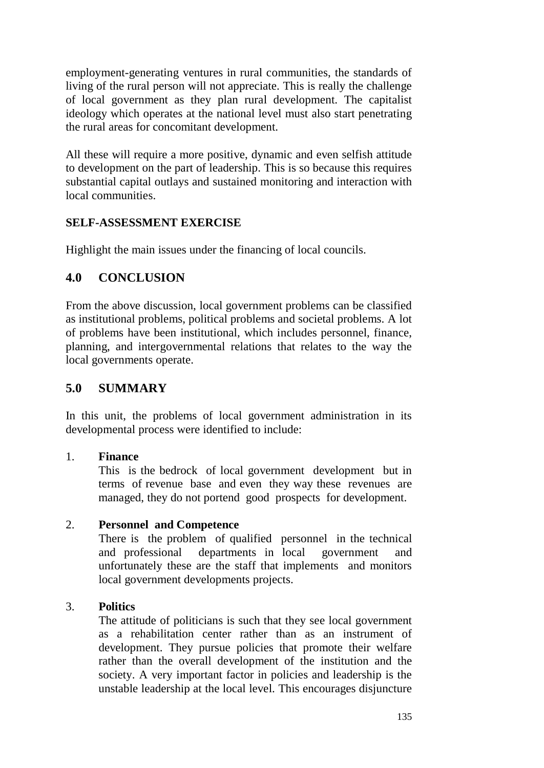employment-generating ventures in rural communities, the standards of living of the rural person will not appreciate. This is really the challenge of local government as they plan rural development. The capitalist ideology which operates at the national level must also start penetrating the rural areas for concomitant development.

All these will require a more positive, dynamic and even selfish attitude to development on the part of leadership. This is so because this requires substantial capital outlays and sustained monitoring and interaction with local communities.

#### **SELF-ASSESSMENT EXERCISE**

Highlight the main issues under the financing of local councils.

## **4.0 CONCLUSION**

From the above discussion, local government problems can be classified as institutional problems, political problems and societal problems. A lot of problems have been institutional, which includes personnel, finance, planning, and intergovernmental relations that relates to the way the local governments operate.

### **5.0 SUMMARY**

In this unit, the problems of local government administration in its developmental process were identified to include:

#### 1. **Finance**

This is the bedrock of local government development but in terms of revenue base and even they way these revenues are managed, they do not portend good prospects for development.

### 2. **Personnel and Competence**

There is the problem of qualified personnel in the technical and professional departments in local government and unfortunately these are the staff that implements and monitors local government developments projects.

#### 3. **Politics**

The attitude of politicians is such that they see local government as a rehabilitation center rather than as an instrument of development. They pursue policies that promote their welfare rather than the overall development of the institution and the society. A very important factor in policies and leadership is the unstable leadership at the local level. This encourages disjuncture